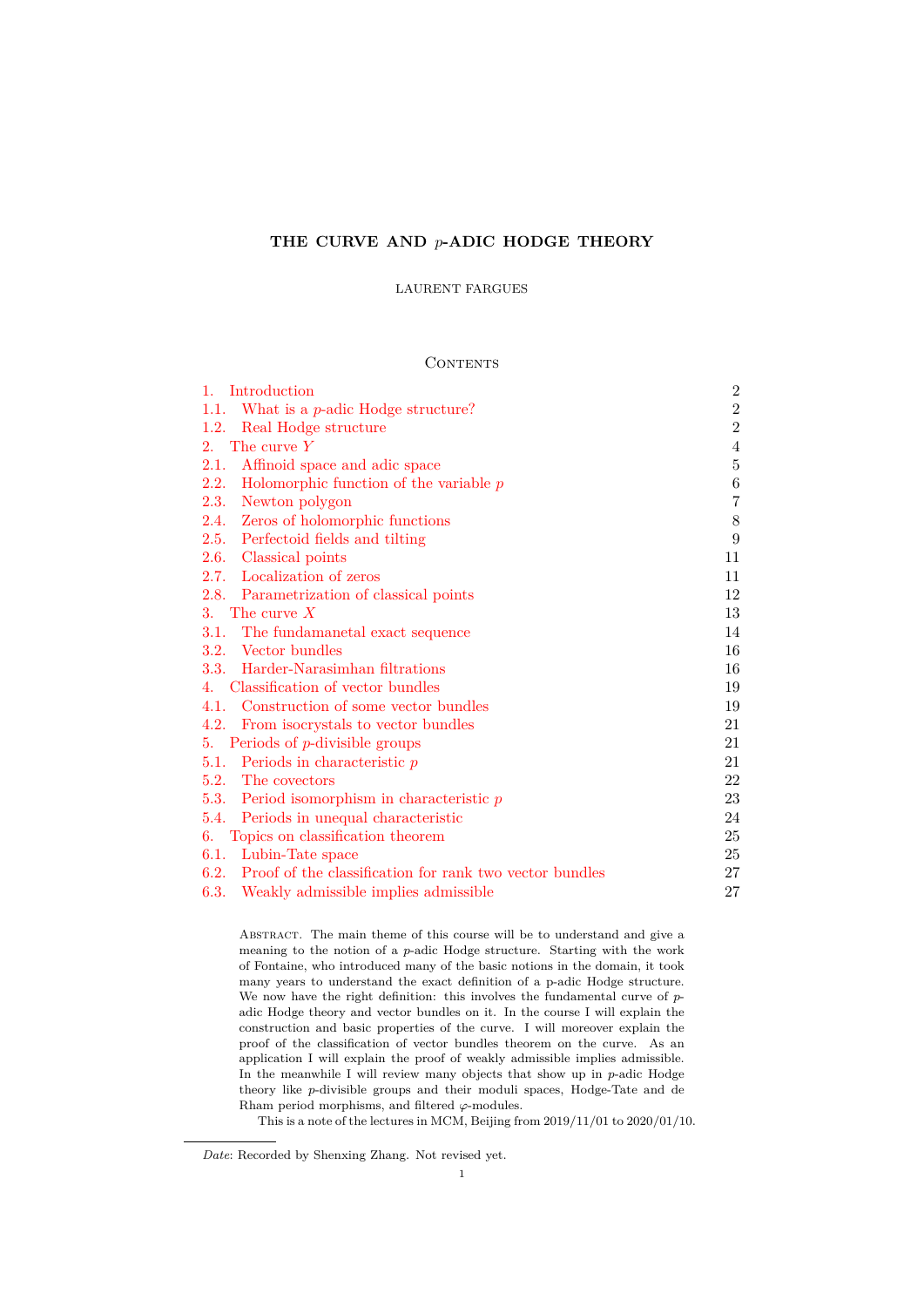# **THE CURVE AND** *p***-ADIC HODGE THEORY**

### LAURENT FARGUES

# **CONTENTS**

| 1. Introduction                                                 | $\mathbf{2}$   |
|-----------------------------------------------------------------|----------------|
| What is a $p$ -adic Hodge structure?<br>1.1.                    | $\,2$          |
| Real Hodge structure<br>1.2.                                    | $\overline{2}$ |
| The curve $Y$<br>2.                                             | $\overline{4}$ |
| Affinoid space and adic space<br>2.1.                           | $\bf 5$        |
| 2.2.<br>Holomorphic function of the variable $p$                | 6              |
| Newton polygon<br>2.3.                                          | $\overline{7}$ |
| Zeros of holomorphic functions<br>2.4.                          | 8              |
| Perfectoid fields and tilting<br>2.5.                           | 9              |
| 2.6. Classical points                                           | 11             |
| 2.7. Localization of zeros                                      | 11             |
| 2.8. Parametrization of classical points                        | 12             |
| 3. The curve $X$                                                | 13             |
| The fundamanetal exact sequence<br>3.1.                         | 14             |
| 3.2. Vector bundles                                             | 16             |
| Harder-Narasimhan filtrations<br>3.3.                           | 16             |
| Classification of vector bundles<br>4.                          | 19             |
| 4.1. Construction of some vector bundles                        | 19             |
| 4.2.<br>From isocrystals to vector bundles                      | 21             |
| 5. Periods of $p$ -divisible groups                             | 21             |
| 5.1. Periods in characteristic $p$                              | 21             |
| 5.2. The covectors                                              | 22             |
| 5.3.<br>Period isomorphism in characteristic $p$                | 23             |
| 5.4. Periods in unequal characteristic                          | 24             |
| Topics on classification theorem<br>6.                          | 25             |
| Lubin-Tate space<br>6.1.                                        | 25             |
| Proof of the classification for rank two vector bundles<br>6.2. | 27             |
| 6.3.<br>Weakly admissible implies admissible                    | 27             |

[Abstract.](#page-24-0) The main theme of this course will be to understand and give a meaning to the notion of a *p*[-adic Hodge structure. Starting w](#page-26-0)ith the work [of Fontaine, who introduced many of the bas](#page-26-1)ic notions in the domain, it took many years to understand the exact definition of a p-adic Hodge structure. We now have the right definition: this involves the fundamental curve of *p*adic Hodge theory and vector bundles on it. In the course I will explain the construction and basic properties of the curve. I will moreover explain the proof of the classification of vector bundles theorem on the curve. As an application I will explain the proof of weakly admissible implies admissible. In the meanwhile I will review many objects that show up in *p*-adic Hodge theory like *p*-divisible groups and their moduli spaces, Hodge-Tate and de Rham period morphisms, and filtered *φ*-modules.

This is a note of the lectures in MCM, Beijing from 2019/11/01 to 2020/01/10.

*Date*: Recorded by Shenxing Zhang. Not revised yet.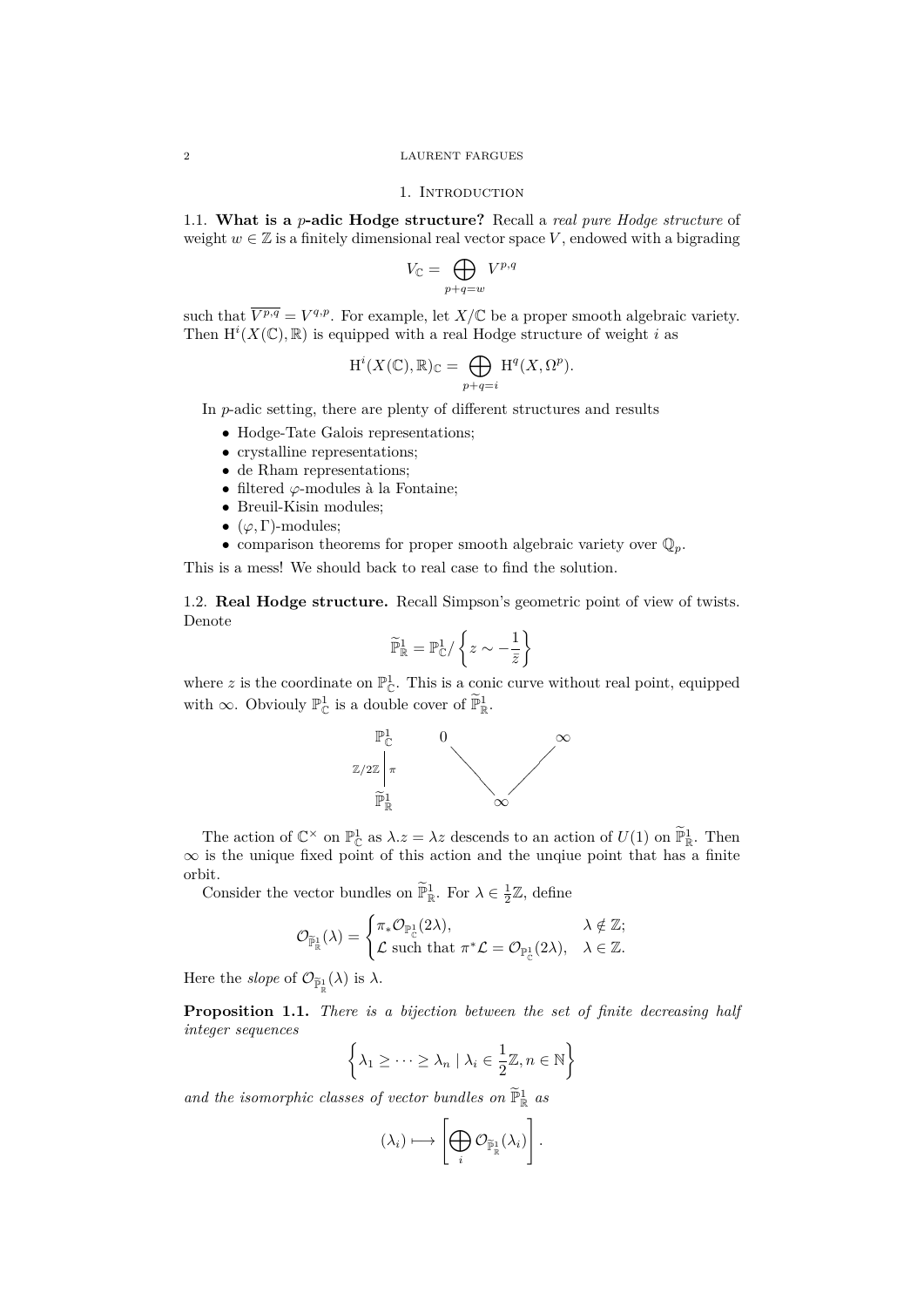#### <span id="page-1-0"></span>2 LAURENT FARGUES

### 1. INTRODUCTION

<span id="page-1-1"></span>1.1. **What is a** *p***-adic Hodge structure?** Recall a *real pure Hodge structure* of weight  $w \in \mathbb{Z}$  is a finitely dimensional real vector space *V*, endowed with a bigrading

$$
V_{\mathbb C}=\bigoplus_{p+q=w}V^{p,q}
$$

such that  $\overline{V^{p,q}} = V^{q,p}$ . For example, let  $X/\mathbb{C}$  be a proper smooth algebraic variety. Then  $\mathrm{H}^i(X(\mathbb{C}), \mathbb{R})$  is equipped with a real Hodge structure of weight *i* as

$$
H^{i}(X(\mathbb{C}), \mathbb{R})_{\mathbb{C}} = \bigoplus_{p+q=i} H^{q}(X, \Omega^{p}).
$$

In *p*-adic setting, there are plenty of different structures and results

- *•* Hodge-Tate Galois representations;
- crystalline representations:
- de Rham representations:
- *•* filtered *ϕ*-modules à la Fontaine;
- *•* Breuil-Kisin modules;
- $(\varphi, \Gamma)$ -modules;
- *•* comparison theorems for proper smooth algebraic variety over Q*p*.

This is a mess! We should back to real case to find the solution.

<span id="page-1-2"></span>1.2. **Real Hodge structure.** Recall Simpson's geometric point of view of twists. Denote

$$
\widetilde{\mathbb{P}}^1_{\mathbb{R}}=\mathbb{P}^1_{\mathbb{C}}/\left\{z\sim -\frac{1}{\bar{z}}\right\}
$$

where z is the coordinate on  $\mathbb{P}^1_{\mathbb{C}}$ . This is a conic curve without real point, equipped with  $\infty$ . Obviouly  $\mathbb{P}^1_{\mathbb{C}}$  is a double cover of  $\widetilde{\mathbb{P}}^1_{\mathbb{R}}$ .



The action of  $\mathbb{C}^{\times}$  on  $\mathbb{P}^1_{\mathbb{C}}$  as  $\lambda \cdot z = \lambda z$  descends to an action of  $U(1)$  on  $\mathbb{P}^1_{\mathbb{R}}$ . Then *∞* is the unique fixed point of this action and the unqiue point that has a finite orbit.

Consider the vector bundles on  $\widetilde{\mathbb{P}}_{\mathbb{R}}^1$ . For  $\lambda \in \frac{1}{2}\mathbb{Z}$ , define

$$
\mathcal{O}_{\widetilde{\mathbb{P}}^1_\mathbb{R}}(\lambda)=\begin{cases}\pi_*\mathcal{O}_{\mathbb{P}^1_\mathbb{C}}(2\lambda), & \lambda\notin\mathbb{Z};\\ \mathcal{L}\text{ such that } \pi^*\mathcal{L}=\mathcal{O}_{\mathbb{P}^1_\mathbb{C}}(2\lambda), & \lambda\in\mathbb{Z}. \end{cases}
$$

Here the *slope* of  $\mathcal{O}_{\widetilde{\mathbb{P}}^1_{\mathbb{R}}}(\lambda)$  is  $\lambda$ .

**Proposition 1.1.** *There is a bijection between the set of finite decreasing half integer sequences*

$$
\left\{\lambda_1 \geq \cdots \geq \lambda_n \mid \lambda_i \in \frac{1}{2}\mathbb{Z}, n \in \mathbb{N}\right\}
$$

and the isomorphic classes of vector bundles on  $\mathbb{P}^1_{\mathbb{R}}$  as

$$
(\lambda_i) \longmapsto \left[\bigoplus_i \mathcal{O}_{\widetilde{\mathbb{P}}^1_{\mathbb{R}}}(\lambda_i)\right].
$$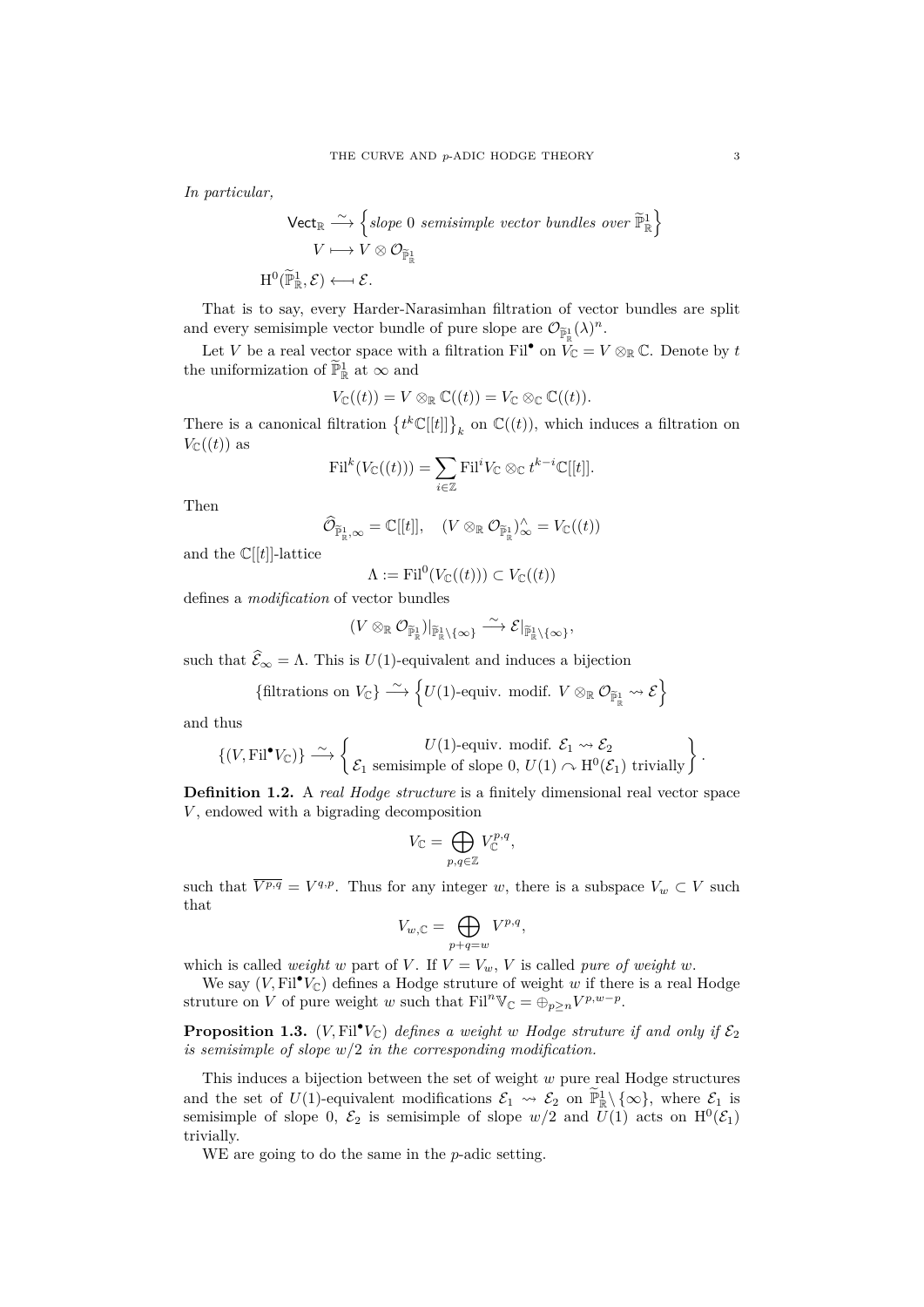*In particular,*

$$
\begin{aligned}\n\text{Vect}_{\mathbb{R}} &\xrightarrow{\sim} \left\{ slope \ 0 \ \text{semisimple vector bundles over } \widetilde{\mathbb{P}}_{\mathbb{R}}^1 \right\} \\
&\quad V \longmapsto V \otimes \mathcal{O}_{\widetilde{\mathbb{P}}_{\mathbb{R}}^1} \\
\text{H}^0(\widetilde{\mathbb{P}}_{\mathbb{R}}^1, \mathcal{E}) &\longleftarrow \mathcal{E}.\n\end{aligned}
$$

That is to say, every Harder-Narasimhan filtration of vector bundles are split and every semisimple vector bundle of pure slope are  $\mathcal{O}_{\widetilde{\mathbb{P}}^1_\mathbb{R}}(\lambda)^n$ .

Let *V* be a real vector space with a filtration Fil<sup>•</sup> on  $V_{\mathbb{C}} = V \otimes_{\mathbb{R}} \mathbb{C}$ . Denote by *t* the uniformization of  $\mathbb{P}^1_{\mathbb{R}}$  at  $\infty$  and

$$
V_{\mathbb{C}}((t)) = V \otimes_{\mathbb{R}} \mathbb{C}((t)) = V_{\mathbb{C}} \otimes_{\mathbb{C}} \mathbb{C}((t)).
$$

There is a canonical filtration  $\{t^k\mathbb{C}[[t]]\}_k$  on  $\mathbb{C}((t))$ , which induces a filtration on  $V_{\mathbb{C}}((t))$  as

$$
\mathrm{Fil}^k(V_{\mathbb{C}}((t))) = \sum_{i \in \mathbb{Z}} \mathrm{Fil}^i V_{\mathbb{C}} \otimes_{\mathbb{C}} t^{k-i} \mathbb{C}[[t]].
$$

Then

$$
\widehat{\mathcal{O}}_{\widetilde{\mathbb{P}}^1_{\mathbb{R}}, \infty} = \mathbb{C}[[t]], \quad (V \otimes_{\mathbb{R}} \mathcal{O}_{\widetilde{\mathbb{P}}^1_{\mathbb{R}}})^{\wedge}_{\infty} = V_{\mathbb{C}}((t))
$$

and the  $\mathbb{C}[[t]]$ -lattice

 $\Lambda := \mathrm{Fil}^0(V_{\mathbb{C}}((t))) \subset V_{\mathbb{C}}((t))$ 

defines a *modification* of vector bundles

$$
(V\otimes_\mathbb{R}\mathcal{O}_{\widetilde{\mathbb{P}}^1_\mathbb{R}})_{\vert_{\widetilde{\mathbb{P}}^1_\mathbb{R}\setminus\{\infty\}}}\overset{\sim}{\longrightarrow} \mathcal{E}|_{\widetilde{\mathbb{P}}^1_\mathbb{R}\setminus\{\infty\}},
$$

such that  $\widehat{\mathcal{E}}_{\infty} = \Lambda$ . This is *U*(1)-equivalent and induces a bijection

{filtrations on 
$$
V_{\mathbb{C}}\}
$$
  $\xrightarrow{\sim} \{U(1)$ -equiv. modif.  $V \otimes_{\mathbb{R}} \mathcal{O}_{\widetilde{\mathbb{P}}_{\mathbb{R}}^1} \rightsquigarrow \mathcal{E}\}$ 

and thus

$$
\{(V, \mathrm{Fil}^{\bullet} V_{\mathbb{C}})\} \stackrel{\sim}{\longrightarrow} \left\{\begin{matrix} U(1)\text{-equiv. modif. } \mathcal{E}_1 \rightsquigarrow \mathcal{E}_2 \\ \mathcal{E}_1 \text{ semisimple of slope 0, } U(1) \curvearrowright \mathrm{H}^0(\mathcal{E}_1) \text{ trivially} \end{matrix}\right\}.
$$

**Definition 1.2.** A *real Hodge structure* is a finitely dimensional real vector space *V* , endowed with a bigrading decomposition

$$
V_{\mathbb C}=\bigoplus_{p,q\in\mathbb Z}V_{\mathbb C}^{p,q},
$$

such that  $\overline{V^{p,q}} = V^{q,p}$ . Thus for any integer *w*, there is a subspace  $V_w \subset V$  such that

$$
V_{w,\mathbb{C}} = \bigoplus_{p+q=w} V^{p,q},
$$

which is called *weight w* part of *V*. If  $V = V_w$ , *V* is called *pure of weight w*.

We say  $(V, \text{Fil}^{\bullet}V_{\mathbb{C}})$  defines a Hodge struture of weight *w* if there is a real Hodge struture on *V* of pure weight *w* such that  $\text{Fil}^n \mathbb{V}_{\mathbb{C}} = \bigoplus_{p \geq n} V^{p, w-p}$ .

**Proposition 1.3.** (*V*, Fil<sup>•</sup>*V*<sub>C</sub>) *defines a weight w Hodge struture if and only if*  $\mathcal{E}_2$ *is semisimple of slope w/*2 *in the corresponding modification.*

This induces a bijection between the set of weight *w* pure real Hodge structures and the set of  $U(1)$ -equivalent modifications  $\mathcal{E}_1 \rightsquigarrow \mathcal{E}_2$  on  $\tilde{\mathbb{P}}_{\mathbb{R}}^1 \setminus \{ \infty \}$ , where  $\mathcal{E}_1$  is semisimple of slope 0,  $\mathcal{E}_2$  is semisimple of slope  $w/2$  and  $U(1)$  acts on  $\mathrm{H}^0(\mathcal{E}_1)$ trivially.

WE are going to do the same in the *p*-adic setting.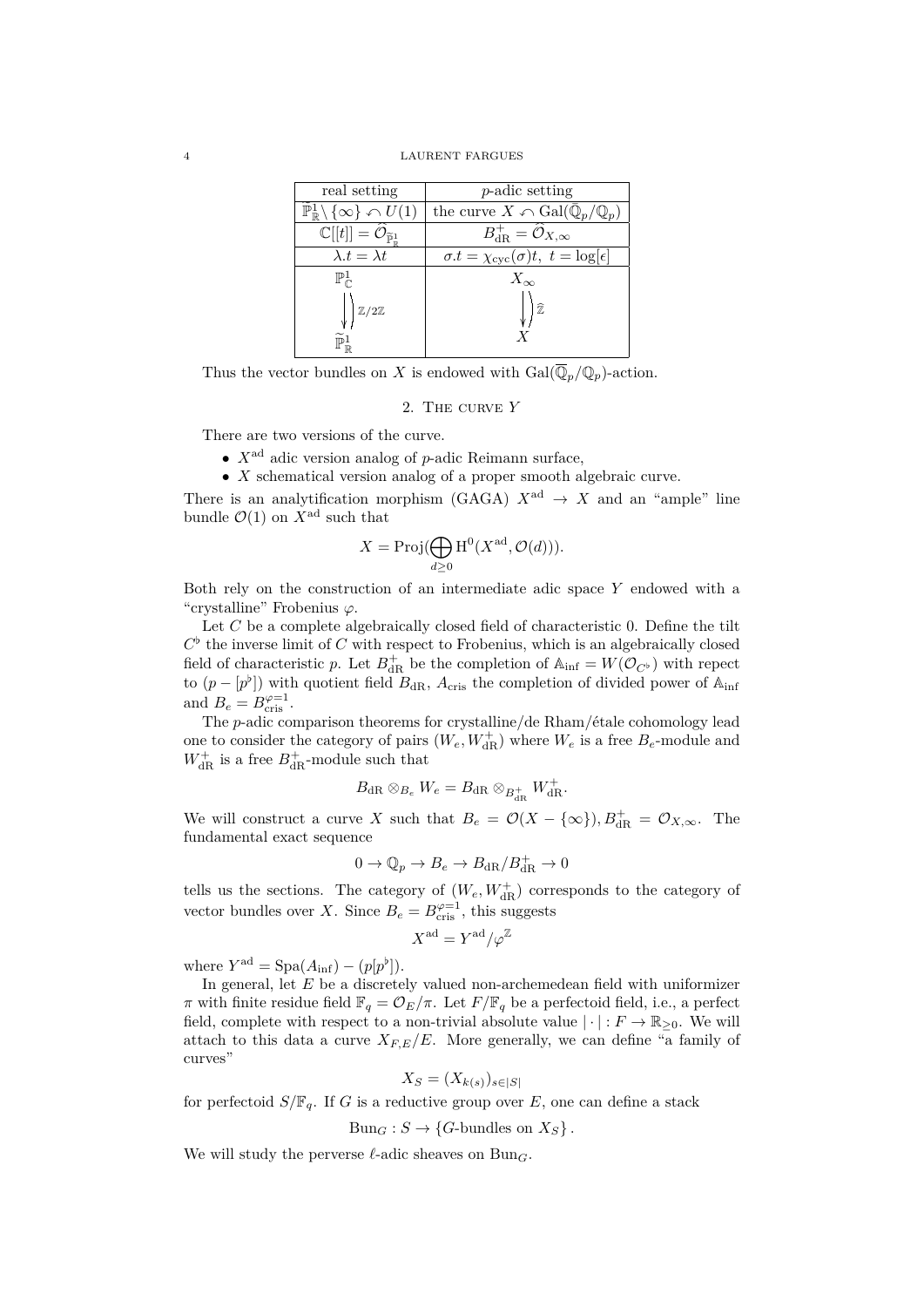#### 4 LAURENT FARGUES

| real setting                                                       | <i>p</i> -adic setting                                              |
|--------------------------------------------------------------------|---------------------------------------------------------------------|
| $\mathbb{P}^1_{\mathbb{R}}\setminus\{\infty\}\curvearrowleft U(1)$ | the curve $X \cap \text{Gal}(\overline{\mathbb{Q}}_p/\mathbb{Q}_p)$ |
| $\mathbb{C}[[t]]=\widehat{\mathcal{O}}_{\widetilde{\mathbb{P}}^1}$ | $B_{\mathrm{dR}}^+ = \widehat{\mathcal{O}}_{X,\infty}$              |
| $\overline{\lambda} \cdot t = \lambda t$                           | $\sigma.t = \chi_{\text{cyc}}(\sigma)t, t = \log[\epsilon]$         |
| $\mathbb{P}^1_{\cap}$                                              | $X_{\infty}$                                                        |
| $\mathbb{Z}/2\mathbb{Z}$                                           |                                                                     |

Thus the vector bundles on *X* is endowed with  $Gal(\overline{\mathbb{Q}}_n/\mathbb{Q}_p)$ -action.

## 2. The curve *Y*

<span id="page-3-0"></span>There are two versions of the curve.

- *• X*ad adic version analog of *p*-adic Reimann surface,
- *• X* schematical version analog of a proper smooth algebraic curve.

There is an analytification morphism (GAGA)  $X^{\text{ad}} \rightarrow X$  and an "ample" line bundle  $\mathcal{O}(1)$  on  $X^{\text{ad}}$  such that

$$
X = \text{Proj}(\bigoplus_{d \ge 0} \text{H}^0(X^{\text{ad}}, \mathcal{O}(d))).
$$

Both rely on the construction of an intermediate adic space *Y* endowed with a "crystalline" Frobenius *ϕ*.

Let *C* be a complete algebraically closed field of characteristic 0. Define the tilt  $C^{\flat}$  the inverse limit of *C* with respect to Frobenius, which is an algebraically closed field of characteristic *p*. Let  $B_{dR}^+$  be the completion of  $\mathbb{A}_{\text{inf}} = W(\mathcal{O}_{C^{\flat}})$  with repect to  $(p - [p^{\flat}])$  with quotient field  $B_{dR}$ ,  $A_{cris}$  the completion of divided power of  $\mathbb{A}_{int}$ and  $B_e = B_{\text{cris}}^{\varphi=1}$ .

The *p*-adic comparison theorems for crystalline/de Rham/étale cohomology lead one to consider the category of pairs  $(W_e, W_{\text{dR}}^+)$  where  $W_e$  is a free  $B_e$ -module and  $W_{\mathrm{dR}}^{+}$  is a free  $B_{\mathrm{dR}}^{+}$ -module such that

$$
B_{\mathrm{dR}} \otimes_{B_e} W_e = B_{\mathrm{dR}} \otimes_{B_{\mathrm{dR}}^+} W_{\mathrm{dR}}^+.
$$

We will construct a curve *X* such that  $B_e = \mathcal{O}(X - \{\infty\})$ ,  $B_{dR}^+ = \mathcal{O}_{X,\infty}$ . The fundamental exact sequence

$$
0\to \mathbb{Q}_p\to B_e\to B_{\mathrm{dR}}/B_{\mathrm{dR}}^+\to 0
$$

tells us the sections. The category of  $(W_e, W_{\text{dR}}^+)$  corresponds to the category of vector bundles over *X*. Since  $B_e = B_{\text{cris}}^{\varphi=1}$ , this suggests

$$
X^{\rm ad}=Y^{\rm ad}/\varphi^{\mathbb{Z}}
$$

where  $Y^{\text{ad}} = \text{Spa}(A_{\text{inf}}) - (p[p^{\flat}]).$ 

In general, let *E* be a discretely valued non-archemedean field with uniformizer *π* with finite residue field  $\mathbb{F}_q = \mathcal{O}_E/\pi$ . Let  $F/\mathbb{F}_q$  be a perfectoid field, i.e., a perfect field, complete with respect to a non-trivial absolute value  $|\cdot|: F \to \mathbb{R}_{\geq 0}$ . We will attach to this data a curve  $X_{F,E}/E$ . More generally, we can define "a family of curves"

$$
X_S = (X_{k(s)})_{s \in |S|}
$$

for perfectoid  $S/\mathbb{F}_q$ . If *G* is a reductive group over *E*, one can define a stack

 $Bun_G : S \to \{G\text{-bundles on } X_S\}.$ 

We will study the perverse  $\ell$ -adic sheaves on Bun<sub>G</sub>.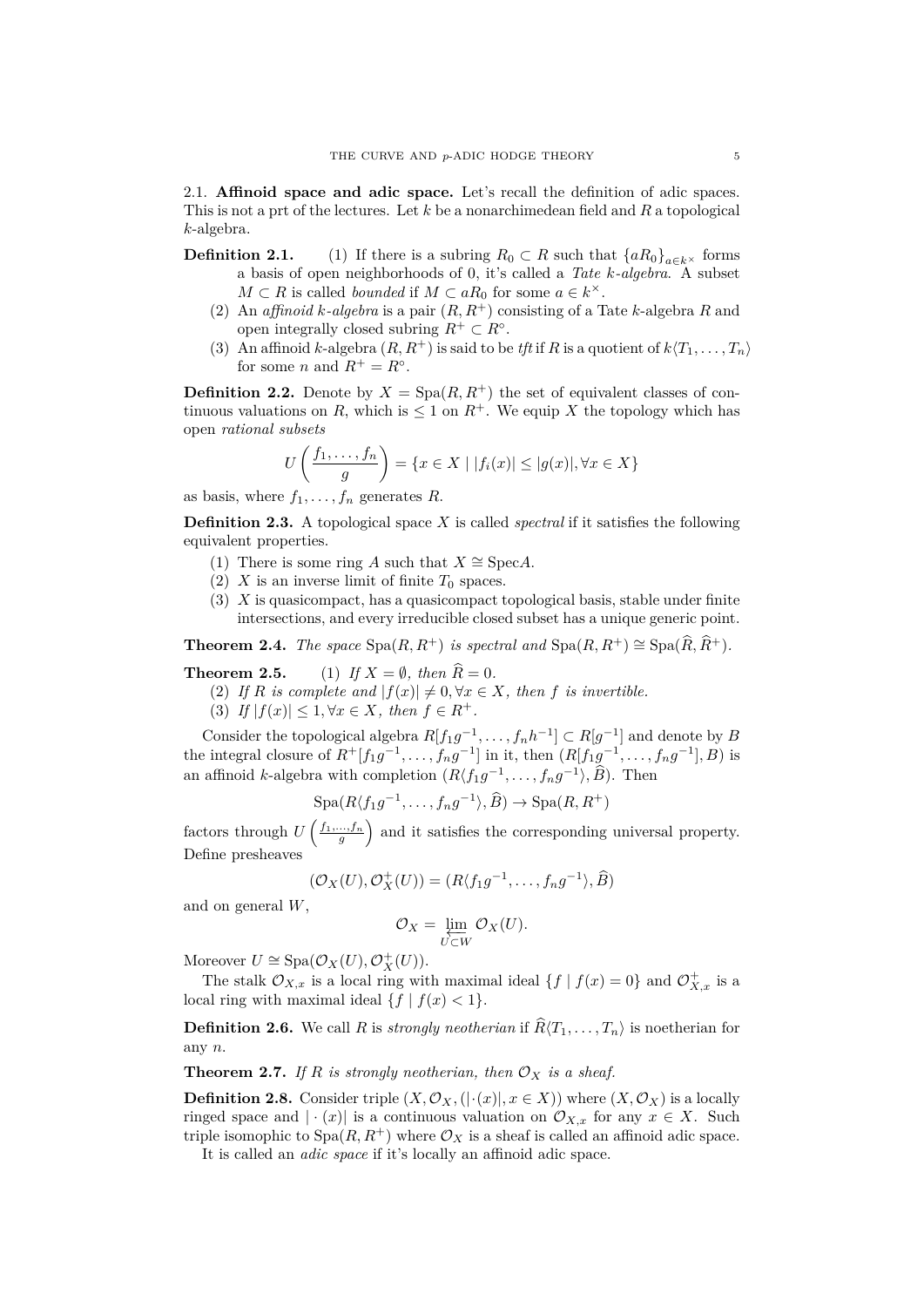<span id="page-4-0"></span>2.1. **Affinoid space and adic space.** Let's recall the definition of adic spaces. This is not a prt of the lectures. Let *k* be a nonarchimedean field and *R* a topological *k*-algebra.

- **Definition 2.1.** (1) If there is a subring  $R_0 \subset R$  such that  $\{aR_0\}_{a \in k^\times}$  forms a basis of open neighborhoods of 0, it's called a *Tate k-algebra*. A subset  $M \subset R$  is called *bounded* if  $M \subset aR_0$  for some  $a \in k^{\times}$ .
	- (2) An *affinoid*  $k$ -*algebra* is a pair  $(R, R^+)$  consisting of a Tate  $k$ -algebra  $R$  and open integrally closed subring  $R^+ \subset R^\circ$ .
	- (3) An affinoid *k*-algebra  $(R, R^+)$  is said to be *tft* if *R* is a quotient of  $k\langle T_1, \ldots, T_n \rangle$ for some *n* and  $R^+ = R^\circ$ .

**Definition 2.2.** Denote by  $X = \text{Spa}(R, R^+)$  the set of equivalent classes of continuous valuations on *R*, which is  $\leq 1$  on  $R^+$ . We equip *X* the topology which has open *rational subsets*

$$
U\left(\frac{f_1,\ldots,f_n}{g}\right) = \{x \in X \mid |f_i(x)| \le |g(x)|, \forall x \in X\}
$$

as basis, where  $f_1, \ldots, f_n$  generates  $R$ .

**Definition 2.3.** A topological space *X* is called *spectral* if it satisfies the following equivalent properties.

- (1) There is some ring *A* such that  $X \cong \text{Spec} A$ .
- (2) *X* is an inverse limit of finite  $T_0$  spaces.
- (3) *X* is quasicompact, has a quasicompact topological basis, stable under finite intersections, and every irreducible closed subset has a unique generic point.

**Theorem 2.4.** *The space*  $\text{Spa}(R, R^+)$  *is spectral and*  $\text{Spa}(R, R^+) \cong \text{Spa}(\widehat{R}, \widehat{R}^+)$ *.* 

**Theorem 2.5.** (1) *If*  $X = \emptyset$ *, then*  $\widehat{R} = 0$ *.* 

- (2) If *R* is complete and  $|f(x)| \neq 0, \forall x \in X$ , then *f* is invertible.
- (3) *If*  $|f(x)| \leq 1, \forall x \in X$ , then  $f \in R^+$ .

Consider the topological algebra  $R[f_1g^{-1}, \ldots, f_nh^{-1}] \subset R[g^{-1}]$  and denote by *B* the integral closure of  $R^+[f_1g^{-1}, \ldots, f_ng^{-1}]$  in it, then  $(R[f_1g^{-1}, \ldots, f_ng^{-1}], B)$  is an affinoid *k*-algebra with completion  $(R\langle f_1g^{-1}, \ldots, f_ng^{-1} \rangle, \widehat{B})$ . Then

$$
Spa(R\langle f_1g^{-1},\ldots,f_ng^{-1}\rangle,\widehat{B})\to Spa(R,R^+)
$$

factors through  $U\left(\frac{f_1,\ldots,f_n}{g}\right)$  and it satisfies the corresponding universal property. Define presheaves

$$
(\mathcal{O}_X(U), \mathcal{O}_X^+(U)) = (R\langle f_1g^{-1}, \dots, f_ng^{-1}\rangle, \widehat{B})
$$

and on general *W*,

$$
\mathcal{O}_X = \varprojlim_{U \subset W} \mathcal{O}_X(U).
$$

Moreover  $U \cong \text{Spa}(\mathcal{O}_X(U), \mathcal{O}_X^+(U)).$ 

The stalk  $\mathcal{O}_{X,x}$  is a local ring with maximal ideal  $\{f \mid f(x) = 0\}$  and  $\mathcal{O}_{X,x}^+$  is a local ring with maximal ideal  $\{f \mid f(x) < 1\}$ .

**Definition 2.6.** We call *R* is *strongly neotherian* if  $\widehat{R}(T_1, \ldots, T_n)$  is noetherian for any *n*.

**Theorem 2.7.** *If*  $R$  *is strongly neotherian, then*  $\mathcal{O}_X$  *is a sheaf.* 

**Definition 2.8.** Consider triple  $(X, \mathcal{O}_X, (|\cdot(x)|, x \in X))$  where  $(X, \mathcal{O}_X)$  is a locally ringed space and  $| \cdot (x) |$  is a continuous valuation on  $\mathcal{O}_{X,x}$  for any  $x \in X$ . Such triple isomophic to  $Spa(R, R^+)$  where  $\mathcal{O}_X$  is a sheaf is called an affinoid adic space.

It is called an *adic space* if it's locally an affinoid adic space.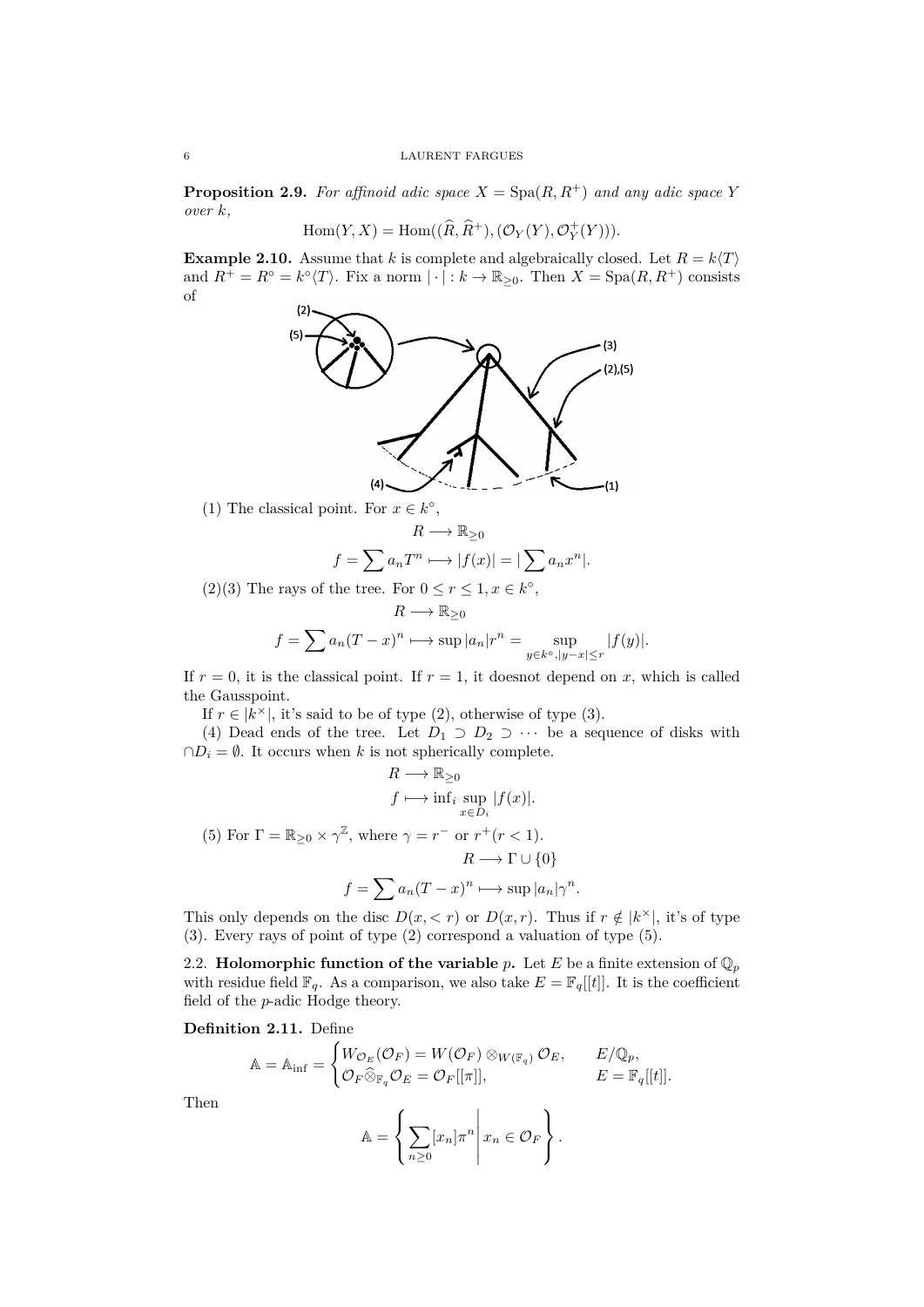**Proposition 2.9.** *For affinoid adic space*  $X = \text{Spa}(R, R^+)$  *and any adic space Y over k,*

$$
Hom(Y, X) = Hom((\widehat{R}, \widehat{R}^+), (\mathcal{O}_Y(Y), \mathcal{O}_Y^+(Y))).
$$

**Example 2.10.** Assume that *k* is complete and algebraically closed. Let  $R = k\langle T \rangle$ and  $R^+ = R^\circ = k^\circ \langle T \rangle$ . Fix a norm  $| \cdot | : k \to \mathbb{R}_{\geq 0}$ . Then  $X = \text{Spa}(R, R^+)$  consists of



(1) The classical point. For  $x \in k^{\circ}$ ,

$$
R \longrightarrow \mathbb{R}_{\geq 0}
$$

$$
f = \sum a_n T^n \longmapsto |f(x)| = |\sum a_n x^n|.
$$

(2)(3) The rays of the tree. For  $0 \le r \le 1, x \in k^{\circ}$ ,

$$
R \longrightarrow \mathbb{R}_{\geq 0}
$$
  

$$
f = \sum a_n (T - x)^n \longmapsto \sup |a_n|r^n = \sup_{y \in k^\circ, |y - x| \leq r} |f(y)|.
$$

If  $r = 0$ , it is the classical point. If  $r = 1$ , it doesnot depend on x, which is called the Gausspoint.

If  $r \in |k^{\times}|$ , it's said to be of type (2), otherwise of type (3).

(4) Dead ends of the tree. Let  $D_1 \supset D_2 \supset \cdots$  be a sequence of disks with  $\cap D_i = \emptyset$ . It occurs when *k* is not spherically complete.

$$
R \longrightarrow \mathbb{R}_{\geq 0}
$$
  
\n
$$
f \longmapsto \inf_{x \in D_i} |f(x)|.
$$
  
\n(5) For  $\Gamma = \mathbb{R}_{\geq 0} \times \gamma^{\mathbb{Z}}$ , where  $\gamma = r^-$  or  $r^+(r < 1)$ .  
\n
$$
R \longrightarrow \Gamma \cup \{0\}
$$
  
\n
$$
f = \sum a_n (T - x)^n \longmapsto \sup |a_n| \gamma^n.
$$

This only depends on the disc  $D(x, < r)$  or  $D(x, r)$ . Thus if  $r \notin |k^{\times}|$ , it's of type (3). Every rays of point of type (2) correspond a valuation of type (5).

<span id="page-5-0"></span>2.2. **Holomorphic function of the variable**  $p$ . Let  $E$  be a finite extension of  $\mathbb{Q}_p$ with residue field  $\mathbb{F}_q$ . As a comparison, we also take  $E = \mathbb{F}_q[[t]]$ . It is the coefficient field of the *p*-adic Hodge theory.

**Definition 2.11.** Define

$$
\mathbb{A} = \mathbb{A}_{\text{inf}} = \begin{cases} W_{\mathcal{O}_E}(\mathcal{O}_F) = W(\mathcal{O}_F) \otimes_{W(\mathbb{F}_q)} \mathcal{O}_E, & E/\mathbb{Q}_p, \\ \mathcal{O}_F \widehat{\otimes}_{\mathbb{F}_q} \mathcal{O}_E = \mathcal{O}_F[[\pi]], & E = \mathbb{F}_q[[t]]. \end{cases}
$$

Then

$$
\mathbb{A} = \left\{ \left. \sum_{n \geq 0} [x_n] \pi^n \right| x_n \in \mathcal{O}_F \right\}.
$$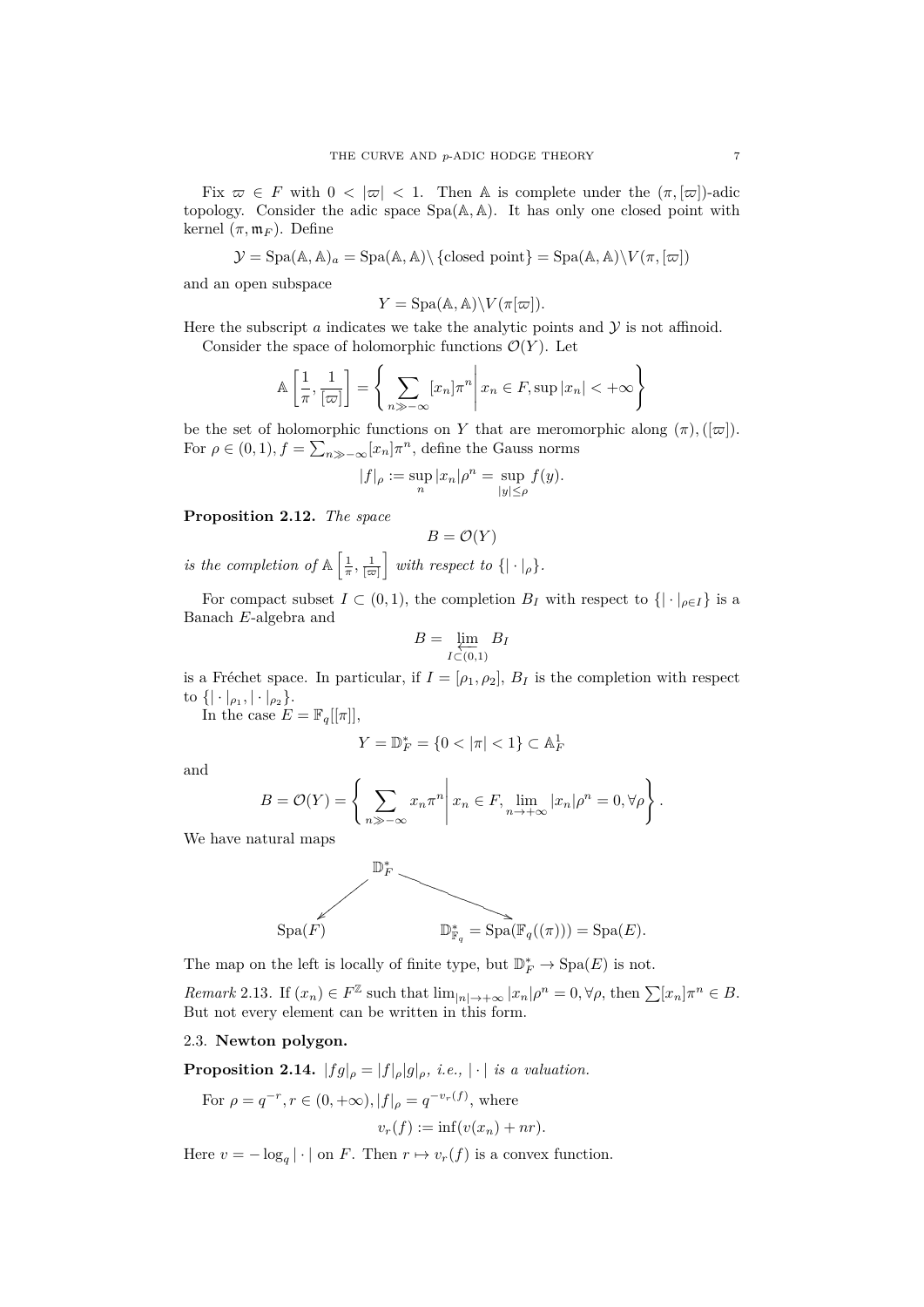Fix  $\varpi \in F$  with  $0 < |\varpi| < 1$ . Then A is complete under the  $(\pi, |\varpi|)$ -adic topology. Consider the adic space Spa(A*,* A). It has only one closed point with kernel  $(\pi, \mathfrak{m}_F)$ . Define

$$
\mathcal{Y} = \text{Spa}(\mathbb{A}, \mathbb{A})_a = \text{Spa}(\mathbb{A}, \mathbb{A}) \setminus \{\text{closed point}\} = \text{Spa}(\mathbb{A}, \mathbb{A}) \setminus V(\pi, [\varpi])
$$

and an open subspace

$$
Y = \text{Spa}(\mathbb{A}, \mathbb{A}) \backslash V(\pi[\varpi]).
$$

Here the subscript  $a$  indicates we take the analytic points and  $\mathcal Y$  is not affinoid. Consider the space of holomorphic functions  $\mathcal{O}(Y)$ . Let

$$
\mathbb{A}\left[\frac{1}{\pi}, \frac{1}{[\varpi]}\right] = \left\{\sum_{n \gg -\infty} [x_n] \pi^n \middle| x_n \in F, \sup |x_n| < +\infty \right\}
$$

be the set of holomorphic functions on *Y* that are meromorphic along  $(\pi)$ ,  $([\varpi])$ . For  $\rho \in (0,1)$ ,  $f = \sum_{n \gg -\infty} [x_n] \pi^n$ , define the Gauss norms

$$
|f|_{\rho} := \sup_{n} |x_n|\rho^n = \sup_{|y| \le \rho} f(y).
$$

**Proposition 2.12.** *The space*

$$
B = \mathcal{O}(Y)
$$

*is the completion of*  $\mathbb{A} \left[ \frac{1}{\pi}, \frac{1}{[\varpi]} \right]$ *with respect to*  $\{|\cdot|_{\rho}\}.$ 

For compact subset  $I \subset (0,1)$ , the completion  $B_I$  with respect to  $\{|\cdot|_{\rho \in I}\}\$ is a Banach *E*-algebra and

$$
B = \varprojlim_{I \subset (0,1)} B_I
$$

is a Fréchet space. In particular, if  $I = [\rho_1, \rho_2], B_I$  is the completion with respect  $\text{to } \{ |\cdot|_{\rho_1}, |\cdot|_{\rho_2} \}.$ 

In the case  $E = \mathbb{F}_q[[\pi]],$ 

$$
Y = \mathbb{D}_F^* = \{0 < |\pi| < 1\} \subset \mathbb{A}_F^1
$$

and

$$
B = \mathcal{O}(Y) = \left\{ \sum_{n \gg -\infty} x_n \pi^n \middle| x_n \in F, \lim_{n \to +\infty} |x_n| \rho^n = 0, \forall \rho \right\}.
$$

We have natural maps



The map on the left is locally of finite type, but  $\mathbb{D}_F^* \to \text{Spa}(E)$  is not.

Remark 2.13. If  $(x_n) \in F^{\mathbb{Z}}$  such that  $\lim_{|n| \to +\infty} |x_n| \rho^n = 0, \forall \rho$ , then  $\sum [x_n] \pi^n \in B$ . But not every element can be written in this form.

# <span id="page-6-0"></span>2.3. **Newton polygon.**

**Proposition 2.14.**  $|fg|_{\rho} = |f|_{\rho} |g|_{\rho}$ , *i.e.*,  $| \cdot |$  *is a valuation.* 

For  $\rho = q^{-r}, r \in (0, +\infty), |f|_{\rho} = q^{-v_r(f)},$  where

$$
v_r(f) := \inf(v(x_n) + nr).
$$

Here  $v = -\log_q|\cdot|$  on *F*. Then  $r \mapsto v_r(f)$  is a convex function.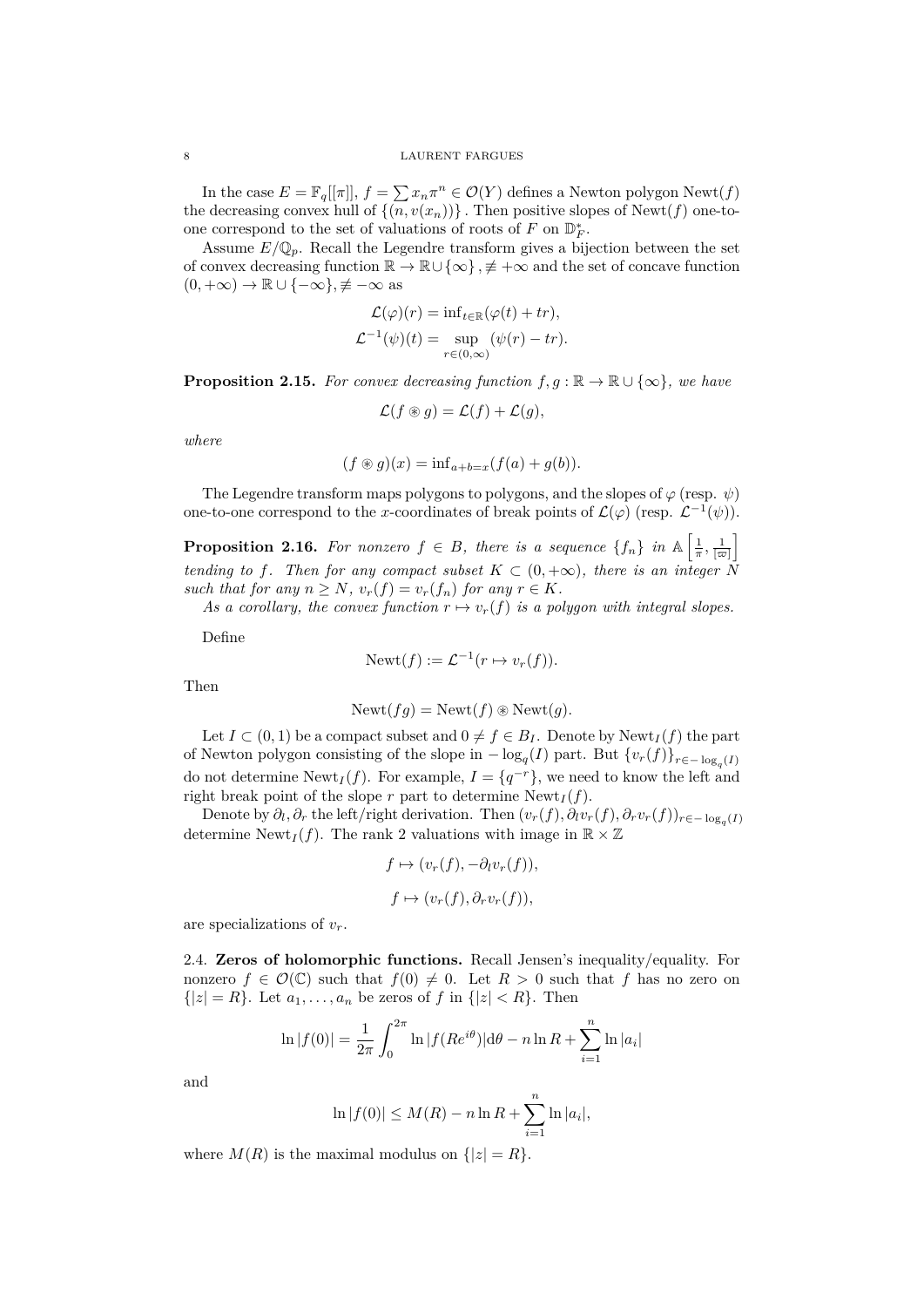In the case  $E = \mathbb{F}_q[[\pi]], f = \sum x_n \pi^n \in \mathcal{O}(Y)$  defines a Newton polygon Newt(*f*) the decreasing convex hull of  $\{(n, v(x_n))\}$ . Then positive slopes of Newt(f) one-toone correspond to the set of valuations of roots of *F* on  $\mathbb{D}_F^*$ .

Assume  $E/\mathbb{Q}_p$ . Recall the Legendre transform gives a bijection between the set of convex decreasing function R *→* R*∪ {∞} , 6≡* +*∞* and the set of concave function (0*,* +*∞*) *→* R *∪ {−∞}, 6≡ −∞* as

$$
\mathcal{L}(\varphi)(r) = \inf_{t \in \mathbb{R}} (\varphi(t) + tr),
$$
  

$$
\mathcal{L}^{-1}(\psi)(t) = \sup_{r \in (0,\infty)} (\psi(r) - tr).
$$

**Proposition 2.15.** *For convex decreasing function*  $f, g : \mathbb{R} \to \mathbb{R} \cup \{\infty\}$ *, we have* 

$$
\mathcal{L}(f \circledast g) = \mathcal{L}(f) + \mathcal{L}(g),
$$

*where*

$$
(f \circledast g)(x) = \inf_{a+b=x} (f(a) + g(b)).
$$

The Legendre transform maps polygons to polygons, and the slopes of  $\varphi$  (resp.  $\psi$ ) one-to-one correspond to the *x*-coordinates of break points of  $\mathcal{L}(\varphi)$  (resp.  $\mathcal{L}^{-1}(\psi)$ ).

**Proposition 2.16.** For nonzero  $f \in B$ , there is a sequence  $\{f_n\}$  in  $\mathbb{A} \left[ \frac{1}{\pi}, \frac{1}{\lfloor \varpi \rfloor} \right]$ i *tending to f*. Then for any compact subset  $K \subset (0, +\infty)$ , there is an integer  $\tilde{N}$ *such that for any*  $n \geq N$ *,*  $v_r(f) = v_r(f_n)$  *for any*  $r \in K$ *.* 

As a corollary, the convex function  $r \mapsto v_r(f)$  is a polygon with integral slopes.

Define

$$
Newt(f) := \mathcal{L}^{-1}(r \mapsto v_r(f)).
$$

Then

$$
Newt(fg) = Newt(f) \circledast Newt(g).
$$

Let  $I \subset (0,1)$  be a compact subset and  $0 \neq f \in B_I$ . Denote by Newt<sub>I</sub>  $(f)$  the part of Newton polygon consisting of the slope in  $-\log_q(I)$  part. But  $\{v_r(f)\}_{r \in -\log_q(I)}$ do not determine  $\text{Newt}_I(f)$ . For example,  $I = \{q^{-r}\}\$ , we need to know the left and right break point of the slope *r* part to determine  $\text{Newt}_I(f)$ .

Denote by  $\partial_l$ ,  $\partial_r$  the left/right derivation. Then  $(v_r(f), \partial_l v_r(f), \partial_r v_r(f))_{r \in -\log_q(I)}$ determine Newt<sub>I</sub>(f). The rank 2 valuations with image in  $\mathbb{R} \times \mathbb{Z}$ 

$$
f \mapsto (v_r(f), -\partial_l v_r(f)),
$$
  

$$
f \mapsto (v_r(f), \partial_r v_r(f)),
$$

are specializations of *vr*.

<span id="page-7-0"></span>2.4. **Zeros of holomorphic functions.** Recall Jensen's inequality/equality. For nonzero  $f \in \mathcal{O}(\mathbb{C})$  such that  $f(0) \neq 0$ . Let  $R > 0$  such that f has no zero on  $\{|z| = R\}$ . Let  $a_1, \ldots, a_n$  be zeros of  $f$  in  $\{|z| < R\}$ . Then

$$
\ln|f(0)| = \frac{1}{2\pi} \int_0^{2\pi} \ln|f(Re^{i\theta})| d\theta - n \ln R + \sum_{i=1}^n \ln|a_i|
$$

and

$$
\ln |f(0)| \le M(R) - n \ln R + \sum_{i=1}^{n} \ln |a_i|,
$$

where  $M(R)$  is the maximal modulus on  $\{|z|=R\}$ .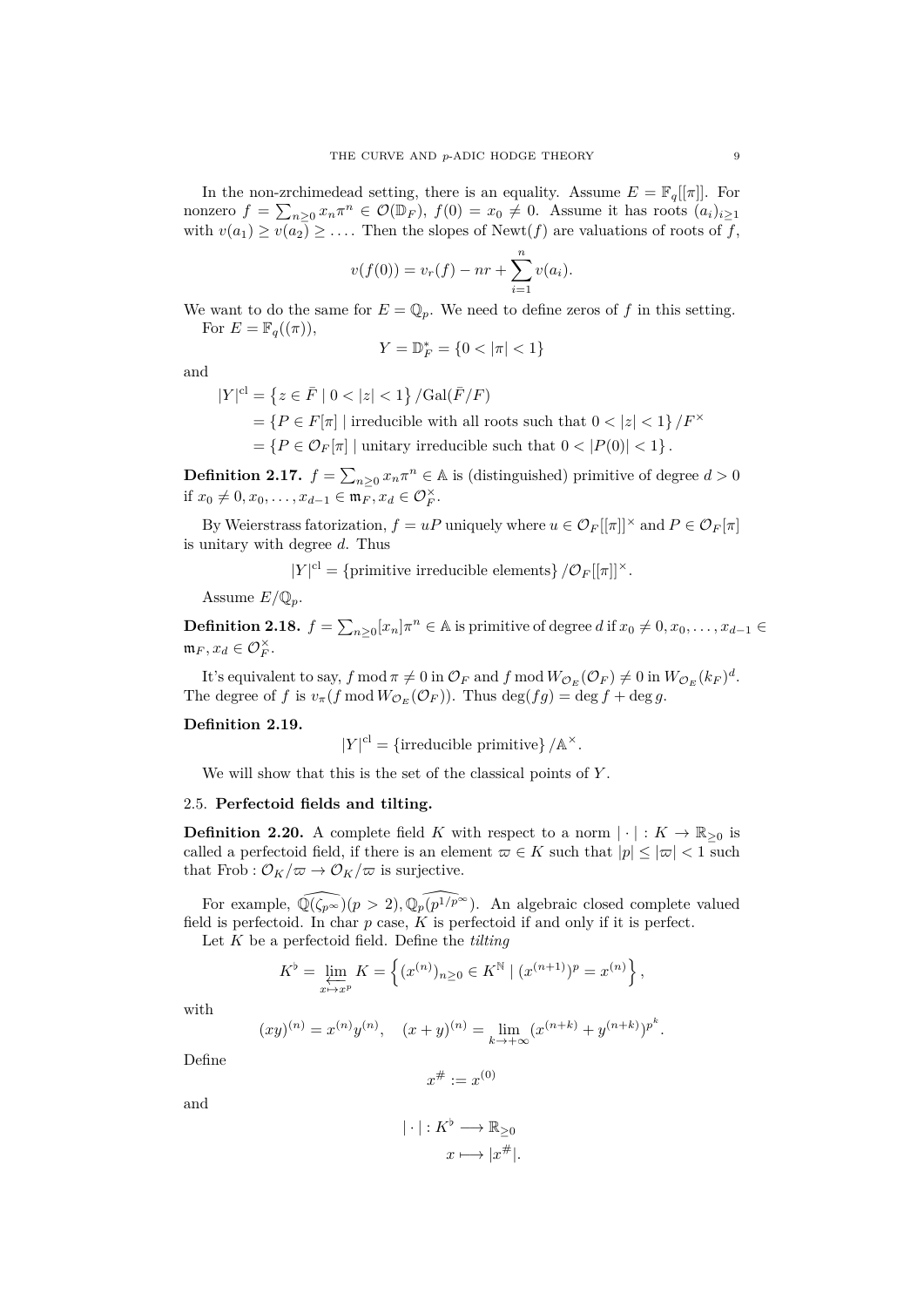In the non-zrchimedead setting, there is an equality. Assume  $E = \mathbb{F}_q[[\pi]]$ . For nonzero  $f = \sum_{n\geq 0} x_n \pi^n \in \mathcal{O}(\mathbb{D}_F)$ ,  $f(0) = x_0 \neq 0$ . Assume it has roots  $(a_i)_{i\geq 1}$ with  $v(a_1) \ge v(a_2) \ge \ldots$ . Then the slopes of Newt(*f*) are valuations of roots of *f*,

$$
v(f(0)) = v_r(f) - nr + \sum_{i=1}^n v(a_i).
$$

We want to do the same for  $E = \mathbb{Q}_p$ . We need to define zeros of f in this setting. For  $E = \mathbb{F}_q((\pi))$ ,

$$
Y = \mathbb{D}_F^* = \{0 < |\pi| < 1\}
$$

and

$$
|Y|^{\mathrm{cl}}=\left\{z\in \bar{F}\mid 0<|z|<1\right\}/\mathrm{Gal}(\bar{F}/F)
$$

 $=$   ${P \in F[\pi] |$  irreducible with all roots such that  $0 < |z| < 1}$  / $F^{\times}$ 

 $= \{ P \in \mathcal{O}_F[\pi] \mid \text{unitary irreducible such that } 0 < |P(0)| < 1 \}.$ 

**Definition 2.17.**  $f = \sum_{n\geq 0} x_n \pi^n \in \mathbb{A}$  is (distinguished) primitive of degree  $d > 0$ if  $x_0 \neq 0, x_0, \ldots, x_{d-1} \in \mathfrak{m}_F, x_d \in \mathcal{O}_F^{\times}$ .

By Weierstrass fatorization,  $f = uP$  uniquely where  $u \in \mathcal{O}_F[[\pi]]^{\times}$  and  $P \in \mathcal{O}_F[\pi]$ is unitary with degree *d*. Thus

 $|Y|^{\text{cl}} = \{\text{primitive irreducible elements}\}\}/\mathcal{O}_F[[\pi]]^{\times}$ .

Assume  $E/\mathbb{Q}_p$ .

**Definition 2.18.**  $f = \sum_{n\geq 0} [x_n] \pi^n \in A$  is primitive of degree *d* if  $x_0 \neq 0, x_0, \ldots, x_{d-1} \in A$  $\mathfrak{m}_F, x_d \in \mathcal{O}_F^{\times}$ .

It's equivalent to say,  $f \mod \pi \neq 0$  in  $\mathcal{O}_F$  and  $f \mod W_{\mathcal{O}_E}(\mathcal{O}_F) \neq 0$  in  $W_{\mathcal{O}_E}(k_F)^d$ . The degree of *f* is  $v_{\pi}(f \mod W_{\mathcal{O}_E}(\mathcal{O}_F))$ . Thus  $\deg(fg) = \deg f + \deg g$ .

#### **Definition 2.19.**

 $|Y|$ <sup>cl</sup> = {irreducible primitive}  $/$  Å<sup> $\times$ </sup>.

We will show that this is the set of the classical points of *Y* .

### <span id="page-8-0"></span>2.5. **Perfectoid fields and tilting.**

**Definition 2.20.** A complete field *K* with respect to a norm  $|\cdot|: K \to \mathbb{R}_{\geq 0}$  is called a perfectoid field, if there is an element  $\varpi \in K$  such that  $|p| \leq |\varpi| < 1$  such that Frob :  $\mathcal{O}_K/\varpi \to \mathcal{O}_K/\varpi$  is surjective.

For example,  $\widehat{\mathbb{Q}(\zeta_{p^\infty})}(p > 2), \widehat{\mathbb{Q}_p}(p^{1/p^\infty})$ . An algebraic closed complete valued field is perfectoid. In char *p* case, *K* is perfectoid if and only if it is perfect.

Let *K* be a perfectoid field. Define the *tilting*

$$
K^{\flat} = \varprojlim_{x \mapsto x^{p}} K = \left\{ (x^{(n)})_{n \geq 0} \in K^{\mathbb{N}} \mid (x^{(n+1)})^{p} = x^{(n)} \right\},\,
$$

with

$$
(xy)^{(n)} = x^{(n)}y^{(n)}, \quad (x+y)^{(n)} = \lim_{k \to +\infty} (x^{(n+k)} + y^{(n+k)})^{p^k}.
$$

Define

$$
x^\# := x^{(0)}
$$

and

$$
|\cdot|: K^{\flat} \longrightarrow \mathbb{R}_{\geq 0}
$$

$$
x \longmapsto |x^{\#}|.
$$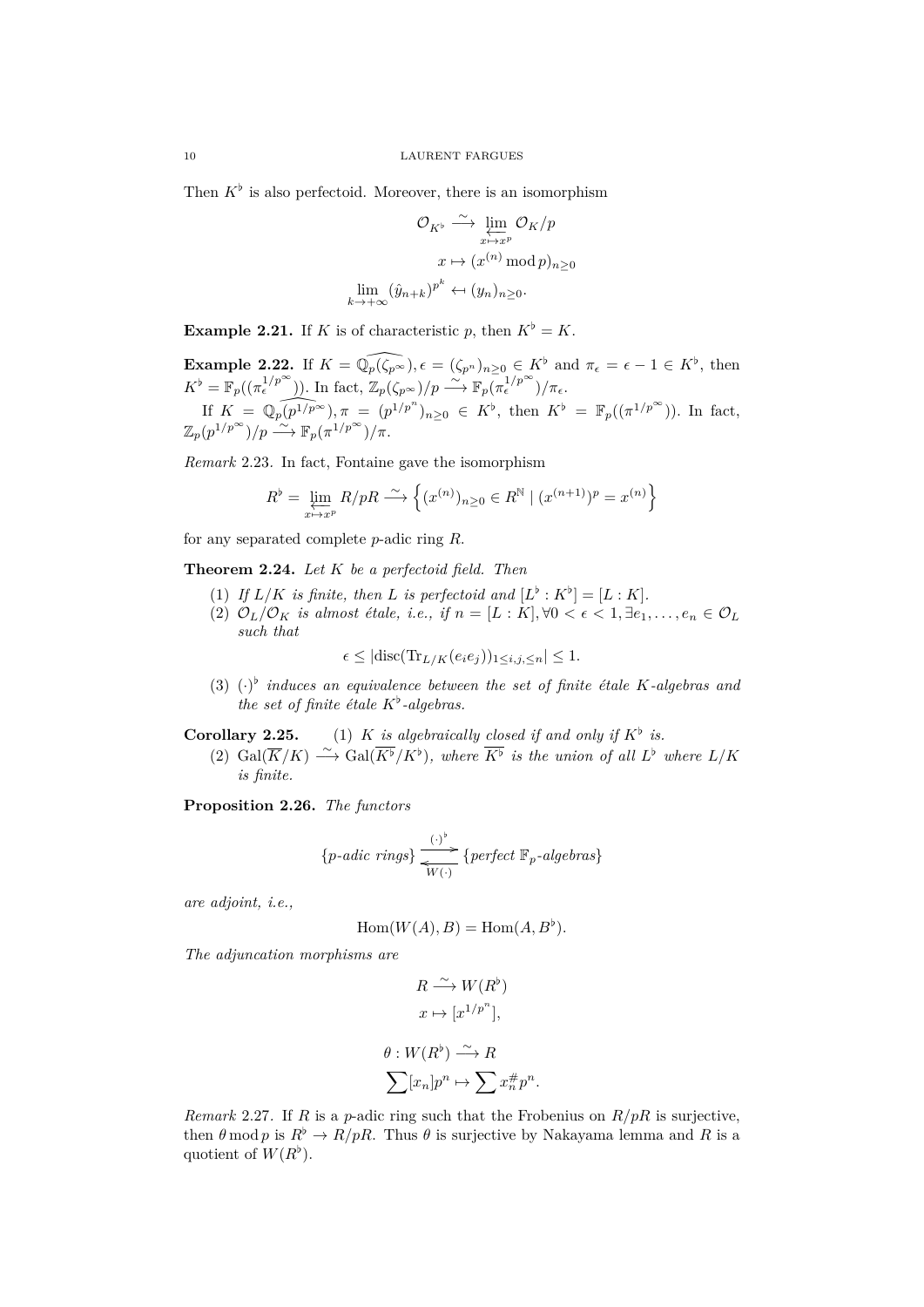Then  $K^{\flat}$  is also perfectoid. Moreover, there is an isomorphism

$$
\mathcal{O}_{K^{\flat}} \xrightarrow{\sim} \varprojlim_{x \mapsto x^p} \mathcal{O}_K/p
$$

$$
x \mapsto (x^{(n)} \bmod p)_{n \ge 0}
$$

$$
\lim_{x \to +\infty} (\hat{y}_{n+k})^{p^k} \leftarrow (y_n)_{n \ge 0}.
$$

**Example 2.21.** If *K* is of characteristic *p*, then  $K^{\flat} = K$ .

*k→*+*∞*

**Example 2.22.** If  $K = \mathbb{Q}_p(\zeta_{p^{\infty}}), \epsilon = (\zeta_{p^n})_{n \geq 0} \in K^{\flat}$  and  $\pi_{\epsilon} = \epsilon - 1 \in K^{\flat}$ , then  $K^{\flat} = \mathbb{F}_p((\pi_{\epsilon}^{1/p^{\infty}}))$ *.* In fact,  $\mathbb{Z}_p(\zeta_{p^{\infty}})/p \longrightarrow \mathbb{F}_p(\pi_{\epsilon}^{1/p^{\infty}})/\pi_{\epsilon}$ *.* If  $K = \mathbb{Q}_p(p^{1/p^{\infty}}), \pi = (p^{1/p^n})_{n \geq 0} \in K^{\flat}$ , then  $K^{\flat} = \mathbb{F}_p((\pi^{1/p^{\infty}}))$ . In fact,  $\mathbb{Z}_p(p^{1/p^{\infty}})/p \stackrel{\sim}{\longrightarrow} \mathbb{F}_p(\pi^{1/p^{\infty}})/\pi.$ 

*Remark* 2.23*.* In fact, Fontaine gave the isomorphism

$$
R^{\flat} = \varprojlim_{x \mapsto x^{p}} R/pR \xrightarrow{\sim} \left\{ (x^{(n)})_{n \geq 0} \in R^{\mathbb{N}} \mid (x^{(n+1)})^{p} = x^{(n)} \right\}
$$

for any separated complete *p*-adic ring *R*.

**Theorem 2.24.** *Let K be a perfectoid field. Then*

- (1) If  $L/K$  is finite, then L is perfectoid and  $[L^{\flat}: K^{\flat}] = [L:K]$ .
- (2)  $\mathcal{O}_L/\mathcal{O}_K$  *is almost étale, i.e., if*  $n = [L : K], \forall 0 < \epsilon < 1, \exists e_1, \ldots, e_n \in \mathcal{O}_L$ *such that*

$$
\epsilon \leq |\text{disc}(\text{Tr}_{L/K}(e_i e_j))_{1 \leq i,j,\leq n}| \leq 1.
$$

(3)  $(\cdot)^{b}$  *induces an equivalence between the set of finite étale K*-algebras and *the set of finite étale K♭ -algebras.*

**Corollary 2.25.** (1) *K is algebraically closed if and only if*  $K^{\flat}$  *is.* 

(2) Gal( $\overline{K}/K$ ) → Gal( $\overline{K}$ <sup>*b*</sup>/ $K$ <sup>*b*</sup>), where  $\overline{K}$ <sup>*b*</sup> *is the union of all*  $L$ <sup>*b*</sup> where  $L/K$ *is finite.*

**Proposition 2.26.** *The functors*

$$
\{p\textrm{-}adic\,\,\textrm{rings}\} \xrightarrow[\text{W(\cdot)}]{\text{(*)}} \{perfect\,\,\mathbb{F}_p\textrm{-}algebras\}
$$

*are adjoint, i.e.,*

$$
Hom(W(A), B) = Hom(A, B^{\flat}).
$$

*The adjuncation morphisms are*

$$
R \xrightarrow{\sim} W(R^{\flat})
$$

$$
x \mapsto [x^{1/p^n}],
$$

$$
\theta: W(R^{\flat}) \xrightarrow{\sim} R
$$

$$
\sum [x_n]p^n \mapsto \sum x_n^{\#}p^n.
$$

*Remark* 2.27*.* If *R* is a *p*-adic ring such that the Frobenius on *R/pR* is surjective, then  $\theta$  mod *p* is  $R^{\flat} \to R/pR$ . Thus  $\theta$  is surjective by Nakayama lemma and *R* is a quotient of  $W(R^{\flat})$ .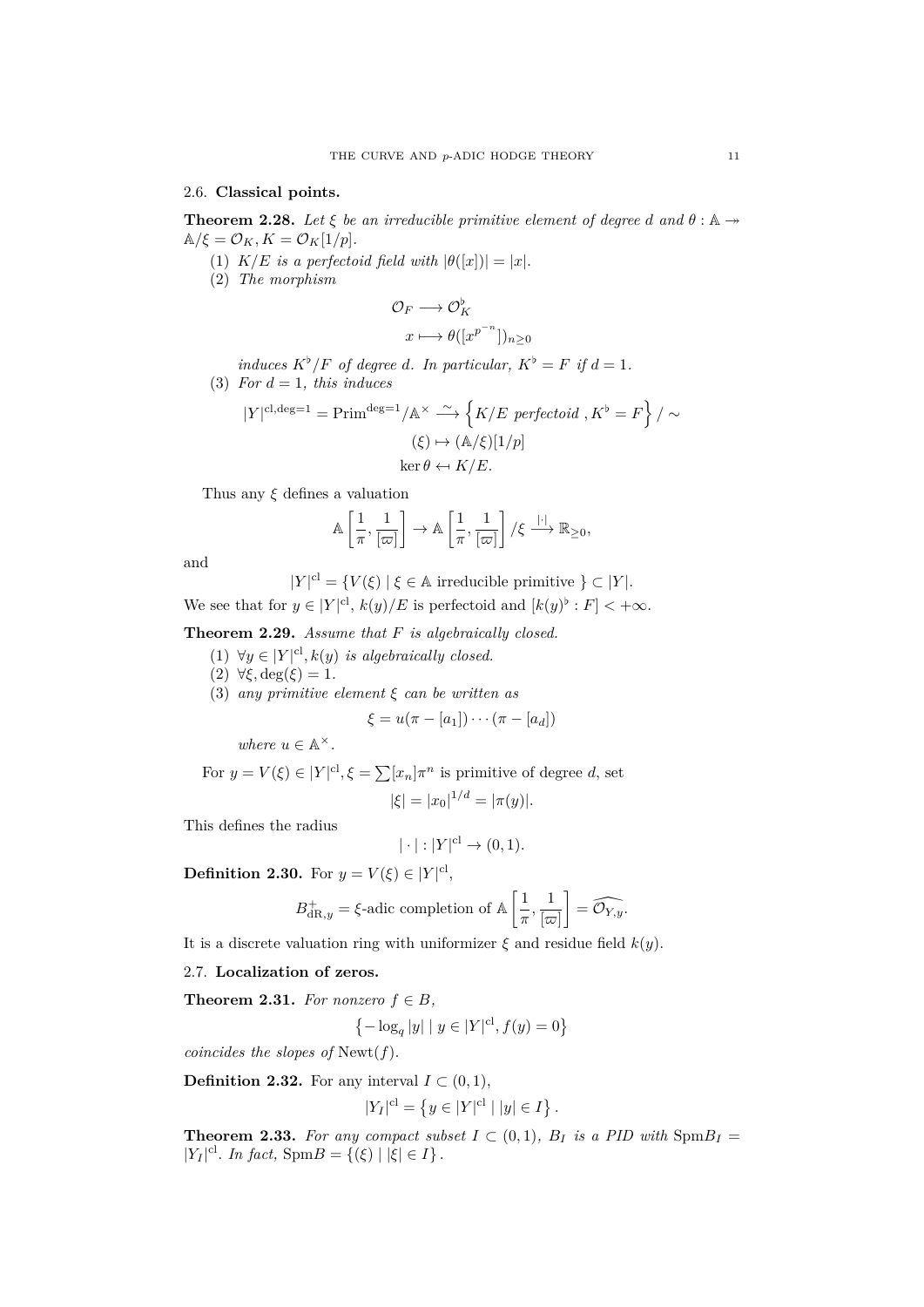## <span id="page-10-0"></span>2.6. **Classical points.**

**Theorem 2.28.** Let  $\xi$  be an irreducible primitive element of degree *d* and  $\theta : \mathbb{A} \rightarrow$  $\mathbb{A}/\xi = \mathcal{O}_K, K = \mathcal{O}_K[1/p].$ 

- (1)  $K/E$  *is a perfectoid field with*  $|\theta([x])| = |x|$ *.*
- (2) *The morphism*

$$
\mathcal{O}_F \longrightarrow \mathcal{O}_K^{\flat}
$$

$$
x \longmapsto \theta([x^{p^{-n}}])_{n \ge 0}
$$

*induces*  $K^{\flat}/F$  *of degree d. In particular,*  $K^{\flat} = F$  *if*  $d = 1$ *.* (3) *For*  $d = 1$ *, this induces* 

$$
|Y|^{\text{cl,deg}=1} = \text{Prim}^{\text{deg}=1}/\mathbb{A}^{\times} \xrightarrow{\sim} \left\{ K/E \text{ perfectoid}, K^{\flat} = F \right\} / \sim
$$
  

$$
(\xi) \mapsto (\mathbb{A}/\xi)[1/p]
$$
  

$$
\ker \theta \leftarrow K/E.
$$

Thus any *ξ* defines a valuation

$$
\mathbb{A}\left[\frac{1}{\pi},\frac{1}{[\varpi]}\right] \to \mathbb{A}\left[\frac{1}{\pi},\frac{1}{[\varpi]}\right]/\xi \xrightarrow{| \cdot |} \mathbb{R}_{\geq 0},
$$

and

$$
|Y|^{cl} = \{ V(\xi) \mid \xi \in \mathbb{A} \text{ irreducible primitive } \} \subset |Y|.
$$

We see that for  $y \in |Y|^{cl}$ ,  $k(y)/E$  is perfectoid and  $[k(y)^{\flat}: F] < +\infty$ .

**Theorem 2.29.** *Assume that F is algebraically closed.*

- $(1)$   $∀y ∈ |Y|^{cl}, k(y)$  *is algebraically closed.*
- (2) *∀ξ,* deg(*ξ*) = 1*.*
- (3) *any primitive element ξ can be written as*

$$
\xi = u(\pi - [a_1]) \cdots (\pi - [a_d])
$$

*where*  $u \in \mathbb{A}^{\times}$ .

For  $y = V(\xi) \in |Y|^{cl}, \xi = \sum [x_n] \pi^n$  is primitive of degree *d*, set  $|\xi| = |x_0|^{1/d} = |\pi(y)|$ .

This defines the radius

$$
|\cdot|:|Y|^{\mathrm{cl}}\to (0,1).
$$

**Definition 2.30.** For  $y = V(\xi) \in |Y|^{cl}$ ,

$$
B_{{\mathrm{dR}},y}^+=\xi\text{-}\mathrm{adic\,\, completion \,\, of\,\,} \mathbb{A}\left[\frac{1}{\pi},\frac{1}{[\varpi]}\right]=\widehat{\mathcal{O}_{Y,y}}.
$$

It is a discrete valuation ring with uniformizer  $\xi$  and residue field  $k(y)$ .

# <span id="page-10-1"></span>2.7. **Localization of zeros.**

**Theorem 2.31.** For nonzero  $f \in B$ ,

$$
\left\{-\log_q|y|\mid y\in|Y|^{\mathrm{cl}}, f(y)=0\right\}
$$

*coincides the slopes of* Newt(*f*)*.*

**Definition 2.32.** For any interval  $I \subset (0,1)$ ,

$$
|Y_I|^{\mathrm{cl}} = \{ y \in |Y|^{\mathrm{cl}} \mid |y| \in I \}.
$$

**Theorem 2.33.** For any compact subset  $I \subset (0,1)$ ,  $B_I$  is a PID with  $SpmB_I =$ *|Y<sub>I</sub>*|<sup>cl</sup>. *In fact,* Spm*B* = {(*ξ*) | |*ξ*|  $\in$  *I*}.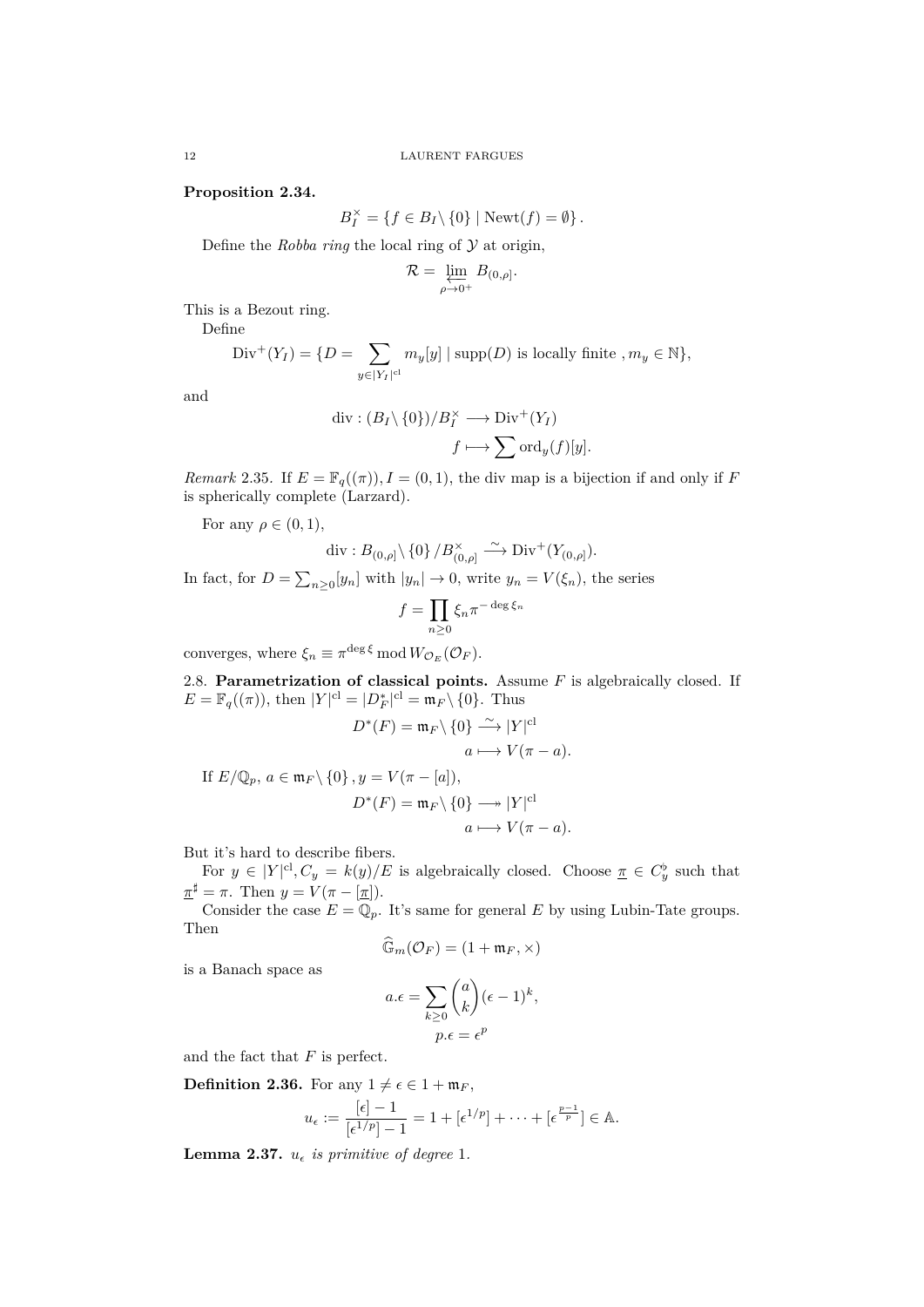**Proposition 2.34.**

$$
B_I^\times = \{ f \in B_I \setminus \{0\} \mid \text{Newt}(f) = \emptyset \}.
$$

Define the *Robba ring* the local ring of *Y* at origin,

$$
\mathcal{R} = \varprojlim_{\rho \to 0^+} B_{(0,\rho]}.
$$

This is a Bezout ring.

Define

Div<sup>+</sup>(Y<sub>I</sub>) = {
$$
D = \sum_{y \in |Y_I|^{cl}} m_y[y]
$$
 | supp( $D$ ) is locally finite,  $m_y \in \mathbb{N}$ },

and

$$
\operatorname{div} : (B_I \setminus \{0\})/B_I^{\times} \longrightarrow \operatorname{Div}^+(Y_I)
$$

$$
f \longmapsto \sum \operatorname{ord}_y(f)[y].
$$

*Remark* 2.35*.* If  $E = \mathbb{F}_q((\pi))$ ,  $I = (0,1)$ , the div map is a bijection if and only if *F* is spherically complete (Larzard).

For any  $\rho \in (0, 1)$ ,

$$
\mathrm{div}: B_{(0,\rho]}\backslash\left\{0\right\} / B_{(0,\rho]}^\times \stackrel{\sim}{\longrightarrow} \mathrm{Div}^+(Y_{(0,\rho]}).
$$

In fact, for  $D = \sum_{n\geq 0} [y_n]$  with  $|y_n| \to 0$ , write  $y_n = V(\xi_n)$ , the series

$$
f = \prod_{n \ge 0} \xi_n \pi^{-\deg \xi_n}
$$

converges, where  $\xi_n \equiv \pi^{\deg \xi} \mod W_{\mathcal{O}_E}(\mathcal{O}_F)$ .

<span id="page-11-0"></span>2.8. **Parametrization of classical points.** Assume *F* is algebraically closed. If  $E = \mathbb{F}_q((\pi))$ , then  $|Y|^{cl} = |D^*|^{cl} = \mathfrak{m}_F \setminus \{0\}$ . Thus

$$
D^*(F) = \mathfrak{m}_F \setminus \{0\} \xrightarrow{\sim} |Y|^{cl}
$$

$$
a \longmapsto V(\pi - a).
$$

If  $E/\mathbb{Q}_p$ ,  $a \in \mathfrak{m}_F \setminus \{0\}$ ,  $y = V(\pi - [a]),$  $D^*(F) = \mathfrak{m}_F \setminus \{0\} \longrightarrow |Y|^{cl}$  $a \mapsto V(\pi - a)$ .

But it's hard to describe fibers.

For  $y \in |Y|^{cl}, C_y = k(y)/E$  is algebraically closed. Choose  $\underline{\pi} \in C_y^{\flat}$  such that  $\pi^{\sharp} = \pi$ . Then  $y = V(\pi - [\pi]).$ 

Consider the case  $E = \mathbb{Q}_p$ . It's same for general *E* by using Lubin-Tate groups. Then

$$
\widehat{\mathbb{G}}_m(\mathcal{O}_F) = (1 + \mathfrak{m}_F, \times)
$$

is a Banach space as

$$
a.\epsilon = \sum_{k \ge 0} \binom{a}{k} (\epsilon - 1)^k,
$$
  

$$
p.\epsilon = \epsilon^p
$$

and the fact that *F* is perfect.

**Definition 2.36.** For any  $1 \neq \epsilon \in 1 + \mathfrak{m}_F$ ,

$$
u_{\epsilon}:=\frac{[\epsilon]-1}{[\epsilon^{1/p}]-1}=1+[\epsilon^{1/p}]+\cdots+[\epsilon^{\frac{p-1}{p}}]\in\mathbb{A}.
$$

**Lemma 2.37.**  $u_{\epsilon}$  *is primitive of degree* 1.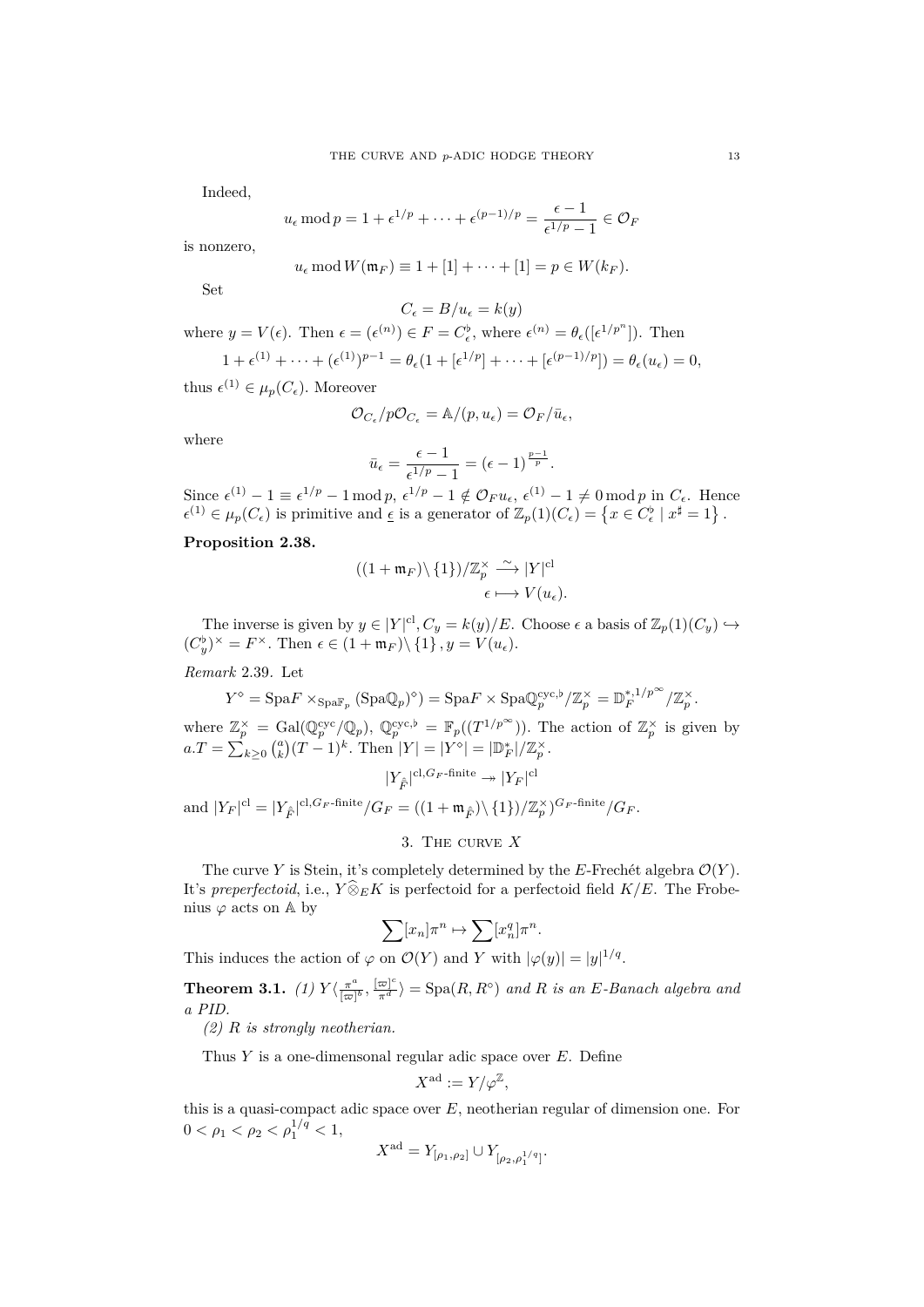Indeed,

$$
u_{\epsilon} \mod p = 1 + \epsilon^{1/p} + \cdots + \epsilon^{(p-1)/p} = \frac{\epsilon - 1}{\epsilon^{1/p} - 1} \in \mathcal{O}_F
$$

is nonzero,

$$
u_{\epsilon} \bmod W(\mathfrak{m}_F) \equiv 1 + [1] + \cdots + [1] = p \in W(k_F).
$$

Set

$$
C_\epsilon=B/u_\epsilon=k(y)
$$

where  $y = V(\epsilon)$ . Then  $\epsilon = (\epsilon^{(n)}) \in F = C_{\epsilon}^{\flat}$ , where  $\epsilon^{(n)} = \theta_{\epsilon}([\epsilon^{1/p^{n}}])$ . Then

$$
1+\epsilon^{(1)}+\cdots+(\epsilon^{(1)})^{p-1}=\theta_{\epsilon}(1+[\epsilon^{1/p}]+\cdots+[\epsilon^{(p-1)/p}])=\theta_{\epsilon}(u_{\epsilon})=0,
$$

thus  $\epsilon^{(1)} \in \mu_p(C_{\epsilon})$ . Moreover

$$
\mathcal{O}_{C_{\epsilon}}/p\mathcal{O}_{C_{\epsilon}} = \mathbb{A}/(p, u_{\epsilon}) = \mathcal{O}_F/\bar{u}_{\epsilon},
$$

where

$$
\bar{u}_{\epsilon} = \frac{\epsilon - 1}{\epsilon^{1/p} - 1} = (\epsilon - 1)^{\frac{p-1}{p}}.
$$

Since  $\epsilon^{(1)} - 1 \equiv \epsilon^{1/p} - 1 \mod p$ ,  $\epsilon^{1/p} - 1 \notin \mathcal{O}_F u_\epsilon$ ,  $\epsilon^{(1)} - 1 \neq 0 \mod p$  in  $C_\epsilon$ . Hence  $\epsilon^{(1)} \in \mu_p(C_{\epsilon})$  is primitive and  $\underline{\epsilon}$  is a generator of  $\mathbb{Z}_p(1)(C_{\epsilon}) = \{x \in C_{\epsilon}^{\flat} \mid x^{\sharp} = 1\}$ .

# **Proposition 2.38.**

$$
((1+\mathfrak{m}_F)\backslash \{1\})/\mathbb{Z}_p^{\times} \xrightarrow{\sim} |Y|^\mathrm{cl}
$$

$$
\epsilon \longmapsto V(u_\epsilon).
$$

The inverse is given by  $y \in |Y|^{cl}$ ,  $C_y = k(y)/E$ . Choose  $\epsilon$  a basis of  $\mathbb{Z}_p(1)(C_y) \hookrightarrow$  $(C_y^{\flat})^{\times} = F^{\times}$ . Then  $\epsilon \in (1 + \mathfrak{m}_F) \setminus \{1\}$ ,  $y = V(u_{\epsilon})$ .

*Remark* 2.39*.* Let

$$
Y^{\diamond} = \text{Spa} F \times_{\text{Spa} \mathbb{F}_p} (\text{Spa} \mathbb{Q}_p)^{\diamond}) = \text{Spa} F \times \text{Spa} \mathbb{Q}_p^{\text{cyc},\flat} / \mathbb{Z}_p^{\times} = \mathbb{D}_F^{*,1/p^{\infty}} / \mathbb{Z}_p^{\times}.
$$

where  $\mathbb{Z}_p^{\times} = \text{Gal}(\mathbb{Q}_p^{\text{cyc}}/\mathbb{Q}_p)$ ,  $\mathbb{Q}_p^{\text{cyc},\flat} = \mathbb{F}_p((T^{1/p^{\infty}}))$ . The action of  $\mathbb{Z}_p^{\times}$  is given by  $a.T = \sum_{k\geq 0} {a \choose k} (T-1)^k$ . Then  $|Y| = |Y^{\diamond}| = |\mathbb{D}_F^*| / \mathbb{Z}_p^{\times}$ .

$$
|Y_{\hat{F}}|^{\mathrm{cl},G_F\text{-finite}}\twoheadrightarrow |Y_F|^{\mathrm{cl}}
$$

and  $|Y_F|^{\text{cl}} = |Y_{\hat{F}}|^{\text{cl}, G_F\text{-finite}} / G_F = ((1 + \mathfrak{m}_{\hat{F}}) \setminus \{1\}) / \mathbb{Z}_p^{\times})^{G_F\text{-finite}} / G_F.$ 

# 3. The curve *X*

<span id="page-12-0"></span>The curve *Y* is Stein, it's completely determined by the *E*-Frechét algebra  $\mathcal{O}(Y)$ . It's *preperfectoid*, i.e.,  $Y \widehat{\otimes}_E K$  is perfectoid for a perfectoid field  $K/E$ . The Frobenius  $\varphi$  acts on  $\mathbb A$  by

$$
\sum [x_n] \pi^n \mapsto \sum [x_n^q] \pi^n.
$$

This induces the action of  $\varphi$  on  $\mathcal{O}(Y)$  and Y with  $|\varphi(y)| = |y|^{1/q}$ .

**Theorem 3.1.** *(1)*  $Y\left(\frac{\pi^a}{\ln^n}\right)$  $\frac{\pi^a}{[\varpi]^b}, \frac{[\varpi]^c}{\pi^d}$   $\rangle = \text{Spa}(R, R^o)$  and R is an *E*-Banach algebra and *a PID.*

*(2) R is strongly neotherian.*

Thus *Y* is a one-dimensonal regular adic space over *E*. Define

$$
X^{\operatorname{ad}}:=Y/\varphi^{\mathbb Z},
$$

this is a quasi-compact adic space over *E*, neotherian regular of dimension one. For  $0 < \rho_1 < \rho_2 < \rho_1^{1/q} < 1$ ,

$$
X^{\text{ad}} = Y_{[\rho_1,\rho_2]} \cup Y_{[\rho_2,\rho_1^{1/q}]}.
$$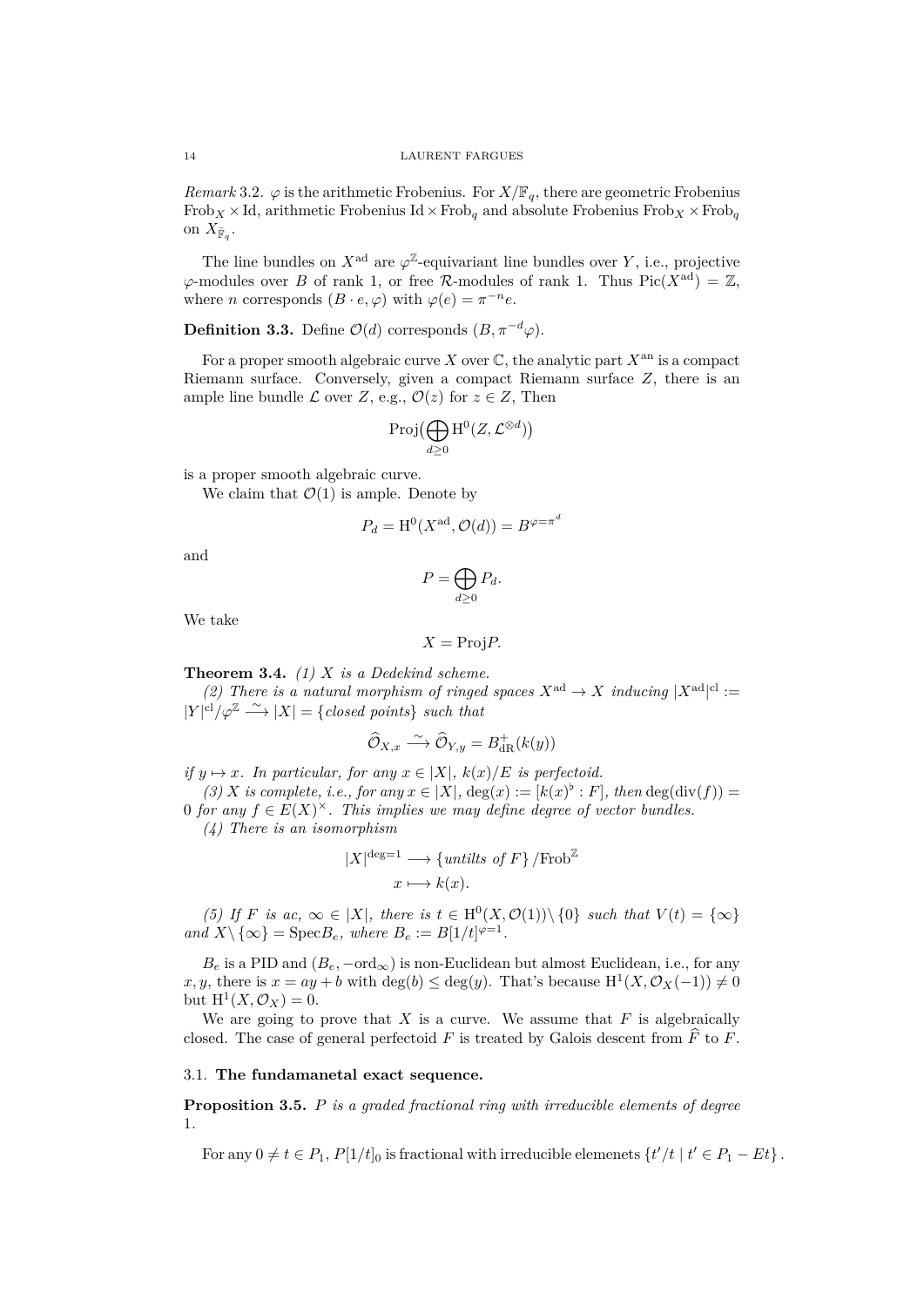*Remark* 3.2.  $\varphi$  is the arithmetic Frobenius. For  $X/\mathbb{F}_q$ , there are geometric Frobenius Frob<sub>*X*</sub>  $\times$ Id, arithmetic Frobenius Id $\times$ Frob<sub>*q*</sub> and absolute Frobenius Frob<sub>*X*</sub>  $\times$  Frob<sub>*q*</sub> on  $X_{\bar{\mathbb{F}}_q}$ .

The line bundles on  $X^{\text{ad}}$  are  $\varphi^{\mathbb{Z}}$ -equivariant line bundles over *Y*, i.e., projective  $\varphi$ -modules over *B* of rank 1, or free *R*-modules of rank 1. Thus Pic( $X^{\text{ad}}$ ) = Z, where *n* corresponds  $(B \cdot e, \varphi)$  with  $\varphi(e) = \pi^{-n}e$ .

**Definition 3.3.** Define  $\mathcal{O}(d)$  corresponds  $(B, \pi^{-d}\varphi)$ .

For a proper smooth algebraic curve *X* over  $\mathbb C$ , the analytic part  $X^{\text{an}}$  is a compact Riemann surface. Conversely, given a compact Riemann surface *Z*, there is an ample line bundle *L* over *Z*, e.g.,  $\mathcal{O}(z)$  for  $z \in Z$ , Then

$$
\operatorname{Proj}(\bigoplus_{d\geq 0} \operatorname{H}^0(Z,\mathcal{L}^{\otimes d}) )
$$

is a proper smooth algebraic curve.

We claim that  $\mathcal{O}(1)$  is ample. Denote by

$$
P_d = \mathrm{H}^0(X^{\mathrm{ad}}, \mathcal{O}(d)) = B^{\varphi = \pi^d}
$$

and

$$
P = \bigoplus_{d \ge 0} P_d.
$$

We take

$$
X = \text{Proj} P.
$$

**Theorem 3.4.** *(1) X is a Dedekind scheme.*

*(2) There is a natural morphism of ringed spaces*  $X^{\text{ad}} \to X$  *inducing*  $|X^{\text{ad}}|^{cl}$  :=  $|Y|^{cl}/\varphi^{\mathbb{Z}} \longrightarrow |X| = \{closed \ points\} \ such \ that$ 

$$
\widehat{\mathcal{O}}_{X,x} \xrightarrow{\sim} \widehat{\mathcal{O}}_{Y,y} = B_{\mathrm{dR}}^+(k(y))
$$

*if*  $y \mapsto x$ *. In particular, for any*  $x \in |X|$ *,*  $k(x)/E$  *is perfectoid.* 

 $(3)$  *X is complete, i.e., for any*  $x \in [X]$ ,  $\deg(x) := [k(x)^{\flat} : F]$ , then  $\deg(\text{div}(f)) =$ 0 *for any*  $f \in E(X)^\times$ . This implies we may define degree of vector bundles.

*(4) There is an isomorphism*

$$
|X|^{\text{deg}=1} \longrightarrow \{ \text{untilts of } F \} / \text{Frob}^{\mathbb{Z}}
$$

$$
x \longmapsto k(x).
$$

(5) If *F* is ac,  $\infty \in |X|$ , there is  $t \in H^0(X, \mathcal{O}(1)) \setminus \{0\}$  such that  $V(t) = \{\infty\}$  $and X \setminus {\infty}$  = Spec $B_e$ *, where*  $B_e := B[1/t]^{\varphi=1}$ .

 $B_e$  is a PID and  $(B_e, -ord_\infty)$  is non-Euclidean but almost Euclidean, i.e., for any  $x, y$ , there is  $x = ay + b$  with  $\deg(b) \leq \deg(y)$ . That's because  $H^1(X, \mathcal{O}_X(-1)) \neq 0$ but  $H^1(X, \mathcal{O}_X) = 0$ .

We are going to prove that  $X$  is a curve. We assume that  $F$  is algebraically closed. The case of general perfectoid  $F$  is treated by Galois descent from  $\widehat{F}$  to  $F$ .

<span id="page-13-0"></span>3.1. **The fundamanetal exact sequence.**

**Proposition 3.5.** *P is a graded fractional ring with irreducible elements of degree* 1*.*

For any  $0 \neq t \in P_1$ ,  $P[1/t]_0$  is fractional with irreducible elemenets  $\{t'/t \mid t' \in P_1 - Et\}$ .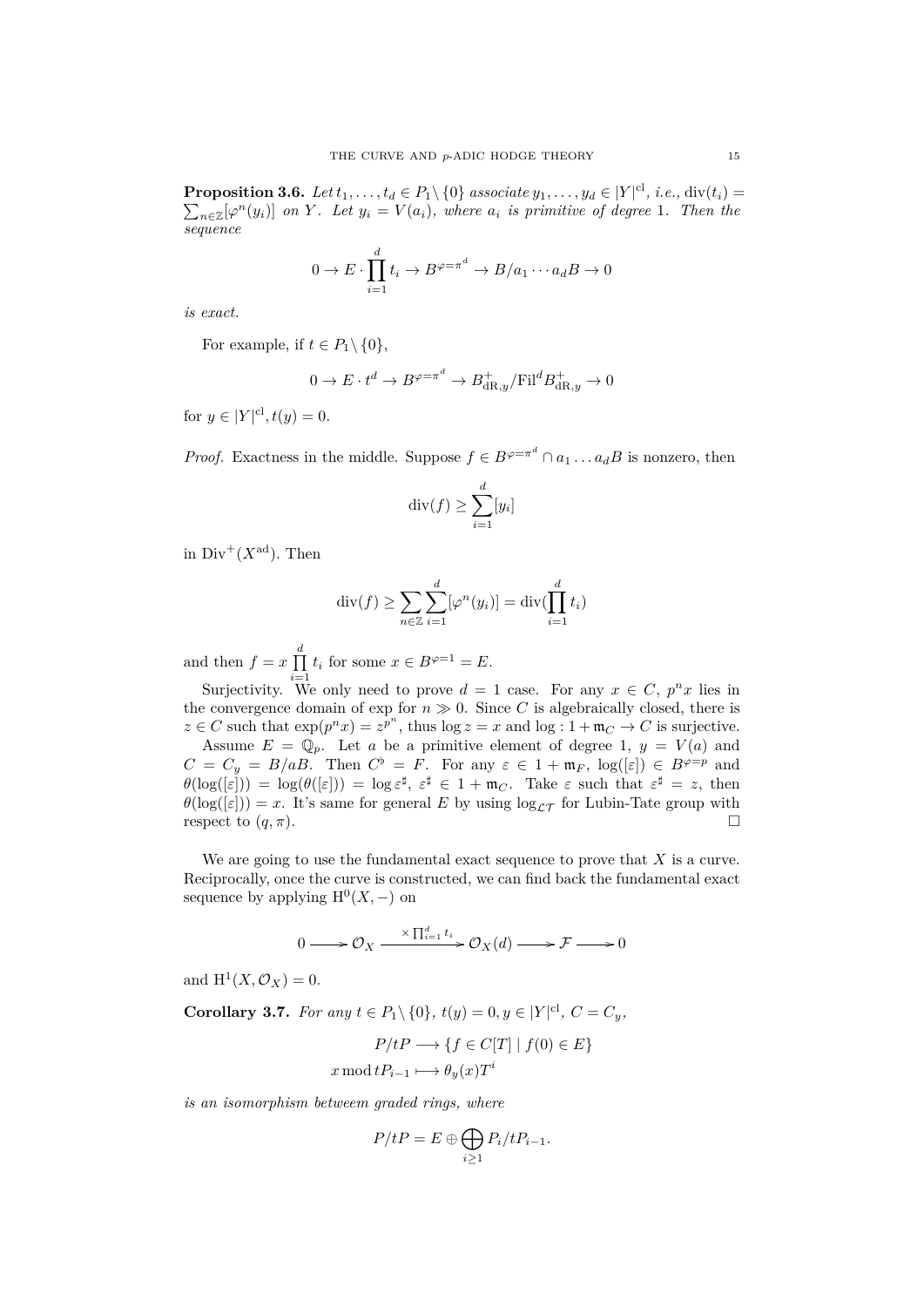**Proposition 3.6.** Let  $t_1, \ldots, t_d \in P_1 \setminus \{0\}$  associate  $y_1, \ldots, y_d \in |Y|^{cl}$ , i.e.,  $\text{div}(t_i) =$  $\sum_{n\in\mathbb{Z}}[\varphi^n(y_i)]$  *on Y*. Let  $y_i = V(a_i)$ *, where*  $a_i$  *is primitive of degree* 1*. Then the sequence*

$$
0 \to E \cdot \prod_{i=1}^{d} t_i \to B^{\varphi = \pi^d} \to B/a_1 \cdots a_d B \to 0
$$

*is exact.*

For example, if  $t \in P_1 \setminus \{0\}$ ,

$$
0 \to E \cdot t^d \to B^{\varphi=\pi^d} \to B_{\mathrm{dR},y}^+/ \mathrm{Fil}^dB_{\mathrm{dR},y}^+ \to 0
$$

for  $y \in |Y|^{cl}, t(y) = 0.$ 

*Proof.* Exactness in the middle. Suppose  $f \in B^{\varphi = \pi^d} \cap a_1 \dots a_d B$  is nonzero, then

$$
\operatorname{div}(f) \ge \sum_{i=1}^d [y_i]
$$

in  $Div^+(X^{\text{ad}})$ . Then

$$
\operatorname{div}(f) \ge \sum_{n \in \mathbb{Z}} \sum_{i=1}^d [\varphi^n(y_i)] = \operatorname{div}(\prod_{i=1}^d t_i)
$$

and then  $f = x \prod_{i=1}^{d} t_i$  for some  $x \in B^{\varphi=1} = E$ .

Surjectivity. We only need to prove  $d = 1$  case. For any  $x \in C$ ,  $p^n x$  lies in the convergence domain of exp for  $n \gg 0$ . Since *C* is algebraically closed, there is  $z \in C$  such that  $\exp(p^n x) = z^{p^n}$ , thus  $\log z = x$  and  $\log z \cdot 1 + \mathfrak{m}_C \to C$  is surjective.

Assume  $E = \mathbb{Q}_p$ . Let *a* be a primitive element of degree 1,  $y = V(a)$  and  $C = C_y = B/aB$ . Then  $C^{\flat} = F$ . For any  $\varepsilon \in 1 + \mathfrak{m}_F$ ,  $\log([\varepsilon]) \in B^{\varphi=p}$  and  $\theta(\log([\varepsilon])) = \log(\theta([\varepsilon])) = \log \varepsilon^{\sharp}, \ \varepsilon^{\sharp} \in 1 + \mathfrak{m}_C.$  Take  $\varepsilon$  such that  $\varepsilon^{\sharp} = z$ , then  $\theta(\log([\varepsilon])) = x$ . It's same for general *E* by using  $\log_{\mathcal{LT}}$  for Lubin-Tate group with respect to  $(q, \pi)$ .

We are going to use the fundamental exact sequence to prove that *X* is a curve. Reciprocally, once the curve is constructed, we can find back the fundamental exact sequence by applying  $H^0(X, -)$  on

$$
0 \longrightarrow \mathcal{O}_X \xrightarrow{\times \prod_{i=1}^d t_i} \mathcal{O}_X(d) \longrightarrow \mathcal{F} \longrightarrow 0
$$

and  $H^1(X, \mathcal{O}_X) = 0$ .

**Corollary 3.7.** *For any*  $t \in P_1 \setminus \{0\}$ *,*  $t(y) = 0, y \in |Y|^{cl}$ *,*  $C = C_y$ *,* 

$$
P/tP \longrightarrow \{f \in C[T] \mid f(0) \in E\}
$$

$$
x \mod tP_{i-1} \longmapsto \theta_y(x)T^i
$$

*is an isomorphism betweem graded rings, where*

$$
P/tP = E \oplus \bigoplus_{i \ge 1} P_i/tP_{i-1}.
$$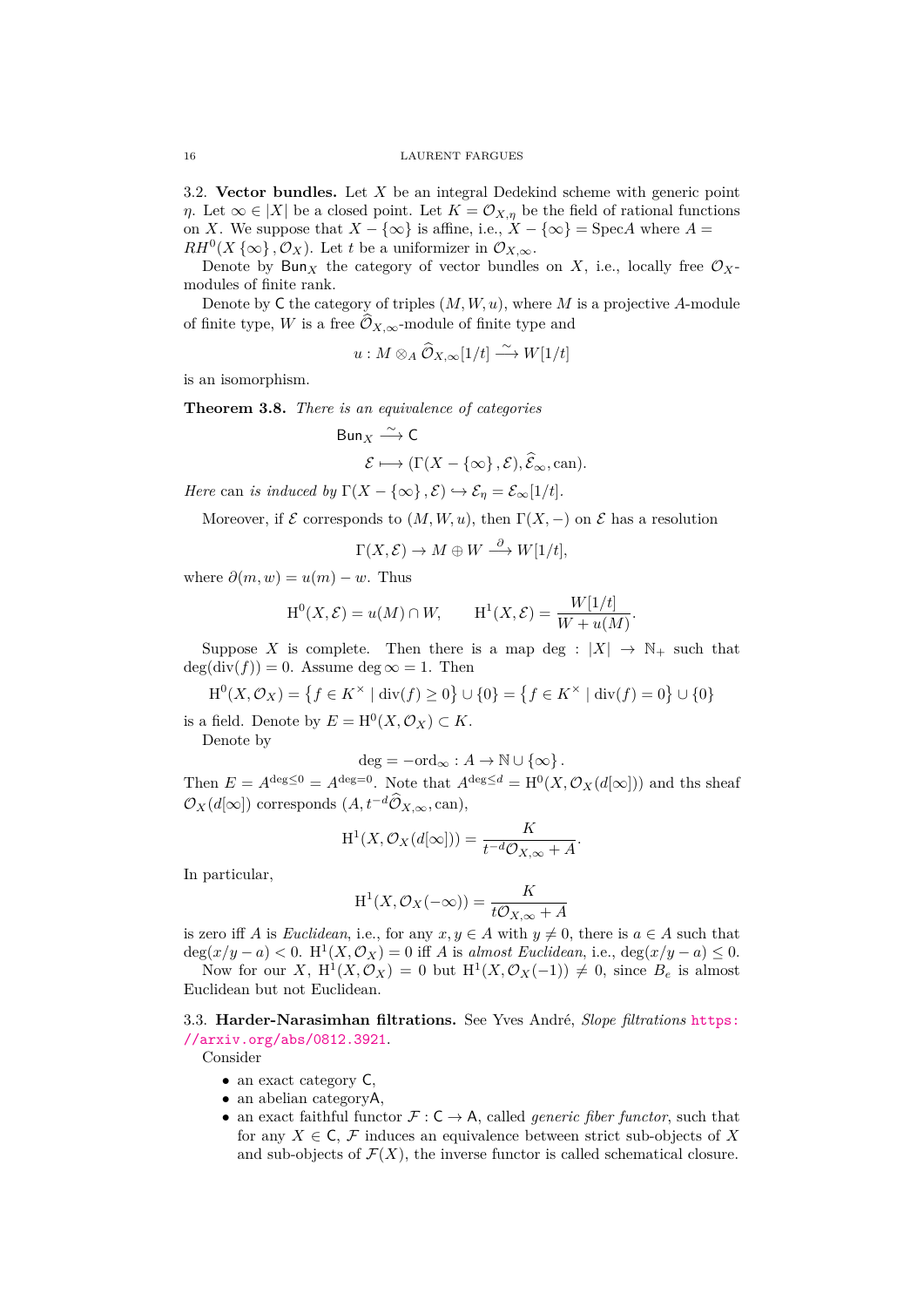3.2. **Vector bundles.** Let *X* be an integral Dedekind scheme with generic point *η*. Let  $\infty \in |X|$  be a closed point. Let  $K = \mathcal{O}_{X,\eta}$  be the field of rational functions on *X*. We suppose that  $X - \{\infty\}$  is affine, i.e.,  $X - \{\infty\} = \text{Spec}A$  where  $A =$  $RH^{0}(X \{\infty\}, \mathcal{O}_{X})$ . Let *t* be a uniformizer in  $\mathcal{O}_{X,\infty}$ .

<span id="page-15-0"></span>Denote by Bun<sub>X</sub> the category of vector bundles on X, i.e., locally free  $\mathcal{O}_X$ modules of finite rank.

Denote by C the category of triples (*M, W, u*), where *M* is a projective *A*-module of finite type, *W* is a free  $\widehat{\mathcal{O}}_{X,\infty}$ -module of finite type and

$$
u: M \otimes_A \widehat{\mathcal{O}}_{X,\infty}[1/t] \xrightarrow{\sim} W[1/t]
$$

is an isomorphism.

**Theorem 3.8.** *There is an equivalence of categories*

Bun<sub>X</sub> 
$$
\xrightarrow{\sim}
$$
 C  
\n $\mathcal{E} \longmapsto (\Gamma(X - {\infty}, \mathcal{E}), \widehat{\mathcal{E}}_{\infty}, \text{can}).$ 

*Here* can *is induced by*  $\Gamma(X - \{\infty\}, \mathcal{E}) \hookrightarrow \mathcal{E}_n = \mathcal{E}_\infty[1/t].$ 

Moreover, if  $\mathcal E$  corresponds to  $(M, W, u)$ , then  $\Gamma(X, -)$  on  $\mathcal E$  has a resolution

$$
\Gamma(X,\mathcal{E}) \to M \oplus W \stackrel{\partial}{\longrightarrow} W[1/t],
$$

where  $\partial(m, w) = u(m) - w$ . Thus

$$
H^{0}(X, \mathcal{E}) = u(M) \cap W,
$$
  $H^{1}(X, \mathcal{E}) = \frac{W[1/t]}{W + u(M)}.$ 

Suppose *X* is complete. Then there is a map deg :  $|X| \rightarrow \mathbb{N}_+$  such that  $deg(div(f)) = 0.$  Assume  $deg \infty = 1.$  Then

$$
\mathrm{H}^{0}(X,\mathcal{O}_{X}) = \{ f \in K^{\times} \mid \mathrm{div}(f) \ge 0 \} \cup \{ 0 \} = \{ f \in K^{\times} \mid \mathrm{div}(f) = 0 \} \cup \{ 0 \}
$$

is a field. Denote by  $E = H^0(X, \mathcal{O}_X) \subset K$ .

Denote by

$$
deg = -ord_{\infty}: A \to \mathbb{N} \cup \{\infty\}.
$$

Then  $E = A^{\deg \leq 0} = A^{\deg = 0}$ . Note that  $A^{\deg \leq d} = H^0(X, \mathcal{O}_X(d[\infty]))$  and the sheaf  $\mathcal{O}_X(d[\infty])$  corresponds  $(A, t^{-d}\widehat{\mathcal{O}}_{X,\infty}, \text{can}),$ 

$$
H^{1}(X, \mathcal{O}_{X}(d[\infty])) = \frac{K}{t^{-d}\mathcal{O}_{X,\infty} + A}.
$$

In particular,

$$
H^{1}(X, \mathcal{O}_{X}(-\infty)) = \frac{K}{t\mathcal{O}_{X,\infty} + A}
$$

is zero iff *A* is *Euclidean*, i.e., for any  $x, y \in A$  with  $y \neq 0$ , there is  $a \in A$  such that  $deg(x/y - a) < 0$ . H<sup>1</sup>(*X*,  $\mathcal{O}_X$ ) = 0 iff *A* is *almost Euclidean*, i.e.,  $deg(x/y - a) \leq 0$ .

Now for our *X*,  $H^1(X, \mathcal{O}_X) = 0$  but  $H^1(X, \mathcal{O}_X(-1)) \neq 0$ , since  $B_e$  is almost Euclidean but not Euclidean.

3.3. **Harder-Narasimhan filtrations.** See Yves André, *Slope filtrations* https: //arxiv.org/abs/0812.3921.

<span id="page-15-1"></span>Consider

- an exact category  $C$ ,
- an abelian categoryA,
- *•* [an exact faithful funct](https://arxiv.org/abs/0812.3921)or *F* : C *→* A, called *generic fiber functor*, such that for any  $X \in \mathsf{C}$ ,  $\mathcal F$  induces an equivalence between strict sub-objects of X and sub-objects of  $\mathcal{F}(X)$ , the inverse functor is called schematical closure.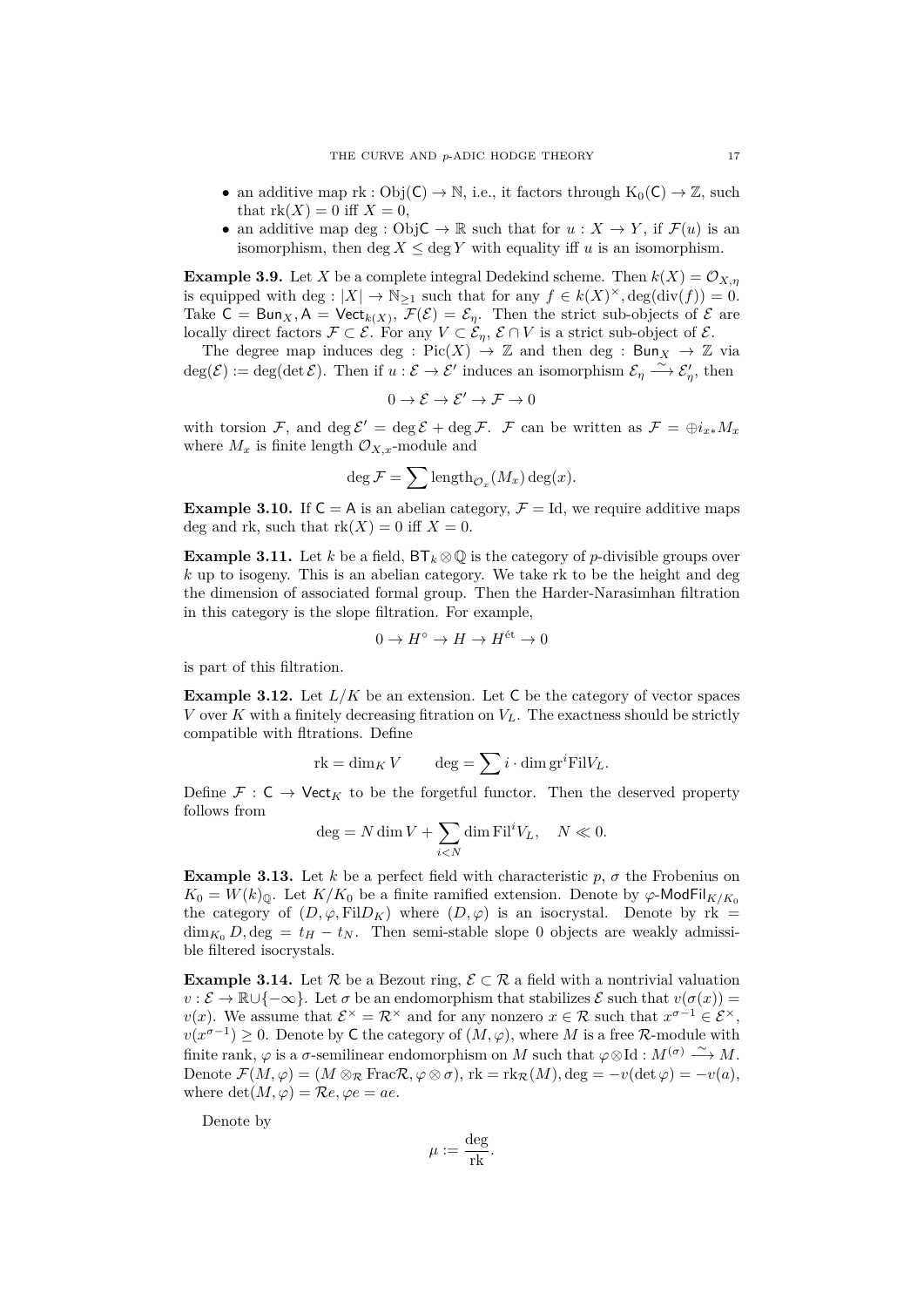- an additive map  $rk : Obj(C) \to \mathbb{N}$ , i.e., it factors through  $K_0(C) \to \mathbb{Z}$ , such that  $rk(X) = 0$  iff  $X = 0$ ,
- an additive map deg : Obj $C \to \mathbb{R}$  such that for  $u : X \to Y$ , if  $\mathcal{F}(u)$  is an isomorphism, then deg  $X \leq \text{deg } Y$  with equality iff *u* is an isomorphism.

**Example 3.9.** Let *X* be a complete integral Dedekind scheme. Then  $k(X) = \mathcal{O}_{X,n}$ is equipped with deg :  $|X| \to \mathbb{N}_{\geq 1}$  such that for any  $f \in k(X)^{\times}$ , deg(div(f)) = 0. Take  $C = Bun_X, A = Vect_{k(X)}, F(\mathcal{E}) = \mathcal{E}_{\eta}$ . Then the strict sub-objects of  $\mathcal E$  are locally direct factors  $\mathcal{F} \subset \mathcal{E}$ . For any  $V \subset \mathcal{E}_n$ ,  $\mathcal{E} \cap V$  is a strict sub-object of  $\mathcal{E}$ .

The degree map induces deg :  $Pic(X) \to \mathbb{Z}$  and then deg :  $Bun_X \to \mathbb{Z}$  via  $deg(\mathcal{E}) := deg(det \mathcal{E})$ . Then if  $u : \mathcal{E} \to \mathcal{E}'$  induces an isomorphism  $\mathcal{E}_{\eta} \longrightarrow \mathcal{E}'_{\eta}$ , then

$$
0 \to \mathcal{E} \to \mathcal{E}' \to \mathcal{F} \to 0
$$

with torsion  $\mathcal{F}$ , and  $\deg \mathcal{E}' = \deg \mathcal{E} + \deg \mathcal{F}$ .  $\mathcal{F}$  can be written as  $\mathcal{F} = \bigoplus i_{x*} M_x$ where  $M_x$  is finite length  $\mathcal{O}_{X,x}$ -module and

$$
\deg \mathcal{F} = \sum \mathrm{length}_{\mathcal{O}_x}(M_x) \deg(x).
$$

**Example 3.10.** If  $C = A$  is an abelian category,  $\mathcal{F} = Id$ , we require additive maps deg and rk, such that  $rk(X) = 0$  iff  $X = 0$ .

**Example 3.11.** Let *k* be a field,  $BT_k \otimes \mathbb{Q}$  is the category of *p*-divisible groups over *k* up to isogeny. This is an abelian category. We take rk to be the height and deg the dimension of associated formal group. Then the Harder-Narasimhan filtration in this category is the slope filtration. For example,

$$
0 \to H^{\circ} \to H \to H^{\text{\'et}} \to 0
$$

is part of this filtration.

**Example 3.12.** Let  $L/K$  be an extension. Let C be the category of vector spaces *V* over *K* with a finitely decreasing fitration on  $V_L$ . The exactness should be strictly compatible with fltrations. Define

$$
rk = \dim_K V \qquad \deg = \sum i \cdot \dim \operatorname{gr}^i \operatorname{Fil} V_L.
$$

Define  $\mathcal{F}: \mathsf{C} \to \mathsf{Vect}_K$  to be the forgetful functor. Then the deserved property follows from

$$
\deg = N \dim V + \sum_{i < N} \dim \mathrm{Fil}^i V_L, \quad N \ll 0.
$$

**Example 3.13.** Let *k* be a perfect field with characteristic  $p$ ,  $\sigma$  the Frobenius on  $K_0 = W(k)_{\mathbb{Q}}$ . Let  $K/K_0$  be a finite ramified extension. Denote by  $\varphi$ -ModFil<sub>K/Ko</sub> the category of  $(D, \varphi, \text{Fil}D_K)$  where  $(D, \varphi)$  is an isocrystal. Denote by rk =  $\dim_{K_0} D$ ,  $\deg = t_H - t_N$ . Then semi-stable slope 0 objects are weakly admissible filtered isocrystals.

**Example 3.14.** Let  $\mathcal{R}$  be a Bezout ring,  $\mathcal{E} \subset \mathcal{R}$  a field with a nontrivial valuation  $v : \mathcal{E} \to \mathbb{R} \cup \{-\infty\}$ . Let *σ* be an endomorphism that stabilizes  $\mathcal{E}$  such that  $v(\sigma(x)) =$ *v*(*x*). We assume that  $\mathcal{E}^{\times} = \mathcal{R}^{\times}$  and for any nonzero  $x \in \mathcal{R}$  such that  $x^{\sigma-1} \in \mathcal{E}^{\times}$ ,  $v(x^{\sigma-1}) \geq 0$ . Denote by C the category of  $(M, \varphi)$ , where *M* is a free *R*-module with finite rank,  $\varphi$  is a  $\sigma$ -semilinear endomorphism on *M* such that  $\varphi \otimes Id : M^{(\sigma)} \longrightarrow M$ . Denote  $\mathcal{F}(M, \varphi) = (M \otimes_R \text{FracR}, \varphi \otimes \sigma)$ ,  $\text{rk} = \text{rk}_{\mathcal{R}}(M), \text{deg} = -v(\text{det }\varphi) = -v(a)$ , where  $\det(M, \varphi) = \mathcal{R}e, \varphi e = ae.$ 

Denote by

$$
\mu := \frac{\text{deg}}{\text{rk}}.
$$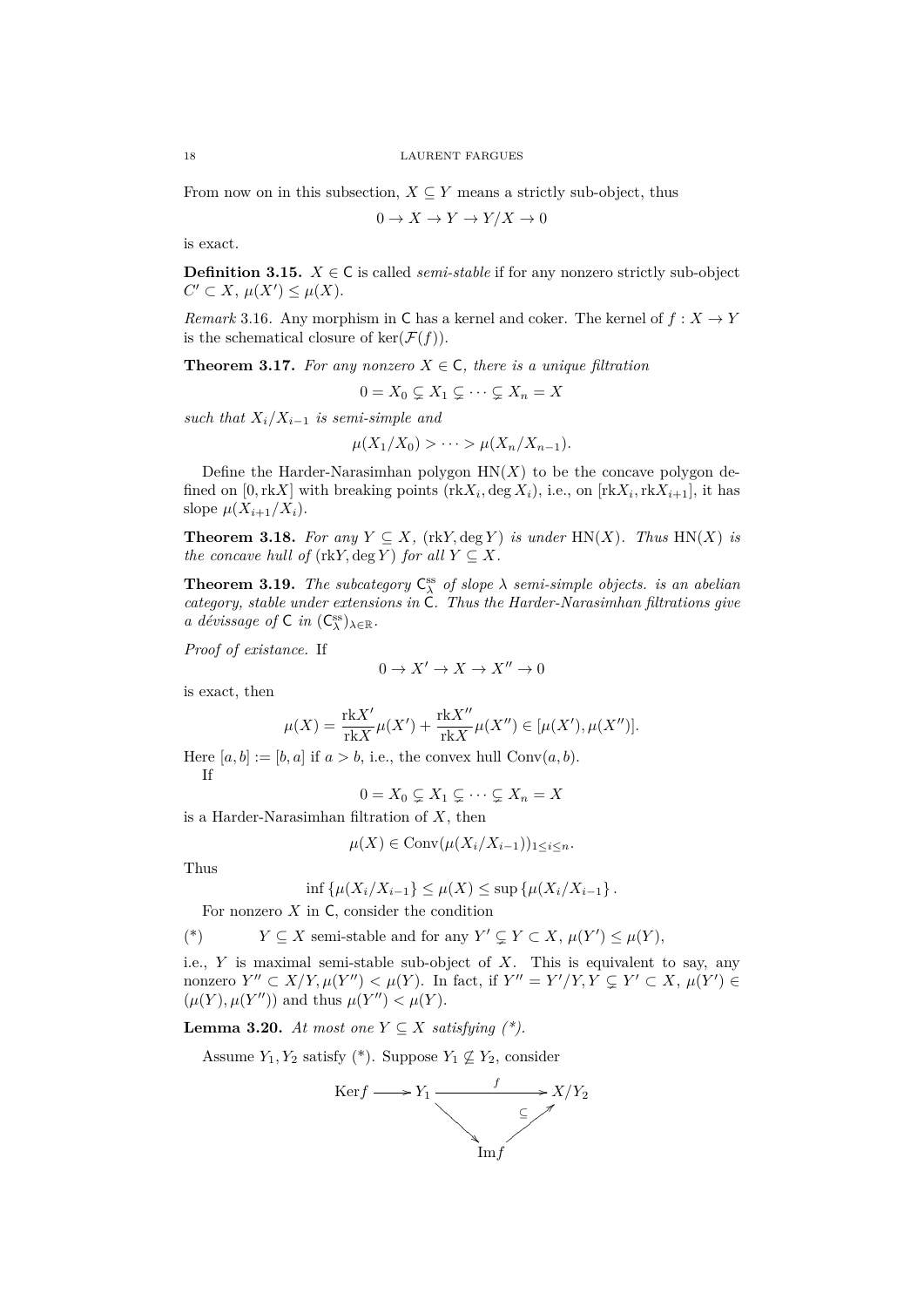From now on in this subsection,  $X \subseteq Y$  means a strictly sub-object, thus

$$
0 \to X \to Y \to Y/X \to 0
$$

is exact.

**Definition 3.15.**  $X \in \mathbb{C}$  is called *semi-stable* if for any nonzero strictly sub-object  $C' \subset X$ ,  $\mu(X') \leq \mu(X)$ .

*Remark* 3.16*.* Any morphism in C has a kernel and coker. The kernel of  $f : X \to Y$ is the schematical closure of  $\ker(\mathcal{F}(f))$ .

**Theorem 3.17.** For any nonzero  $X \in \mathsf{C}$ , there is a unique filtration

$$
0 = X_0 \subsetneq X_1 \subsetneq \cdots \subsetneq X_n = X
$$

*such that*  $X_i/X_{i-1}$  *is semi-simple and* 

$$
\mu(X_1/X_0) > \cdots > \mu(X_n/X_{n-1}).
$$

Define the Harder-Narasimhan polygon  $HN(X)$  to be the concave polygon defined on  $[0, \text{rk}X]$  with breaking points  $(\text{rk}X_i, \text{deg }X_i)$ , i.e., on  $[\text{rk}X_i, \text{rk}X_{i+1}]$ , it has slope  $\mu(X_{i+1}/X_i)$ .

**Theorem 3.18.** For any  $Y \subseteq X$ , (rkY, deg *Y*) *is under* HN(*X*)*. Thus* HN(*X*) *is the concave hull of*  $(\text{rk}Y, \text{deg }Y)$  *for all*  $Y \subseteq X$ *.* 

**Theorem 3.19.** *The subcategory*  $C^{\text{ss}}_{\lambda}$  *of slope*  $\lambda$  *semi-simple objects. is an abelian category, stable under extensions in* C*. Thus the Harder-Narasimhan filtrations give a dévissage of*  $C$  *in*  $(C_{\lambda}^{\text{ss}})_{\lambda \in \mathbb{R}}$ *.* 

*Proof of existance.* If

$$
0 \to X' \to X \to X'' \to 0
$$

is exact, then

$$
\mu(X) = \frac{\text{rk} X'}{\text{rk} X} \mu(X') + \frac{\text{rk} X''}{\text{rk} X} \mu(X'') \in [\mu(X'), \mu(X'')].
$$

Here  $[a, b] := [b, a]$  if  $a > b$ , i.e., the convex hull Conv $(a, b)$ . If

$$
0 = X_0 \subsetneq X_1 \subsetneq \cdots \subsetneq X_n = X
$$

is a Harder-Narasimhan filtration of *X*, then

$$
\mu(X) \in \text{Conv}(\mu(X_i/X_{i-1}))_{1 \leq i \leq n}.
$$

Thus

$$
\inf \{ \mu(X_i/X_{i-1}) \le \mu(X) \le \sup \{ \mu(X_i/X_{i-1}) \}.
$$

For nonzero  $X$  in  $C$ , consider the condition

$$
(*) \t Y \subseteq X \text{ semi-stable and for any } Y' \subsetneq Y \subset X, \, \mu(Y') \leq \mu(Y),
$$

i.e., *Y* is maximal semi-stable sub-object of *X*. This is equivalent to say, any nonzero  $Y'' \subset X/Y, \mu(Y'') < \mu(Y)$ . In fact, if  $Y'' = Y'/Y, Y \subsetneq Y' \subset X, \mu(Y') \in$  $(\mu(Y), \mu(Y''))$  and thus  $\mu(Y'') < \mu(Y)$ .

**Lemma 3.20.** *At most one*  $Y ⊆ X$  *satisfying*  $(*).$ 

Assume  $Y_1, Y_2$  satisfy (\*). Suppose  $Y_1 \not\subseteq Y_2$ , consider

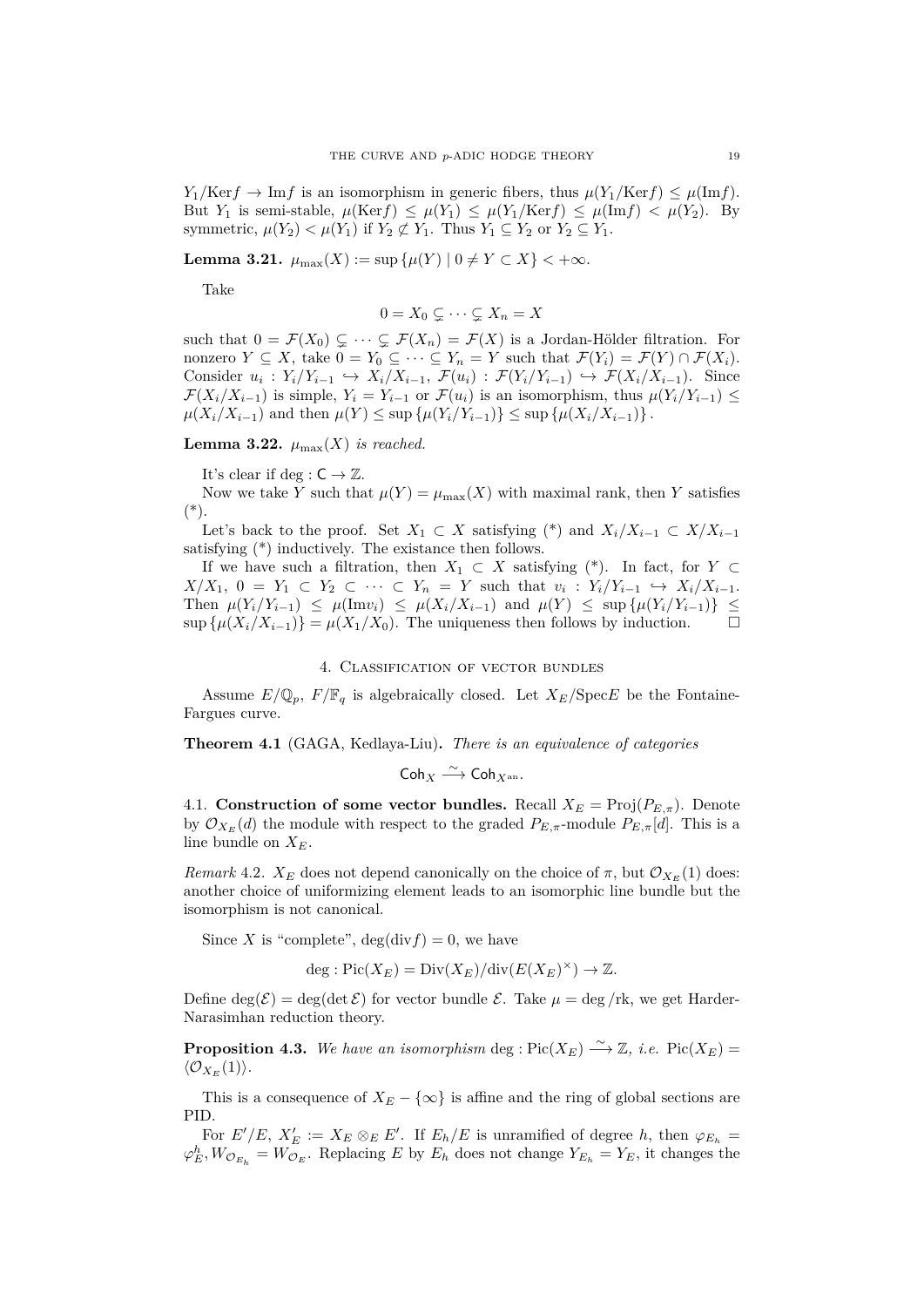$Y_1$ /Ker $f \to \text{Im } f$  is an isomorphism in generic fibers, thus  $\mu(Y_1/\text{Ker } f) \leq \mu(\text{Im } f)$ . But *Y*<sub>1</sub> is semi-stable,  $\mu(\text{Ker} f) \leq \mu(Y_1) \leq \mu(Y_1/\text{Ker} f) \leq \mu(\text{Im} f) < \mu(Y_2)$ . By symmetric,  $\mu(Y_2) < \mu(Y_1)$  if  $Y_2 \not\subset Y_1$ . Thus  $Y_1 \subseteq Y_2$  or  $Y_2 \subseteq Y_1$ .

**Lemma 3.21.**  $\mu_{\max}(X) := \sup \{ \mu(Y) \mid 0 \neq Y \subset X \} < +\infty$ .

Take

$$
0 = X_0 \subsetneq \cdots \subsetneq X_n = X
$$

such that  $0 = \mathcal{F}(X_0) \subsetneq \cdots \subsetneq \mathcal{F}(X_n) = \mathcal{F}(X)$  is a Jordan-Hölder filtration. For nonzero  $Y \subseteq X$ , take  $0 = Y_0 \subseteq \cdots \subseteq Y_n = Y$  such that  $\mathcal{F}(Y_i) = \mathcal{F}(Y) \cap \mathcal{F}(X_i)$ . Consider  $u_i: Y_i/Y_{i-1} \hookrightarrow X_i/X_{i-1}, \mathcal{F}(u_i): \mathcal{F}(Y_i/Y_{i-1}) \hookrightarrow \mathcal{F}(X_i/X_{i-1})$ . Since  $\mathcal{F}(X_i/X_{i-1})$  is simple,  $Y_i = Y_{i-1}$  or  $\mathcal{F}(u_i)$  is an isomorphism, thus  $\mu(Y_i/Y_{i-1}) \leq$  $\mu(X_i/X_{i-1})$  and then  $\mu(Y) \leq \sup \{\mu(Y_i/Y_{i-1})\} \leq \sup \{\mu(X_i/X_{i-1})\}.$ 

**Lemma 3.22.**  $\mu_{\text{max}}(X)$  *is reached.* 

It's clear if deg :  $C \rightarrow \mathbb{Z}$ .

Now we take *Y* such that  $\mu(Y) = \mu_{\max}(X)$  with maximal rank, then *Y* satisfies (\*).

Let's back to the proof. Set  $X_1 \subset X$  satisfying (\*) and  $X_i/X_{i-1} \subset X/X_{i-1}$ satisfying (\*) inductively. The existance then follows.

If we have such a filtration, then  $X_1 \subset X$  satisfying (\*). In fact, for *Y* ⊂  $X/X_1, 0 = Y_1 \subset Y_2 \subset \cdots \subset Y_n = Y$  such that  $v_i: Y_i/Y_{i-1} \hookrightarrow X_i/X_{i-1}$ . Then  $\mu(Y_i/Y_{i-1}) \leq \mu(\text{Im}v_i) \leq \mu(X_i/X_{i-1})$  and  $\mu(Y) \leq \sup \{\mu(Y_i/Y_{i-1})\} \leq$  $\sup \{\mu(X_i/X_{i-1})\} = \mu(X_1/X_0)$ . The uniqueness then follows by induction.  $\square$ 

#### 4. Classification of vector bundles

<span id="page-18-0"></span>Assume  $E/\mathbb{Q}_p$ ,  $F/\mathbb{F}_q$  is algebraically closed. Let  $X_E/\text{Spec } E$  be the Fontaine-Fargues curve.

**Theorem 4.1** (GAGA, Kedlaya-Liu)**.** *There is an equivalence of categories*

$$
\mathsf{Coh}_X \stackrel{\sim}{\longrightarrow} \mathsf{Coh}_{X^\mathrm{an}}.
$$

<span id="page-18-1"></span>4.1. **Construction of some vector bundles.** Recall  $X_E = \text{Proj}(P_{E,\pi})$ . Denote by  $\mathcal{O}_{X_E}(d)$  the module with respect to the graded  $P_{E,\pi}$ -module  $P_{E,\pi}[d]$ . This is a line bundle on *XE*.

*Remark* 4.2*.*  $X_E$  does not depend canonically on the choice of  $\pi$ , but  $\mathcal{O}_{X_E}(1)$  does: another choice of uniformizing element leads to an isomorphic line bundle but the isomorphism is not canonical.

Since *X* is "complete",  $deg(divf) = 0$ , we have

$$
\deg : Pic(X_E) = Div(X_E)/div(E(X_E)^{\times}) \to \mathbb{Z}.
$$

Define  $\deg(\mathcal{E}) = \deg(\det \mathcal{E})$  for vector bundle  $\mathcal{E}$ . Take  $\mu = \deg / \text{rk}$ , we get Harder-Narasimhan reduction theory.

**Proposition 4.3.** We have an isomorphism deg : Pic( $X_E$ )  $\stackrel{\sim}{\longrightarrow} \mathbb{Z}$ , *i.e.* Pic( $X_E$ ) =  $\langle \mathcal{O}_{X_F}(1) \rangle$ *.* 

This is a consequence of  $X_E - \{\infty\}$  is affine and the ring of global sections are PID.

For  $E'/E$ ,  $X'_E := X_E \otimes_E E'$ . If  $E_h/E$  is unramified of degree *h*, then  $\varphi_{E_h} =$  $\varphi_E^h$ ,  $W_{\mathcal{O}_{E_h}} = W_{\mathcal{O}_E}$ . Replacing *E* by  $E_h$  does not change  $Y_{E_h} = Y_E$ , it changes the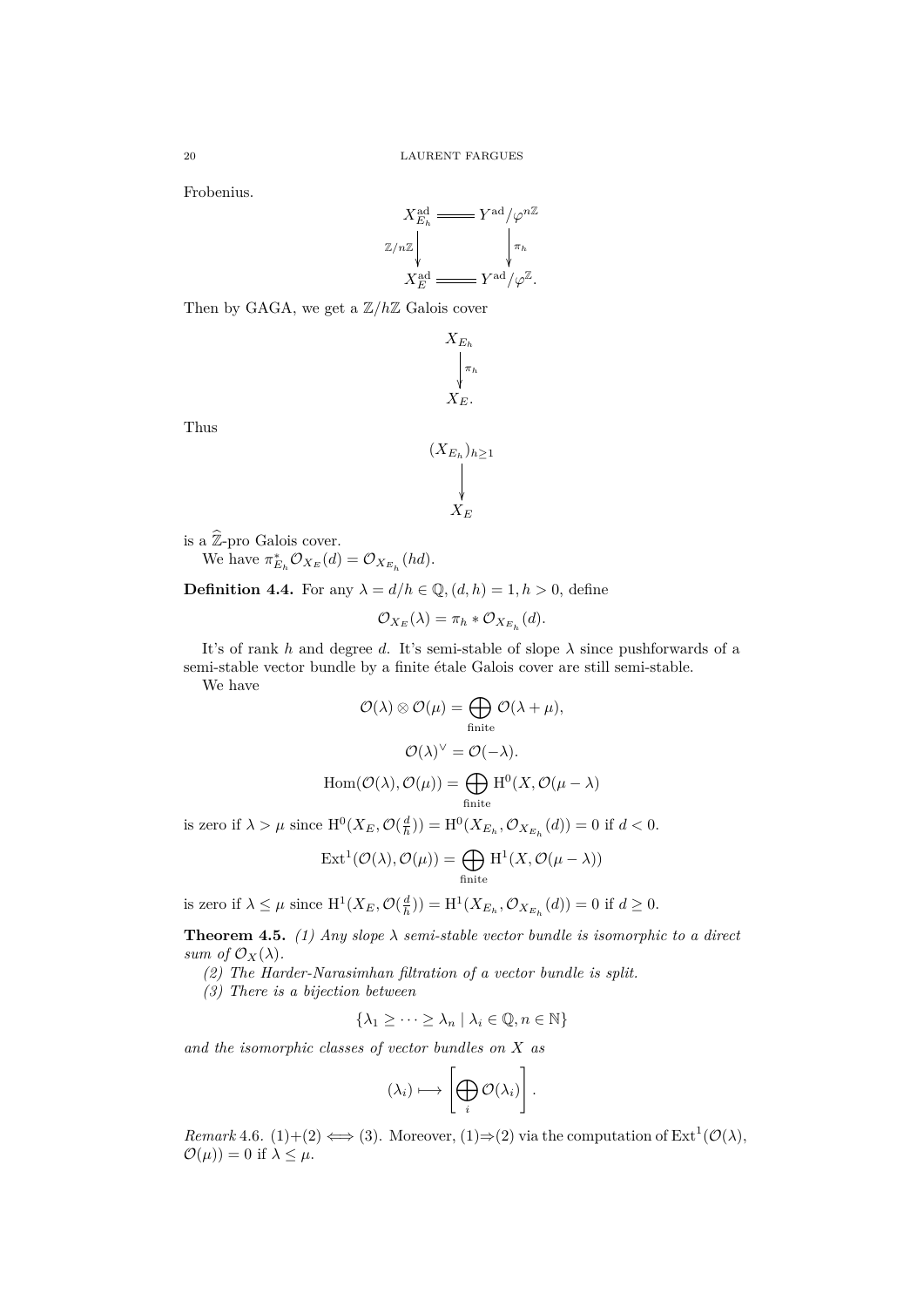Frobenius.

$$
X_{E_h}^{\mathrm{ad}} \equiv Y^{\mathrm{ad}} / \varphi^{n \mathbb{Z}}
$$
  

$$
\mathbb{Z}/n\mathbb{Z} \downarrow \qquad \qquad \downarrow \pi_h
$$
  

$$
X_E^{\mathrm{ad}} \equiv Y^{\mathrm{ad}} / \varphi^{\mathbb{Z}}.
$$

Then by GAGA, we get a Z*/h*Z Galois cover



Thus

$$
(X_{E_h})_{h\geq 1} \bigvee_{X_E}
$$

is a  $\widehat{\mathbb{Z}}\text{-}\mathrm{pro}$  Galois cover.

We have  $\pi_{E_h}^* \mathcal{O}_{X_E}(d) = \mathcal{O}_{X_{E_h}}(hd)$ .

**Definition 4.4.** For any  $\lambda = d/h \in \mathbb{Q}$ ,  $(d, h) = 1, h > 0$ , define

$$
\mathcal{O}_{X_E}(\lambda) = \pi_h * \mathcal{O}_{X_{E_h}}(d).
$$

It's of rank *h* and degree *d*. It's semi-stable of slope *λ* since pushforwards of a semi-stable vector bundle by a finite étale Galois cover are still semi-stable.

We have

$$
\mathcal{O}(\lambda) \otimes \mathcal{O}(\mu) = \bigoplus_{\text{finite}} \mathcal{O}(\lambda + \mu),
$$

$$
\mathcal{O}(\lambda)^{\vee} = \mathcal{O}(-\lambda).
$$

$$
\text{Hom}(\mathcal{O}(\lambda), \mathcal{O}(\mu)) = \bigoplus_{\text{finite}} \text{H}^{0}(X, \mathcal{O}(\mu - \lambda))
$$

$$
\frac{1}{2} \mathbf{e}^{-\frac{1}{2} \mathbf{e}^{-\frac{1}{2} \mathbf{e}^{-\frac{1}{2} \mathbf{e}^{-\frac{1}{2} \mathbf{e}^{-\frac{1}{2} \mathbf{e}^{-\frac{1}{2} \mathbf{e}^{-\frac{1}{2} \mathbf{e}^{-\frac{1}{2} \mathbf{e}^{-\frac{1}{2} \mathbf{e}^{-\frac{1}{2} \mathbf{e}^{-\frac{1}{2} \mathbf{e}^{-\frac{1}{2} \mathbf{e}^{-\frac{1}{2} \mathbf{e}^{-\frac{1}{2} \mathbf{e}^{-\frac{1}{2} \mathbf{e}^{-\frac{1}{2} \mathbf{e}^{-\frac{1}{2} \mathbf{e}^{-\frac{1}{2} \mathbf{e}^{-\frac{1}{2} \mathbf{e}^{-\frac{1}{2} \mathbf{e}^{-\frac{1}{2} \mathbf{e}^{-\frac{1}{2} \mathbf{e}^{-\frac{1}{2} \mathbf{e}^{-\frac{1}{2} \mathbf{e}^{-\frac{1}{2} \mathbf{e}^{-\frac{1}{2} \mathbf{e}^{-\frac{1}{2} \mathbf{e}^{-\frac{1}{2} \mathbf{e}^{-\frac{1}{2} \mathbf{e}^{-\frac{1}{2} \mathbf{e}^{-\frac{1}{2} \mathbf{e}^{-\frac{1}{2} \mathbf{e}^{-\frac{1}{2} \mathbf{e}^{-\frac{1}{2} \mathbf{e}^{-\frac{1}{2} \mathbf{e}^{-\frac{1}{2} \mathbf{e}^{-\frac{1}{2} \mathbf{e}^{-\frac{1}{2} \mathbf{e}^{-\frac{1}{2} \mathbf{e}^{-\frac{1}{2} \mathbf{e}^{-\frac{1}{2} \mathbf{e}^{-\frac{1}{2} \mathbf{e}^{-\frac{1}{2} \mathbf{e}^{-\frac{1}{2} \mathbf{e}^{-\frac{1}{2} \mathbf{e}^{-\frac{1}{2} \mathbf{e}^{-\frac{1}{2} \mathbf{e}^{-\frac{1}{2} \mathbf{e}^{-\frac{1}{2} \mathbf{e}^{-\frac{1}{2} \mathbf{e}^{-\frac{1}{2} \mathbf{e}^{-\frac{1}{2} \mathbf{e}^{-\frac{1}{2} \mathbf{e}^{-\frac{1
$$

is zero if  $\lambda > \mu$  since  $H^0(X_E, \mathcal{O}(\frac{d}{h})) = H^0(X_{E_h}, \mathcal{O}_{X_{E_h}}(d)) = 0$  if  $d < 0$ .

$$
\operatorname{Ext}^1({\mathcal O}(\lambda),{\mathcal O}(\mu))=\bigoplus_{\operatorname{finite}} \operatorname{H}^1(X,{\mathcal O}(\mu-\lambda))
$$

is zero if  $\lambda \leq \mu$  since  $H^1(X_E, \mathcal{O}(\frac{d}{h})) = H^1(X_{E_h}, \mathcal{O}_{X_{E_h}}(d)) = 0$  if  $d \geq 0$ .

**Theorem 4.5.** *(1) Any slope*  $\lambda$  *semi-stable vector bundle is isomorphic to a direct sum of*  $\mathcal{O}_X(\lambda)$ *.* 

*(2) The Harder-Narasimhan filtration of a vector bundle is split.*

*(3) There is a bijection between*

$$
\{\lambda_1 \geq \cdots \geq \lambda_n \mid \lambda_i \in \mathbb{Q}, n \in \mathbb{N}\}\
$$

*and the isomorphic classes of vector bundles on X as*

$$
(\lambda_i)\longmapsto \left[\bigoplus_i \mathcal{O}(\lambda_i)\right].
$$

*Remark* 4.6. (1)+(2)  $\Longleftrightarrow$  (3). Moreover, (1) $\Rightarrow$  (2) via the computation of Ext<sup>1</sup>( $\mathcal{O}(\lambda)$ ,  $\mathcal{O}(\mu)$ ) = 0 if  $\lambda \leq \mu$ .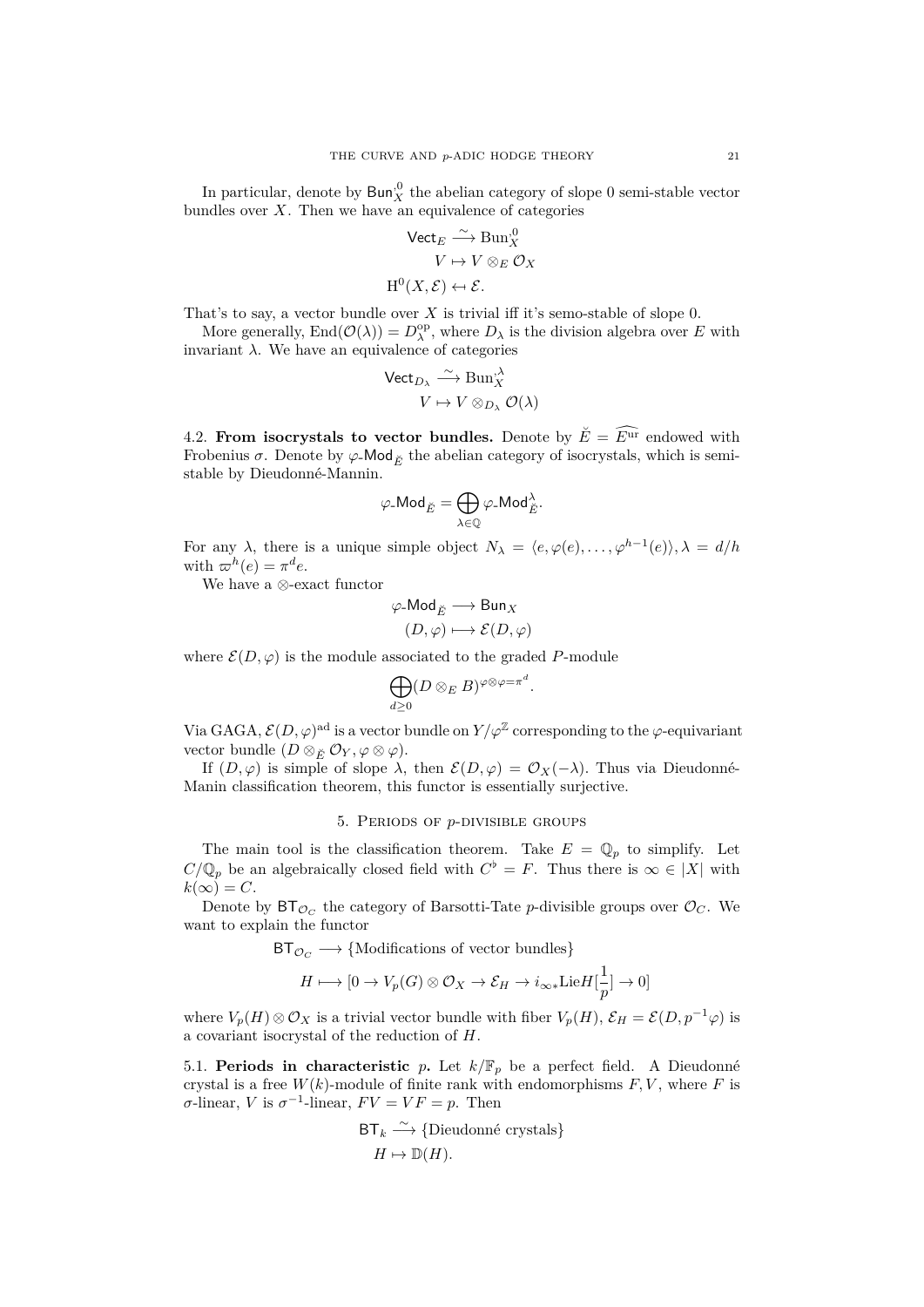In particular, denote by  $\mathsf{Bun}_X^{\cdot 0}$  the abelian category of slope 0 semi-stable vector bundles over  $X$ . Then we have an equivalence of categories

$$
\begin{aligned} \n\text{Vect}_{E} &\xrightarrow{\sim} \text{Bun}_{X}^{,0} \\
V &\mapsto V \otimes_{E} \mathcal{O}_{X} \\
\text{H}^{0}(X, \mathcal{E}) &\leftarrow \mathcal{E}.\n\end{aligned}
$$

That's to say, a vector bundle over *X* is trivial iff it's semo-stable of slope 0.

More generally,  $\text{End}(\mathcal{O}(\lambda)) = D_{\lambda}^{\text{op}},$  where  $D_{\lambda}$  is the division algebra over *E* with invariant  $\lambda$ . We have an equivalence of categories

$$
\begin{array}{ccc}\mathsf{Vect}_{D_{\lambda}}\stackrel{\sim}{\longrightarrow} \operatorname{Bun}_{X}^{\lambda} \\ V\mapsto V\otimes_{D_{\lambda}}\mathcal{O}(\lambda)\end{array}
$$

<span id="page-20-0"></span>4.2. **From isocrystals to vector bundles.** Denote by  $\breve{E} = \widehat{E}^{\text{ur}}$  endowed with Frobenius  $\sigma$ . Denote by  $\varphi$ -Mod<sub> $\breve{\varepsilon}$ </sub> the abelian category of isocrystals, which is semistable by Dieudonné-Mannin.

$$
\varphi\text{-Mod}_{\breve{E}}=\bigoplus_{\lambda\in \mathbb{Q}}\varphi\text{-Mod}_{\breve{E}}^{\lambda}.
$$

For any  $\lambda$ , there is a unique simple object  $N_{\lambda} = \langle e, \varphi(e), \ldots, \varphi^{h-1}(e) \rangle$ ,  $\lambda = d/h$ with  $\varpi^h(e) = \pi^d e$ .

We have a *⊗*-exact functor

$$
\varphi\text{-Mod}_{\breve{E}} \longrightarrow \text{Bun}_X
$$

$$
(D, \varphi) \longmapsto \mathcal{E}(D, \varphi)
$$

where  $\mathcal{E}(D, \varphi)$  is the module associated to the graded *P*-module

$$
\bigoplus_{d\geq 0}(D\otimes_E B)^{\varphi\otimes\varphi=\pi^d}.
$$

Via GAGA,  $\mathcal{E}(D,\varphi)$ <sup>ad</sup> is a vector bundle on  $Y/\varphi^{\mathbb{Z}}$  corresponding to the  $\varphi$ -equivariant vector bundle  $(D \otimes_{\breve{E}} \mathcal{O}_Y, \varphi \otimes \varphi)$ .

If  $(D, \varphi)$  is simple of slope  $\lambda$ , then  $\mathcal{E}(D, \varphi) = \mathcal{O}_X(-\lambda)$ . Thus via Dieudonné-Manin classification theorem, this functor is essentially surjective.

## 5. Periods of *p*-divisible groups

<span id="page-20-1"></span>The main tool is the classification theorem. Take  $E = \mathbb{Q}_p$  to simplify. Let  $C/\mathbb{Q}_p$  be an algebraically closed field with  $C^{\flat} = F$ . Thus there is  $\infty \in |X|$  with  $k(\infty) = C$ .

Denote by  $BT_{\mathcal{O}_C}$  the category of Barsotti-Tate *p*-divisible groups over  $\mathcal{O}_C$ . We want to explain the functor

BT*<sup>O</sup><sup>C</sup> −→ {*Modifications of vector bundles*}*

$$
H\longmapsto [0\to V_p(G)\otimes \mathcal{O}_X\to \mathcal{E}_H\to i_{\infty*}\mathrm{Lie}H[\frac{1}{p}]\to 0]
$$

where  $V_p(H) \otimes \mathcal{O}_X$  is a trivial vector bundle with fiber  $V_p(H)$ ,  $\mathcal{E}_H = \mathcal{E}(D, p^{-1}\varphi)$  is a covariant isocrystal of the reduction of *H*.

<span id="page-20-2"></span>5.1. **Periods in characteristic**  $p$ . Let  $k/\mathbb{F}_p$  be a perfect field. A Dieudonné crystal is a free  $W(k)$ -module of finite rank with endomorphisms  $F, V$ , where  $F$  is  $\sigma$ -linear,  $V$  is  $\sigma^{-1}$ -linear,  $FV = VF = p$ . Then

$$
\begin{aligned} \mathsf{BT}_k &\stackrel{\sim}{\longrightarrow} \{ \text{Dieudonné crystals} \} \\ H &\mapsto \mathbb{D}(H). \end{aligned}
$$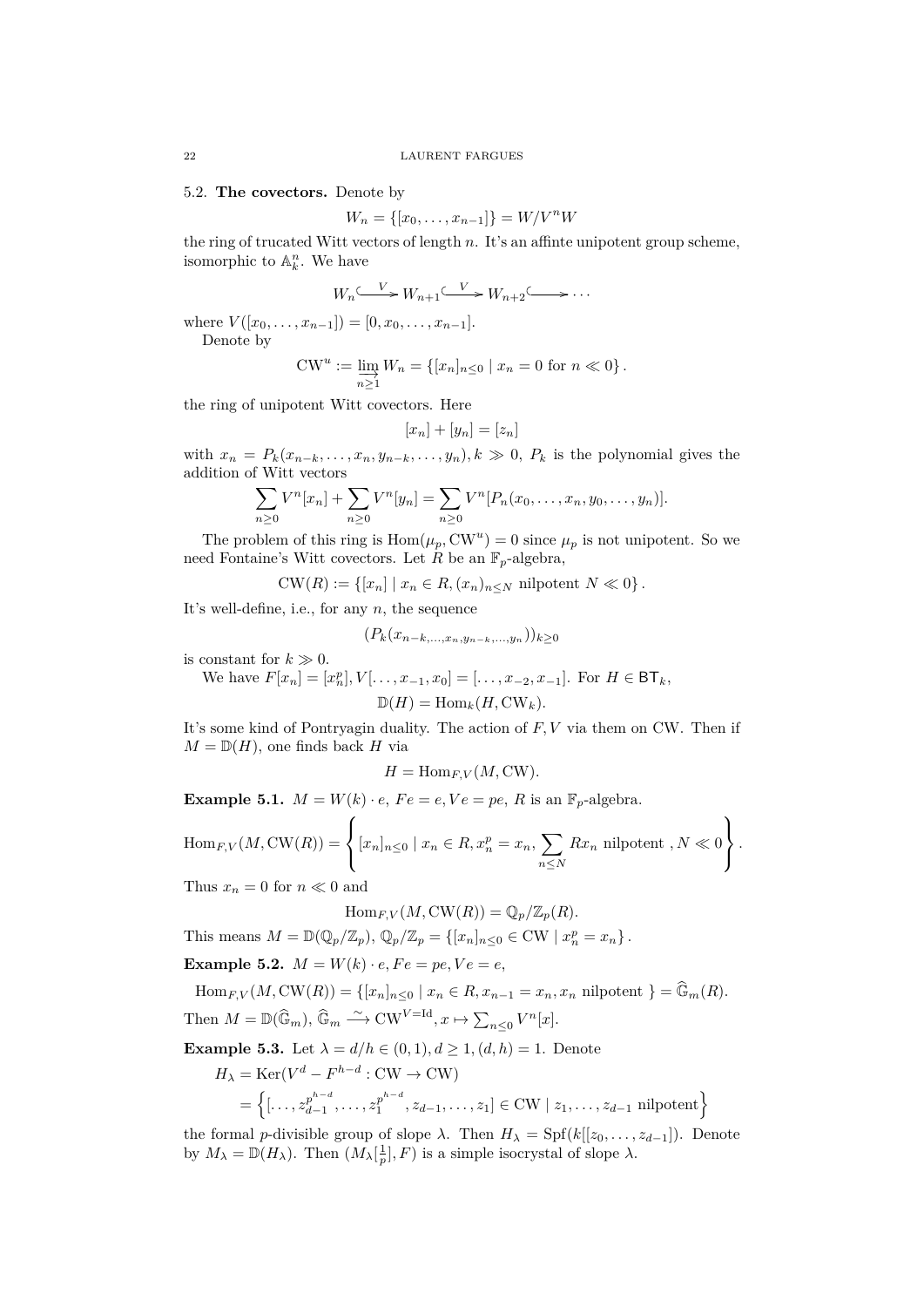<span id="page-21-0"></span>5.2. **The covectors.** Denote by

$$
W_n = \{ [x_0, \dots, x_{n-1}] \} = W / V^n W
$$

the ring of trucated Witt vectors of length *n*. It's an affinte unipotent group scheme, isomorphic to  $\mathbb{A}_k^n$ . We have

$$
W_n \xrightarrow{V} W_{n+1} \xrightarrow{V} W_{n+2} \xrightarrow{V} \cdots
$$

where  $V([x_0, \ldots, x_{n-1}]) = [0, x_0, \ldots, x_{n-1}].$ 

Denote by

$$
CW^u := \varinjlim_{n \ge 1} W_n = \{ [x_n]_{n \le 0} \mid x_n = 0 \text{ for } n \ll 0 \}.
$$

the ring of unipotent Witt covectors. Here

$$
[x_n] + [y_n] = [z_n]
$$

with  $x_n = P_k(x_{n-k}, \ldots, x_n, y_{n-k}, \ldots, y_n), k \gg 0, P_k$  is the polynomial gives the addition of Witt vectors

$$
\sum_{n\geq 0} V^n[x_n] + \sum_{n\geq 0} V^n[y_n] = \sum_{n\geq 0} V^n[P_n(x_0,\ldots,x_n,y_0,\ldots,y_n)].
$$

The problem of this ring is  $Hom(\mu_p, CW^u) = 0$  since  $\mu_p$  is not unipotent. So we need Fontaine's Witt covectors. Let  $\hat{R}$  be an  $\mathbb{F}_p$ -algebra,

 $CW(R) := \{ [x_n] \mid x_n \in R, (x_n)_{n \le N} \text{ nilpotent } N \ll 0 \}.$ 

It's well-define, i.e., for any *n*, the sequence

$$
(P_k(x_{n-k,\ldots,x_n,y_{n-k},\ldots,y_n}))_{k\geq 0}
$$

is constant for  $k \gg 0$ .

 $\text{We have } F[x_n] = [x_n^p], V[... , x_{-1}, x_0] = [... , x_{-2}, x_{-1}]. \text{ For } H \in \mathsf{BT}_k,$  $\mathbb{D}(H) = \text{Hom}_k(H, \text{CW}_k)$ .

It's some kind of Pontryagin duality. The action of *F, V* via them on CW. Then if  $M = \mathbb{D}(H)$ , one finds back *H* via

$$
H = \operatorname{Hom}_{F,V}(M,\mathcal{CW}).
$$

**Example 5.1.**  $M = W(k) \cdot e$ ,  $Fe = e$ ,  $Ve = pe$ ,  $R$  is an  $\mathbb{F}_p$ -algebra.

$$
\operatorname{Hom}_{F,V}(M,\operatorname{CW}(R)) = \left\{ [x_n]_{n \leq 0} \mid x_n \in R, x_n^p = x_n, \sum_{n \leq N} Rx_n \text{ nilpotent }, N \ll 0 \right\}.
$$

Thus  $x_n = 0$  for  $n \ll 0$  and

$$
\operatorname{Hom}_{F,V}(M,\operatorname{CW}(R))=\mathbb{Q}_p/\mathbb{Z}_p(R).
$$

This means  $M = \mathbb{D}(\mathbb{Q}_p/\mathbb{Z}_p)$ ,  $\mathbb{Q}_p/\mathbb{Z}_p = \{ [x_n]_{n \leq 0} \in \mathrm{CW} \mid x_n^p = x_n \}$ .

**Example 5.2.**  $M = W(k) \cdot e, Fe = pe, Ve = e$ ,

 $\text{Hom}_{F,V}(M, \text{CW}(R)) = \{ [x_n]_{n \leq 0} \mid x_n \in R, x_{n-1} = x_n, x_n \text{ nilpotent } \} = \widehat{\mathbb{G}}_m(R).$ Then  $M = \mathbb{D}(\widehat{\mathbb{G}}_m)$ ,  $\widehat{\mathbb{G}}_m \stackrel{\sim}{\longrightarrow} \text{CW}^{V=\text{Id}}, x \mapsto \sum_{n \leq 0} V^n[x]$ .

**Example 5.3.** Let  $\lambda = d/h \in (0, 1), d \ge 1, (d, h) = 1$ . Denote

$$
H_{\lambda} = \text{Ker}(V^{d} - F^{h-d} : \text{CW} \to \text{CW})
$$
  
= { $\{[\dots, z_{d-1}^{p^{h-d}}, \dots, z_1^{p^{h-d}}, z_{d-1}, \dots, z_1] \in \text{CW} \mid z_1, \dots, z_{d-1} \text{ nilpotent}\}$ 

the formal *p*-divisible group of slope  $\lambda$ . Then  $H_{\lambda} = Spf(k[[z_0, \ldots, z_{d-1}])$ . Denote by  $M_{\lambda} = \mathbb{D}(H_{\lambda})$ . Then  $(M_{\lambda}[\frac{1}{p}], F)$  is a simple isocrystal of slope  $\lambda$ .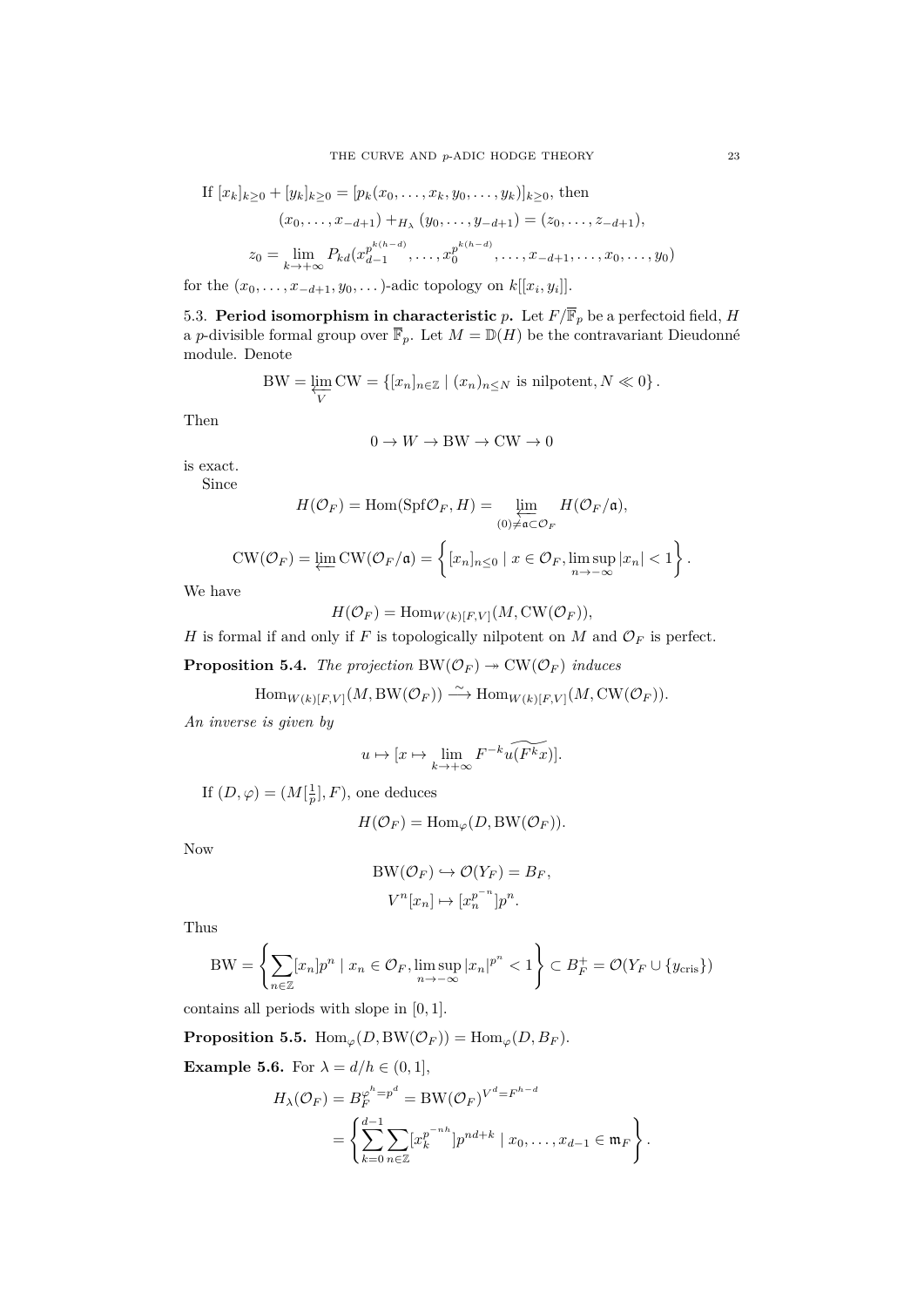If 
$$
[x_k]_{k\geq 0} + [y_k]_{k\geq 0} = [p_k(x_0, ..., x_k, y_0, ..., y_k)]_{k\geq 0}
$$
, then  
\n
$$
(x_0, ..., x_{-d+1}) + H_\lambda (y_0, ..., y_{-d+1}) = (z_0, ..., z_{-d+1}),
$$
\n
$$
z_0 = \lim_{k \to +\infty} P_{kd}(x_{d-1}^{p^{k(h-d)}}, ..., x_0^{p^{k(h-d)}}, ..., x_{-d+1}, ..., x_0, ..., y_0)
$$

for the  $(x_0, \ldots, x_{-d+1}, y_0, \ldots)$ -adic topology on  $k[[x_i, y_i]]$ .

<span id="page-22-0"></span>5.3. **Period isomorphism in characteristic**  $p$ . Let  $F/\overline{\mathbb{F}}_p$  be a perfectoid field, *H* a *p*-divisible formal group over  $\overline{\mathbb{F}}_p$ . Let  $M = \mathbb{D}(H)$  be the contravariant Dieudonné module. Denote

BW = 
$$
\varprojlim_{V} CW = \{ [x_n]_{n \in \mathbb{Z}} \mid (x_n)_{n \leq N} \text{ is nilpotent}, N \ll 0 \}.
$$

Then

$$
0 \to W \to \text{BW} \to \text{CW} \to 0
$$

is exact.

Since

$$
H(\mathcal{O}_F) = \text{Hom}(\text{Spf}\mathcal{O}_F, H) = \varprojlim_{(0) \neq \mathfrak{a} \subset \mathcal{O}_F} H(\mathcal{O}_F/\mathfrak{a}),
$$

$$
CW(\mathcal{O}_F) = \varprojlim CW(\mathcal{O}_F/\mathfrak{a}) = \left\{ [x_n]_{n \leq 0} \mid x \in \mathcal{O}_F, \limsup_{n \to -\infty} |x_n| < 1 \right\}.
$$

We have

$$
H(\mathcal{O}_F) = \text{Hom}_{W(k)[F,V]}(M, \text{CW}(\mathcal{O}_F)),
$$

*H* is formal if and only if *F* is topologically nilpotent on *M* and  $\mathcal{O}_F$  is perfect.

**Proposition 5.4.** *The projection*  $BW(\mathcal{O}_F) \rightarrow CW(\mathcal{O}_F)$  *induces* 

 $\text{Hom}_{W(k)[F,V]}(M, BW(\mathcal{O}_F)) \longrightarrow \text{Hom}_{W(k)[F,V]}(M, \text{CW}(\mathcal{O}_F)).$ 

*An inverse is given by*

$$
u \mapsto [x \mapsto \lim_{k \to +\infty} F^{-k} u(F^k x)].
$$

If  $(D, \varphi) = (M[\frac{1}{p}], F)$ , one deduces

$$
H(\mathcal{O}_F) = \text{Hom}_{\varphi}(D, \text{BW}(\mathcal{O}_F)).
$$

Now

$$
BW(\mathcal{O}_F) \hookrightarrow \mathcal{O}(Y_F) = B_F,
$$
  

$$
V^n[x_n] \mapsto [x_n^{p^{-n}}]p^n.
$$

Thus

$$
BW = \left\{ \sum_{n \in \mathbb{Z}} [x_n] p^n \mid x_n \in \mathcal{O}_F, \limsup_{n \to -\infty} |x_n|^{p^n} < 1 \right\} \subset B_F^+ = \mathcal{O}(Y_F \cup \{y_{\text{cris}}\})
$$

contains all periods with slope in [0*,* 1].

**Proposition 5.5.** Hom<sub> $\varphi$ </sub> $(D, BW(\mathcal{O}_F)) = Hom_{\varphi}(D, B_F)$ .

**Example 5.6.** For  $\lambda = d/h \in (0, 1]$ ,

$$
H_{\lambda}(\mathcal{O}_F) = B_F^{\varphi^h = p^d} = \text{BW}(\mathcal{O}_F)^{V^d = F^{h-d}}
$$
  
= 
$$
\left\{ \sum_{k=0}^{d-1} \sum_{n \in \mathbb{Z}} [x_k^{p^{-nh}}] p^{nd+k} \mid x_0, \dots, x_{d-1} \in \mathfrak{m}_F \right\}.
$$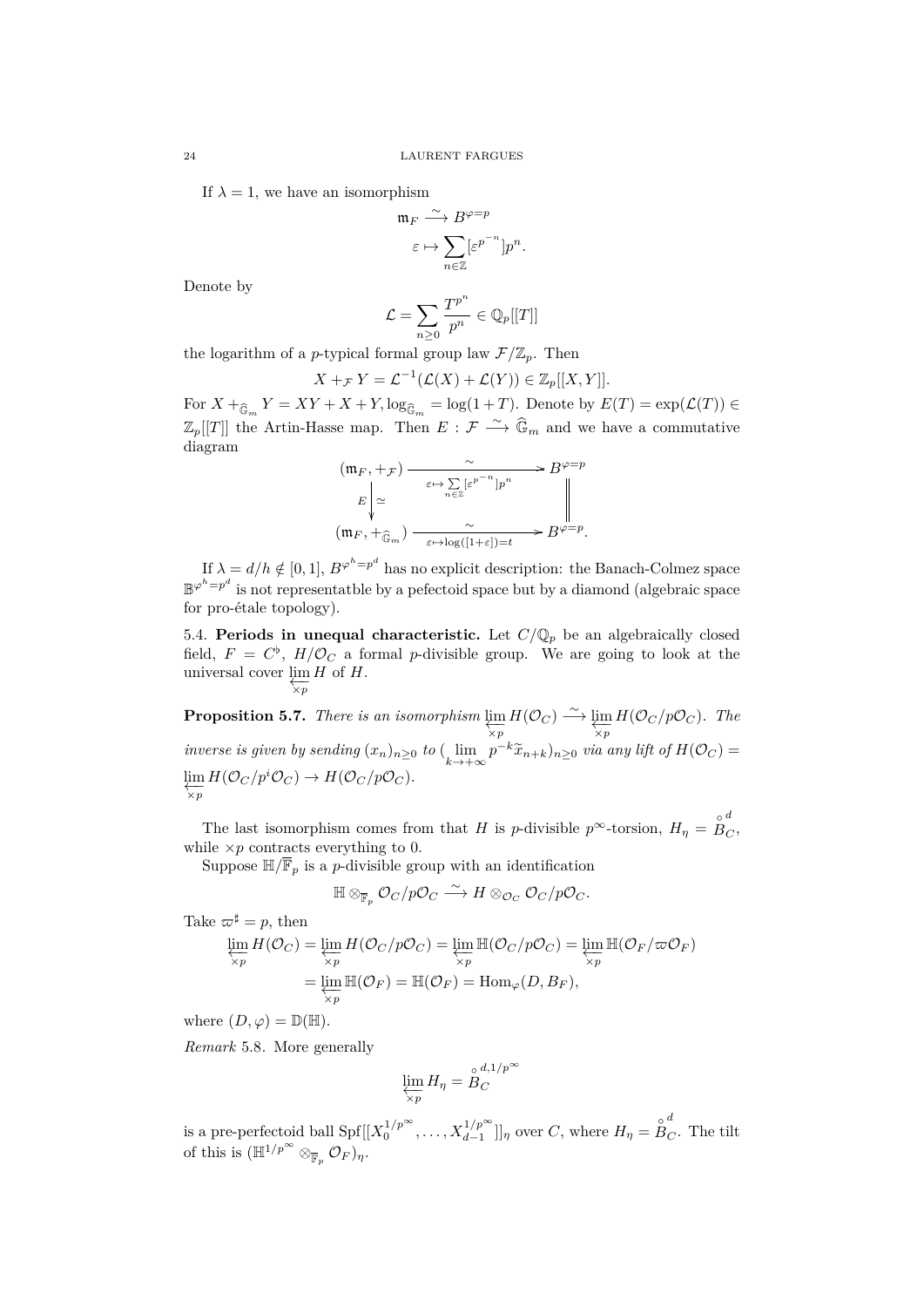If  $\lambda = 1$ , we have an isomorphism

$$
\begin{aligned} \mathfrak{m}_F &\stackrel{\sim}{\longrightarrow} B^{\varphi=p} \\ \varepsilon &\mapsto \sum_{n\in\mathbb{Z}} [\varepsilon^{p^{-n}}] p^n. \end{aligned}
$$

Denote by

$$
\mathcal{L} = \sum_{n \geq 0} \frac{T^{p^n}}{p^n} \in \mathbb{Q}_p[[T]]
$$

the logarithm of a *p*-typical formal group law  $\mathcal{F}/\mathbb{Z}_p$ . Then

$$
X +_{\mathcal{F}} Y = \mathcal{L}^{-1}(\mathcal{L}(X) + \mathcal{L}(Y)) \in \mathbb{Z}_p[[X, Y]].
$$

For  $X +_{\widehat{\mathbb{G}}_m} Y = XY + X + Y$ ,  $\log_{\widehat{\mathbb{G}}_m} = \log(1 + T)$ . Denote by  $E(T) = \exp(\mathcal{L}(T)) \in$  $\mathbb{Z}_p[[T]]$  the Artin-Hasse map. Then  $E: \mathcal{F} \longrightarrow \widehat{\mathbb{G}}_m$  and we have a commutative diagram

$$
(m_F, +_{\mathcal{F}}) \xrightarrow{\sim} B^{\varphi=p}
$$
  

$$
E \downarrow^{\simeq} \xrightarrow{\varepsilon \mapsto \sum_{n \in \mathbb{Z}} [\varepsilon^{p^{-n}}] p^n} B^{\varphi=p}
$$
  

$$
(m_F, +_{\widehat{\mathbb{G}}_m}) \xrightarrow{\sim} \xrightarrow{\sim} B^{\varphi=p}.
$$

If  $\lambda = d/h \notin [0, 1], B^{\varphi^h = p^d}$  has no explicit description: the Banach-Colmez space  $\mathbb{B}^{\varphi^h=p^d}$  is not representatble by a pefectoid space but by a diamond (algebraic space for pro-étale topology).

<span id="page-23-0"></span>5.4. **Periods in unequal characteristic.** Let  $C/\mathbb{Q}_p$  be an algebraically closed field,  $F = C^{\flat}$ ,  $H/\mathcal{O}_C$  a formal *p*-divisible group. We are going to look at the universal cover lim *H* of *H*. *←−×p*

**Proposition 5.7.** *There is an isomorphism*  $\varprojlim_{\lambda_p} H(\mathcal{O}_C) \longrightarrow \varprojlim_{\lambda_p}$  $\frac{\lim_{\infty} H(\mathcal{O}_C/p\mathcal{O}_C)$ *.* The inverse is given by sending  $(x_n)_{n\geq 0}$  to  $(\lim_{k\to +\infty}p^{-k}\widetilde{x}_{n+k})_{n\geq 0}$  via any lift of  $H(\mathcal{O}_C)$  =  $\lim_{\mathcal{C}} H(\mathcal{O}_C/p^i \mathcal{O}_C) \to H(\mathcal{O}_C/p \mathcal{O}_C).$ *←−×p*

The last isomorphism comes from that *H* is *p*-divisible  $p^{\infty}$ -torsion,  $H_{\eta} = \overset{\circ}{B}$ *d C* , while  $\times p$  contracts everything to 0.

Suppose  $\mathbb{H}/\overline{\mathbb{F}}_p$  is a *p*-divisible group with an identification

$$
\mathbb{H} \otimes_{\overline{\mathbb{F}}_p} \mathcal{O}_C/p\mathcal{O}_C \stackrel{\sim}{\longrightarrow} H \otimes_{\mathcal{O}_C} \mathcal{O}_C/p\mathcal{O}_C.
$$

Take  $\varpi^{\sharp} = p$ , then

$$
\lim_{\substack{\times p \\ \times p}} H(\mathcal{O}_C) = \lim_{\substack{\times p \\ \times p}} H(\mathcal{O}_C/p\mathcal{O}_C) = \lim_{\substack{\times p \\ \times p}} \mathbb{H}(\mathcal{O}_C/p\mathcal{O}_C) = \lim_{\substack{\times p \\ \times p}} \mathbb{H}(\mathcal{O}_F/\varpi\mathcal{O}_F)
$$
\n
$$
= \lim_{\substack{\times p \\ \times p}} \mathbb{H}(\mathcal{O}_F) = \mathbb{H}(\mathcal{O}_F) = \text{Hom}_{\varphi}(D, B_F),
$$

where  $(D, \varphi) = \mathbb{D}(\mathbb{H}).$ 

*Remark* 5.8*.* More generally

$$
\varprojlim_{\chi_p} H_\eta = \overset{\circ}{B}_C^{d,1/p^\infty}
$$

is a pre-perfectoid ball  $\text{Spf}[[X_0^{1/p^\infty}, \dots, X_{d-1}^{1/p^\infty}]]_\eta$  over *C*, where  $H_\eta = \overset{\circ}{B}$  $\frac{d}{C}$ . The tilt of this is  $(\mathbb{H}^{1/p^{\infty}} \otimes_{\overline{\mathbb{F}}_p} \mathcal{O}_F)_\eta$ .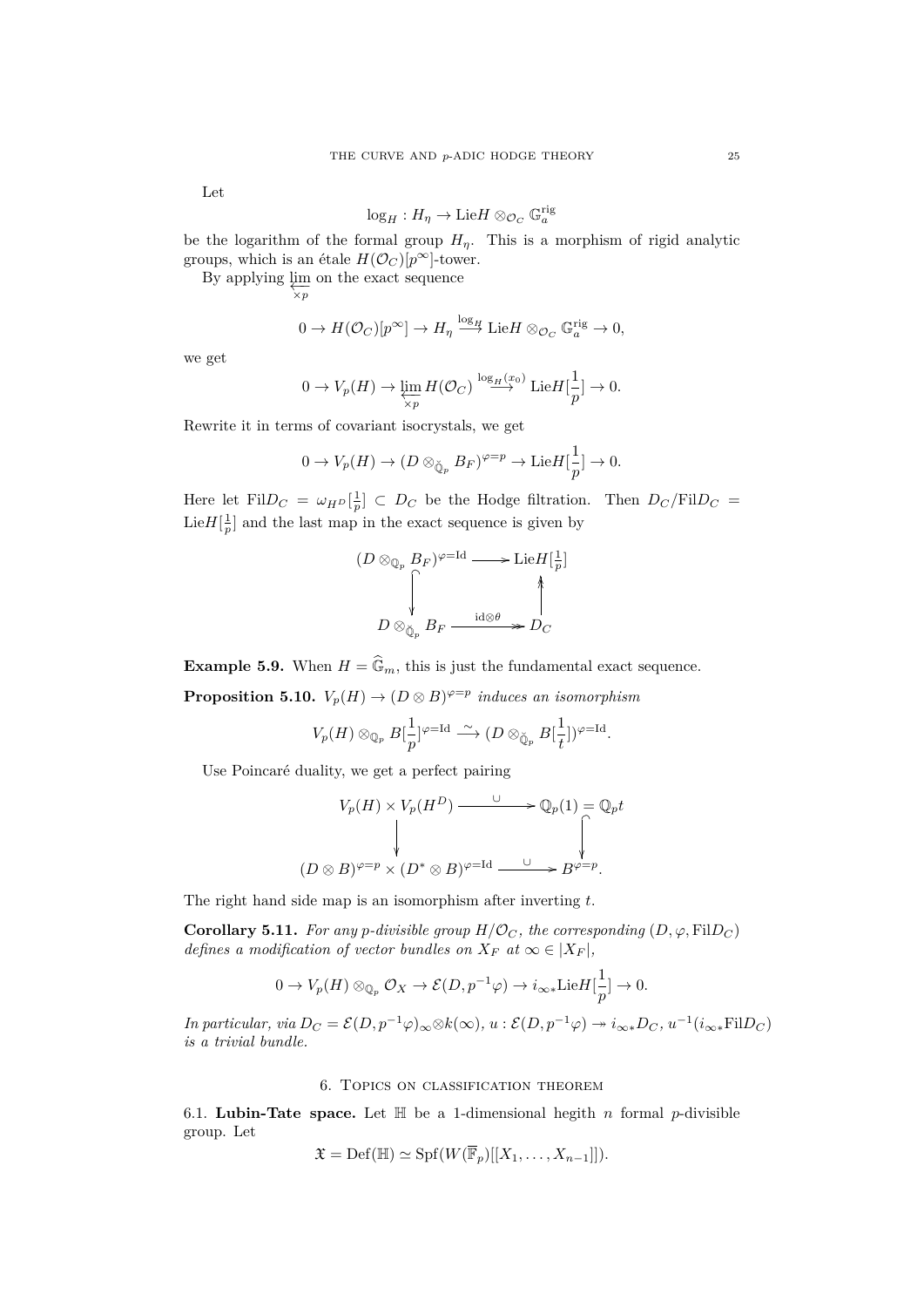Let

$$
\log_H : H_\eta \to \mathrm{Lie} H \otimes_{\mathcal{O}_C} \mathbb{G}_a^{\mathrm{rig}}
$$

be the logarithm of the formal group  $H_{\eta}$ . This is a morphism of rigid analytic groups, which is an étale  $H(\mathcal{O}_C)[p^\infty]$ -tower.

By applying  $\varprojlim_{\chi_p}$  on the exact sequence

$$
0 \to H(\mathcal{O}_C)[p^{\infty}] \to H_\eta \stackrel{\log_H}{\longrightarrow} \mathrm{Lie} H \otimes_{\mathcal{O}_C} \mathbb{G}_a^{\mathrm{rig}} \to 0,
$$

we get

$$
0 \to V_p(H) \to \varprojlim_{\chi_p} H(\mathcal{O}_C) \overset{\log_H(x_0)}{\longrightarrow} \mathrm{Lie} H[\frac{1}{p}] \to 0.
$$

Rewrite it in terms of covariant isocrystals, we get

$$
0 \to V_p(H) \to (D \otimes_{\breve{\mathbb{Q}}_p} B_F)^{\varphi=p} \to \mathrm{Lie} H[\frac{1}{p}] \to 0.
$$

Here let  $\text{Fil}D_C = \omega_{H^D}[\frac{1}{p}] \subset D_C$  be the Hodge filtration. Then  $D_C/\text{Fil}D_C =$ Lie $H[\frac{1}{p}]$  and the last map in the exact sequence is given by

$$
(D \otimes_{\mathbb{Q}_p} B_F)^{\varphi = \text{Id}} \longrightarrow \text{Lie} H\left[\frac{1}{p}\right] \longrightarrow \left[\begin{array}{c}\n\downarrow & \downarrow \\
\downarrow & \downarrow \\
\downarrow & \downarrow \\
D \otimes_{\mathbb{Q}_p} B_F \xrightarrow{\operatorname{id} \otimes \theta} D_C\n\end{array}\right]
$$

**Example 5.9.** When  $H = \widehat{\mathbb{G}}_m$ , this is just the fundamental exact sequence.

**Proposition 5.10.**  $V_p(H) \to (D \otimes B)^{\varphi=p}$  induces an isomorphism

$$
V_p(H) \otimes_{\mathbb{Q}_p} B[\frac{1}{p}]^{\varphi=\text{Id}} \stackrel{\sim}{\longrightarrow} (D \otimes_{\breve{\mathbb{Q}}_p} B[\frac{1}{t}])^{\varphi=\text{Id}}.
$$

Use Poincaré duality, we get a perfect pairing

$$
V_p(H) \times V_p(H^D) \xrightarrow{\cup} \mathbb{Q}_p(1) = \mathbb{Q}_p t
$$
  
\n
$$
\downarrow
$$
  
\n
$$
(D \otimes B)^{\varphi=p} \times (D^* \otimes B)^{\varphi=\text{Id}} \xrightarrow{\cup} B^{\varphi=p}.
$$

The right hand side map is an isomorphism after inverting *t*.

**Corollary 5.11.** *For any p-divisible group*  $H/\mathcal{O}_C$ *, the corresponding* (*D,* $\varphi$ *, FilD<sub><i>C*</sub></sub>) *defines a modification of vector bundles on*  $X_F$  *at*  $\infty \in |X_F|$ ,

$$
0 \to V_p(H) \otimes_{\mathbb{Q}_p} \mathcal{O}_X \to \mathcal{E}(D, p^{-1}\varphi) \to i_{\infty *} \text{Lie}H[\frac{1}{p}] \to 0.
$$

In particular, via  $D_C = \mathcal{E}(D, p^{-1}\varphi)_{\infty} \otimes k(\infty)$ ,  $u : \mathcal{E}(D, p^{-1}\varphi) \to i_{\infty *} D_C$ ,  $u^{-1}(i_{\infty *} \text{Fil} D_C)$ *is a trivial bundle.*

# 6. Topics on classification theorem

<span id="page-24-0"></span>6.1. **Lubin-Tate space.** Let  $\mathbb{H}$  be a 1-dimensional hegith *n* formal *p*-divisible group. Let

$$
\mathfrak{X} = \mathrm{Def}(\mathbb{H}) \simeq \mathrm{Spf}(W(\overline{\mathbb{F}}_p)[[X_1,\ldots,X_{n-1}]]).
$$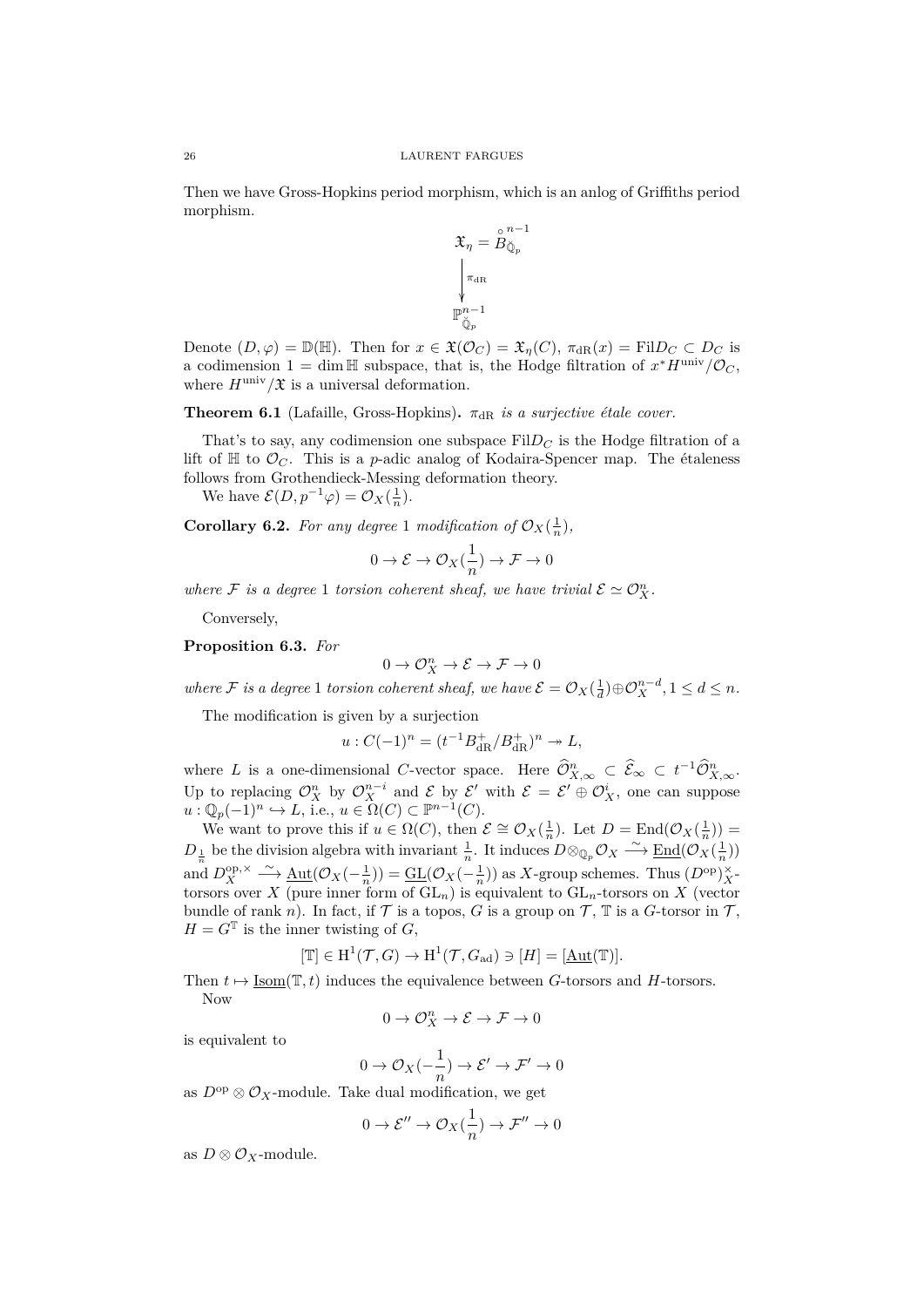Then we have Gross-Hopkins period morphism, which is an anlog of Griffiths period morphism.

$$
\mathfrak{X}_{\eta}=\overset{\circ}{B}_{\breve{\mathbb{Q}}_p}^{n-1}\\ \Bigg|_{\substack{\pi_{\mathrm{dR}}\\ \mathbb{P}_\psi^{n-1}\\ \breve{\mathbb{Q}}_p}}\Bigg|
$$

Denote  $(D, \varphi) = \mathbb{D}(\mathbb{H})$ . Then for  $x \in \mathfrak{X}(\mathcal{O}_C) = \mathfrak{X}_\eta(C)$ ,  $\pi_{\text{dR}}(x) = \text{Fil} D_C \subset D_C$  is a codimension  $1 = \dim \mathbb{H}$  subspace, that is, the Hodge filtration of  $x^* H^{\text{univ}} / \mathcal{O}_C$ , where  $H^{\text{univ}}/\mathfrak{X}$  is a universal deformation.

**Theorem 6.1** (Lafaille, Gross-Hopkins).  $\pi_{\text{dR}}$  *is a surjective étale cover.* 

That's to say, any codimension one subspace  $\text{Fil}D_C$  is the Hodge filtration of a lift of  $\mathbb H$  to  $\mathcal O_C$ . This is a *p*-adic analog of Kodaira-Spencer map. The étaleness follows from Grothendieck-Messing deformation theory.

We have  $\mathcal{E}(D, p^{-1}\varphi) = \mathcal{O}_X(\frac{1}{n}).$ 

**Corollary 6.2.** For any degree 1 modification of  $\mathcal{O}_X(\frac{1}{n})$ ,

$$
0\to \mathcal{E}\to \mathcal{O}_X(\frac{1}{n})\to \mathcal{F}\to 0
$$

*where*  $\mathcal{F}$  *is a degree* 1 *torsion coherent sheaf, we have trivial*  $\mathcal{E} \simeq \mathcal{O}_{X}^{n}$ .

Conversely,

**Proposition 6.3.** *For*

$$
0 \to \mathcal{O}_X^n \to \mathcal{E} \to \mathcal{F} \to 0
$$

*where*  $\mathcal{F}$  *is a degree* 1 *torsion coherent sheaf, we have*  $\mathcal{E} = \mathcal{O}_X(\frac{1}{d}) \oplus \mathcal{O}_X^{n-d}, 1 \leq d \leq n$ .

The modification is given by a surjection

$$
u: C(-1)^n = (t^{-1}B_{\rm dR}^+/B_{\rm dR}^+)^n \twoheadrightarrow L,
$$

where *L* is a one-dimensional *C*-vector space. Here  $\widehat{\mathcal{O}}_{X,\infty}^n \subset \widehat{\mathcal{E}}_{\infty} \subset t^{-1}\widehat{\mathcal{O}}_{X,\infty}^n$ . Up to replacing  $\mathcal{O}_X^n$  by  $\mathcal{O}_X^{n-i}$  and  $\mathcal E$  by  $\mathcal E'$  with  $\mathcal E = \mathcal E' \oplus \mathcal{O}_X^i$ , one can suppose  $u : \mathbb{Q}_p(-1)^n \hookrightarrow L$ , i.e.,  $u \in \Omega(C) \subset \mathbb{P}^{n-1}(C)$ .

We want to prove this if  $u \in \Omega(C)$ , then  $\mathcal{E} \cong \mathcal{O}_X(\frac{1}{n})$ . Let  $D = \text{End}(\mathcal{O}_X(\frac{1}{n}))$  $D_{\frac{1}{n}}$  be the division algebra with invariant  $\frac{1}{n}$ . It induces  $D \otimes_{\mathbb{Q}_p} \mathcal{O}_X \xrightarrow{\sim} \underline{\mathrm{End}}(\mathcal{O}_X(\frac{1}{n}))$ and  $D_X^{\text{op},\times} \longrightarrow \underline{\text{Aut}}(\mathcal{O}_X(-\frac{1}{n})) = \underline{\text{GL}}(\mathcal{O}_X(-\frac{1}{n}))$  as *X*-group schemes. Thus  $(D^{\text{op}})_X^{\times}$ torsors over *X* (pure inner form of GL*n*) is equivalent to GL*n*-torsors on *X* (vector bundle of rank *n*). In fact, if  $\mathcal T$  is a topos,  $G$  is a group on  $\mathcal T$ ,  $\mathbb T$  is a  $G$ -torsor in  $\mathcal T$ ,  $H = G^T$  is the inner twisting of *G*,

$$
[\mathbb{T}] \in \mathrm{H}^1(\mathcal{T}, G) \to \mathrm{H}^1(\mathcal{T}, G_{\mathrm{ad}}) \ni [H] = [\underline{\mathrm{Aut}}(\mathbb{T})].
$$

Then  $t \mapsto \text{Isom}(\mathbb{T}, t)$  induces the equivalence between *G*-torsors and *H*-torsors. Now

$$
0\to \mathcal{O}_X^n\to \mathcal{E}\to \mathcal{F}\to 0
$$

is equivalent to

$$
0 \to \mathcal{O}_X(-\frac{1}{n}) \to \mathcal{E}' \to \mathcal{F}' \to 0
$$

as  $D^{op} \otimes \mathcal{O}_X$ -module. Take dual modification, we get

$$
0 \to \mathcal{E}'' \to \mathcal{O}_X(\frac{1}{n}) \to \mathcal{F}'' \to 0
$$

as  $D \otimes \mathcal{O}_X$ -module.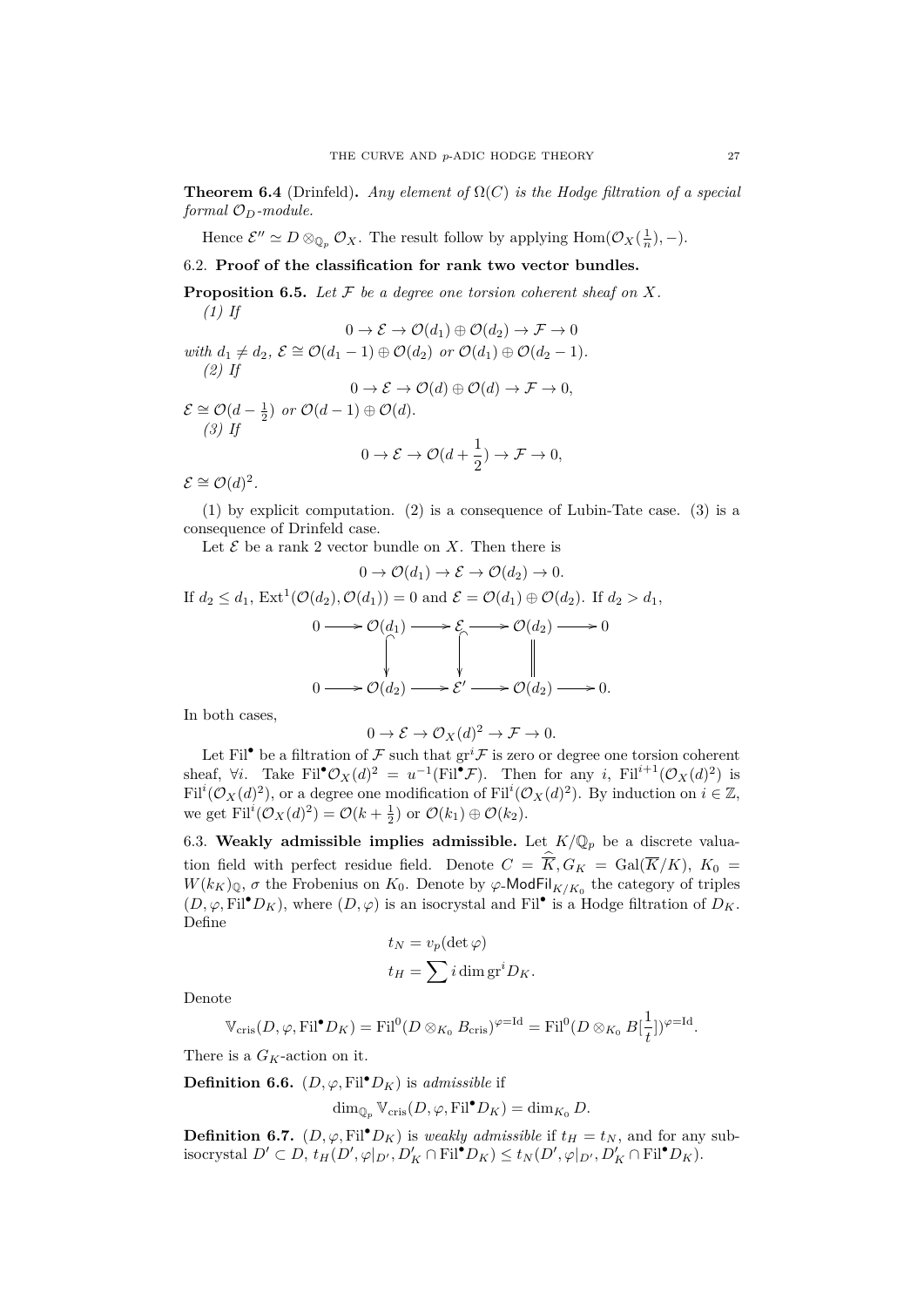**Theorem 6.4** (Drinfeld). *Any element of*  $\Omega(C)$  *is the Hodge filtration of a special formal OD-module.*

Hence  $\mathcal{E}'' \simeq D \otimes_{\mathbb{Q}_p} \mathcal{O}_X$ . The result follow by applying  $\text{Hom}(\mathcal{O}_X(\frac{1}{n}), -)$ .

## <span id="page-26-0"></span>6.2. **Proof of the classification for rank two vector bundles.**

**Proposition 6.5.** *Let F be a degree one torsion coherent sheaf on X. (1) If*

$$
0 \to \mathcal{E} \to \mathcal{O}(d_1) \oplus \mathcal{O}(d_2) \to \mathcal{F} \to 0
$$
  
with  $d_1 \neq d_2$ ,  $\mathcal{E} \cong \mathcal{O}(d_1 - 1) \oplus \mathcal{O}(d_2)$  or  $\mathcal{O}(d_1) \oplus \mathcal{O}(d_2 - 1)$ .  
(2) If  
 $0 \to \mathcal{E} \to \mathcal{O}(d) \oplus \mathcal{O}(d) \to \mathcal{F} \to 0$ ,  
 $\mathcal{E} \cong \mathcal{O}(d - \frac{1}{2})$  or  $\mathcal{O}(d - 1) \oplus \mathcal{O}(d)$ .  
(3) If  
 $0 \to \mathcal{E} \to \mathcal{O}(d + \frac{1}{2}) \to \mathcal{F} \to 0$ ,

 $\mathcal{E} \cong \mathcal{O}(d)^2$ .

(1) by explicit computation. (2) is a consequence of Lubin-Tate case. (3) is a consequence of Drinfeld case.

Let  $\mathcal E$  be a rank 2 vector bundle on  $X$ . Then there is

$$
0 \to \mathcal{O}(d_1) \to \mathcal{E} \to \mathcal{O}(d_2) \to 0.
$$
  
If  $d_2 \leq d_1$ , Ext<sup>1</sup>( $\mathcal{O}(d_2)$ ,  $\mathcal{O}(d_1)$ ) = 0 and  $\mathcal{E} = \mathcal{O}(d_1) \oplus \mathcal{O}(d_2)$ . If  $d_2 > d_1$ ,  
 $0 \longrightarrow \mathcal{O}(d_1) \longrightarrow \mathcal{E} \longrightarrow \mathcal{O}(d_2) \longrightarrow 0$   
 $0 \longrightarrow \mathcal{O}(d_2) \longrightarrow \mathcal{E}' \longrightarrow \mathcal{O}(d_2) \longrightarrow 0.$ 

In both cases,

$$
0 \to \mathcal{E} \to \mathcal{O}_X(d)^2 \to \mathcal{F} \to 0.
$$

Let Fil<sup>•</sup> be a filtration of  $\mathcal F$  such that  $gr^i \mathcal F$  is zero or degree one torsion coherent sheaf,  $\forall i$ . Take Fil<sup>•</sup> $\mathcal{O}_X(d)^2 = u^{-1}(\text{Fil}^{\bullet}\mathcal{F})$ . Then for any *i*, Fil<sup>*i*+1</sup> $(\mathcal{O}_X(d)^2)$  is  $Fil^i(\mathcal{O}_X(d)^2)$ , or a degree one modification of  $Fil^i(\mathcal{O}_X(d)^2)$ . By induction on  $i \in \mathbb{Z}$ , we get  $\text{Fil}^i(\mathcal{O}_X(d)^2) = \mathcal{O}(k + \frac{1}{2})$  or  $\mathcal{O}(k_1) \oplus \mathcal{O}(k_2)$ .

<span id="page-26-1"></span>6.3. Weakly admissible implies admissible. Let  $K/\mathbb{Q}_p$  be a discrete valuation field with perfect residue field. Denote  $C = \overline{K}$ ,  $G_K = \text{Gal}(\overline{K}/K)$ ,  $K_0 =$  $W(k_K)_{\mathbb{Q}}$ ,  $\sigma$  the Frobenius on  $K_0$ . Denote by  $\varphi$ -ModFil<sub>K/K<sub>0</sub></sub> the category of triples  $(D, \varphi, \mathrm{Fil}^{\bullet}D_K)$ , where  $(D, \varphi)$  is an isocrystal and Fil<sup>•</sup> is a Hodge filtration of  $D_K$ . Define

$$
t_N = v_p(\det \varphi)
$$
  

$$
t_H = \sum i \dim \operatorname{gr}^i D_K.
$$

Denote

$$
\mathbb{V}_{\mathrm{cris}}(D,\varphi,\mathrm{Fil}^{\bullet}D_K)=\mathrm{Fil}^0(D\otimes_{K_0}B_{\mathrm{cris}})^{\varphi=\mathrm{Id}}=\mathrm{Fil}^0(D\otimes_{K_0}B[\frac{1}{t}])^{\varphi=\mathrm{Id}}.
$$

There is a *GK*-action on it.

**Definition 6.6.**  $(D, \varphi, \mathrm{Fil}^{\bullet}D_K)$  is *admissible* if

$$
\dim_{\mathbb{Q}_p} \mathbb{V}_{\mathrm{cris}}(D, \varphi, \mathrm{Fil}^\bullet D_K) = \dim_{K_0} D.
$$

**Definition 6.7.**  $(D, \varphi, \text{Fil}^{\bullet}D_K)$  is *weakly admissible* if  $t_H = t_N$ , and for any subisocrystal  $D' \subset D$ ,  $t_H(D', \varphi|_{D'}, D'_K \cap \text{Fil}^{\bullet} D_K) \le t_N(D', \varphi|_{D'}, D'_K \cap \text{Fil}^{\bullet} D_K)$ .